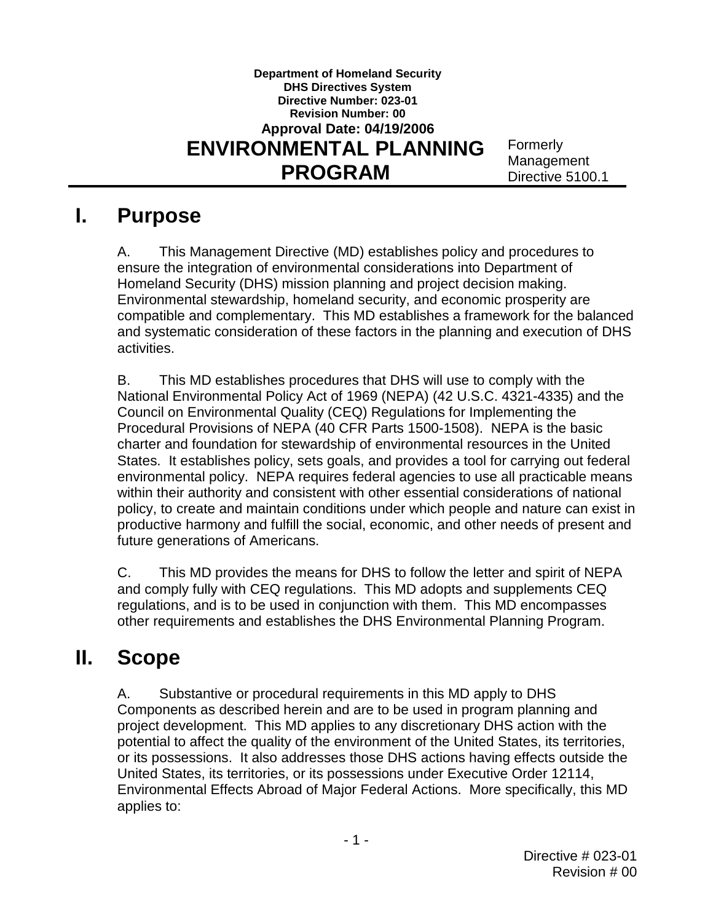## **Department of Homeland Security DHS Directives System Directive Number: 023-01 Revision Number: 00 Approval Date: 04/19/2006 ENVIRONMENTAL PLANNING** Formerly Management **PROGRAM** Directive 5100.1

## **I. Purpose**

 ensure the integration of environmental considerations into Department of Homeland Security (DHS) mission planning and project decision making. compatible and complementary. This MD establishes a framework for the balanced A. This Management Directive (MD) establishes policy and procedures to Environmental stewardship, homeland security, and economic prosperity are and systematic consideration of these factors in the planning and execution of DHS activities.

 environmental policy. NEPA requires federal agencies to use all practicable means within their authority and consistent with other essential considerations of national productive harmony and fulfill the social, economic, and other needs of present and B. This MD establishes procedures that DHS will use to comply with the National Environmental Policy Act of 1969 (NEPA) (42 U.S.C. 4321-4335) and the Council on Environmental Quality (CEQ) Regulations for Implementing the Procedural Provisions of NEPA (40 CFR Parts 1500-1508). NEPA is the basic charter and foundation for stewardship of environmental resources in the United States. It establishes policy, sets goals, and provides a tool for carrying out federal policy, to create and maintain conditions under which people and nature can exist in future generations of Americans.

 and comply fully with CEQ regulations. This MD adopts and supplements CEQ regulations, and is to be used in conjunction with them. This MD encompasses other requirements and establishes the DHS Environmental Planning Program. C. This MD provides the means for DHS to follow the letter and spirit of NEPA

#### **II. Scope**

 project development. This MD applies to any discretionary DHS action with the Environmental Effects Abroad of Major Federal Actions. More specifically, this MD A. Substantive or procedural requirements in this MD apply to DHS Components as described herein and are to be used in program planning and potential to affect the quality of the environment of the United States, its territories, or its possessions. It also addresses those DHS actions having effects outside the United States, its territories, or its possessions under Executive Order 12114, applies to: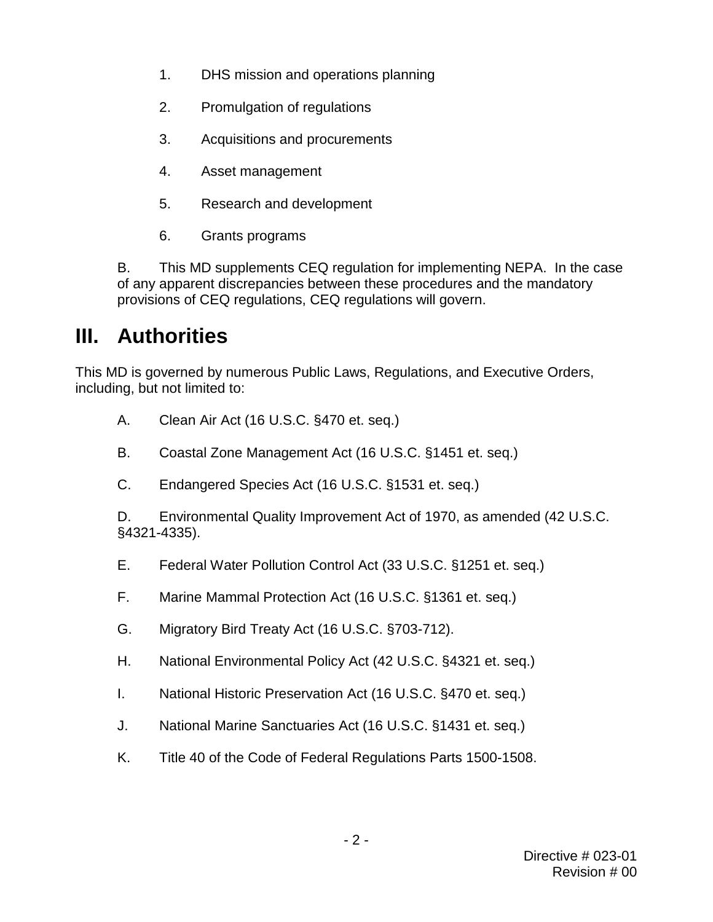- $1<sub>1</sub>$ DHS mission and operations planning
- 2. Promulgation of regulations
- 3. Acquisitions and procurements
- 4. Asset management
- 5. Research and development
- 6. Grants programs

B. This MD supplements CEQ regulation for implementing NEPA. In the case of any apparent discrepancies between these procedures and the mandatory provisions of CEQ regulations, CEQ regulations will govern.

## **III. Authorities**

This MD is governed by numerous Public Laws, Regulations, and Executive Orders, including, but not limited to:

- A. Clean Air Act (16 U.S.C. §470 et. seq.)
- B. Coastal Zone Management Act (16 U.S.C. §1451 et. seq.)
- C. Endangered Species Act (16 U.S.C. §1531 et. seq.)

 D. Environmental Quality Improvement Act of 1970, as amended (42 U.S.C. §4321-4335).

- E. Federal Water Pollution Control Act (33 U.S.C. §1251 et. seq.)
- F. Marine Mammal Protection Act (16 U.S.C. §1361 et. seq.)
- G. Migratory Bird Treaty Act (16 U.S.C. §703-712).
- H. National Environmental Policy Act (42 U.S.C. §4321 et. seq.)
- I. National Historic Preservation Act (16 U.S.C. §470 et. seq.)
- J. National Marine Sanctuaries Act (16 U.S.C. §1431 et. seq.)
- K. Title 40 of the Code of Federal Regulations Parts 1500-1508.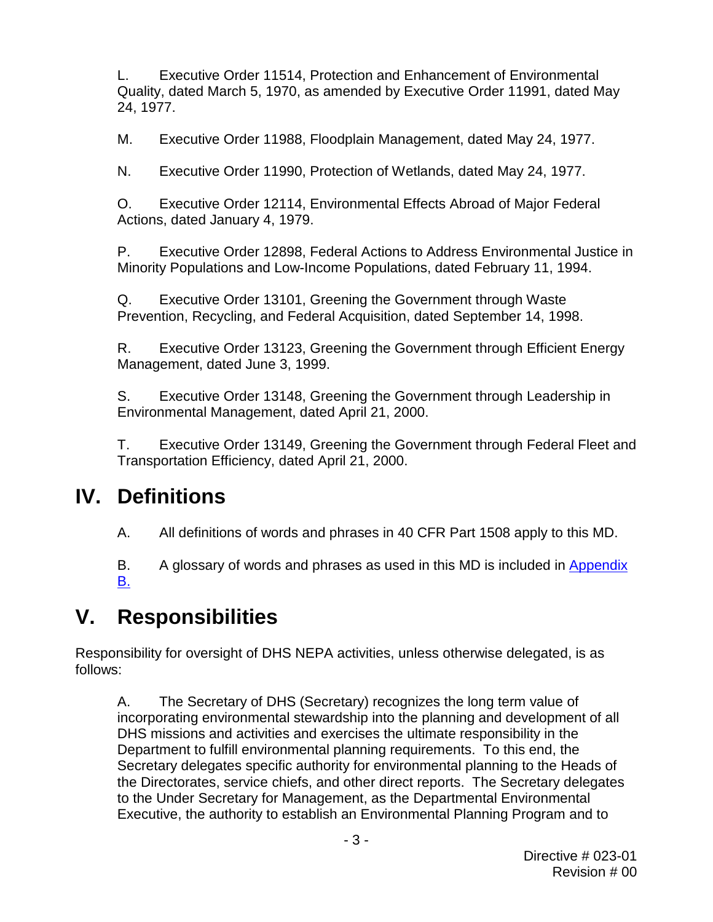L. Executive Order 11514, Protection and Enhancement of Environmental Quality, dated March 5, 1970, as amended by Executive Order 11991, dated May 24, 1977.

M. Executive Order 11988, Floodplain Management, dated May 24, 1977.

N. Executive Order 11990, Protection of Wetlands, dated May 24, 1977.

O. Executive Order 12114, Environmental Effects Abroad of Major Federal Actions, dated January 4, 1979.

P. Executive Order 12898, Federal Actions to Address Environmental Justice in Minority Populations and Low-Income Populations, dated February 11, 1994.

Q. Executive Order 13101, Greening the Government through Waste Prevention, Recycling, and Federal Acquisition, dated September 14, 1998.

 R. Executive Order 13123, Greening the Government through Efficient Energy Management, dated June 3, 1999.

S. Executive Order 13148, Greening the Government through Leadership in Environmental Management, dated April 21, 2000.

T. Executive Order 13149, Greening the Government through Federal Fleet and Transportation Efficiency, dated April 21, 2000.

## **IV. Definitions**

A. All definitions of words and phrases in 40 CFR Part 1508 apply to this MD.

B. A glossary of words and phrases as used in this MD is included in Appendix [B.](#page-62-0) 

# **V. Responsibilities**

Responsibility for oversight of DHS NEPA activities, unless otherwise delegated, is as follows:

 incorporating environmental stewardship into the planning and development of all Department to fulfill environmental planning requirements. To this end, the the Directorates, service chiefs, and other direct reports. The Secretary delegates A. The Secretary of DHS (Secretary) recognizes the long term value of DHS missions and activities and exercises the ultimate responsibility in the Secretary delegates specific authority for environmental planning to the Heads of to the Under Secretary for Management, as the Departmental Environmental Executive, the authority to establish an Environmental Planning Program and to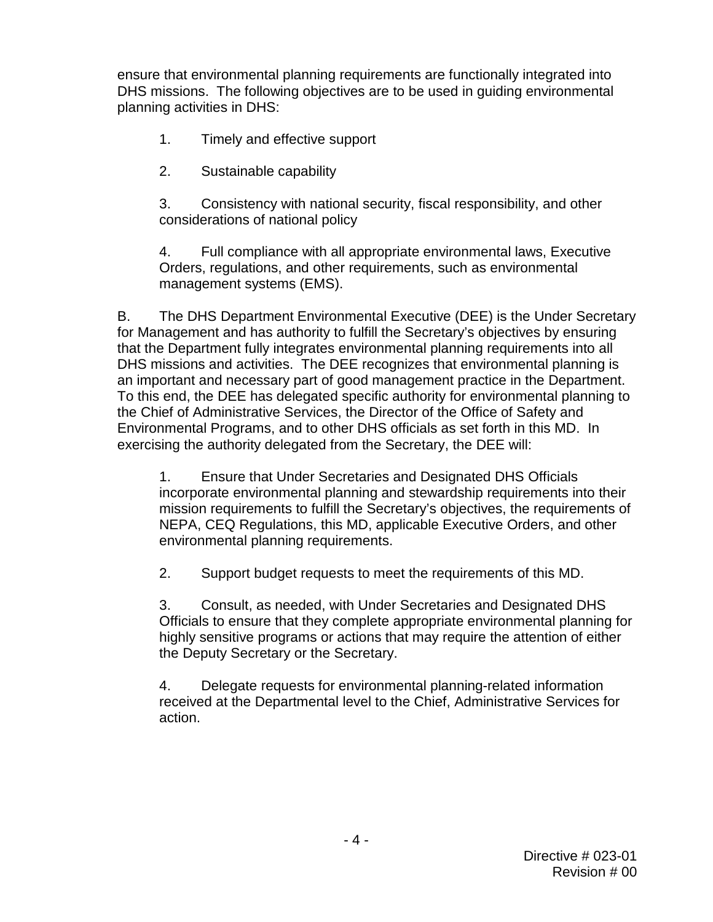DHS missions. The following objectives are to be used in guiding environmental ensure that environmental planning requirements are functionally integrated into planning activities in DHS:

- 1. Timely and effective support
- 2. Sustainable capability

3. Consistency with national security, fiscal responsibility, and other considerations of national policy

4. Full compliance with all appropriate environmental laws, Executive Orders, regulations, and other requirements, such as environmental management systems (EMS).

 B. The DHS Department Environmental Executive (DEE) is the Under Secretary an important and necessary part of good management practice in the Department. for Management and has authority to fulfill the Secretary's objectives by ensuring that the Department fully integrates environmental planning requirements into all DHS missions and activities. The DEE recognizes that environmental planning is To this end, the DEE has delegated specific authority for environmental planning to the Chief of Administrative Services, the Director of the Office of Safety and Environmental Programs, and to other DHS officials as set forth in this MD. In exercising the authority delegated from the Secretary, the DEE will:

 NEPA, CEQ Regulations, this MD, applicable Executive Orders, and other 1. Ensure that Under Secretaries and Designated DHS Officials incorporate environmental planning and stewardship requirements into their mission requirements to fulfill the Secretary's objectives, the requirements of environmental planning requirements.

2. Support budget requests to meet the requirements of this MD.

 Officials to ensure that they complete appropriate environmental planning for highly sensitive programs or actions that may require the attention of either 3. Consult, as needed, with Under Secretaries and Designated DHS the Deputy Secretary or the Secretary.

4. Delegate requests for environmental planning-related information received at the Departmental level to the Chief, Administrative Services for action.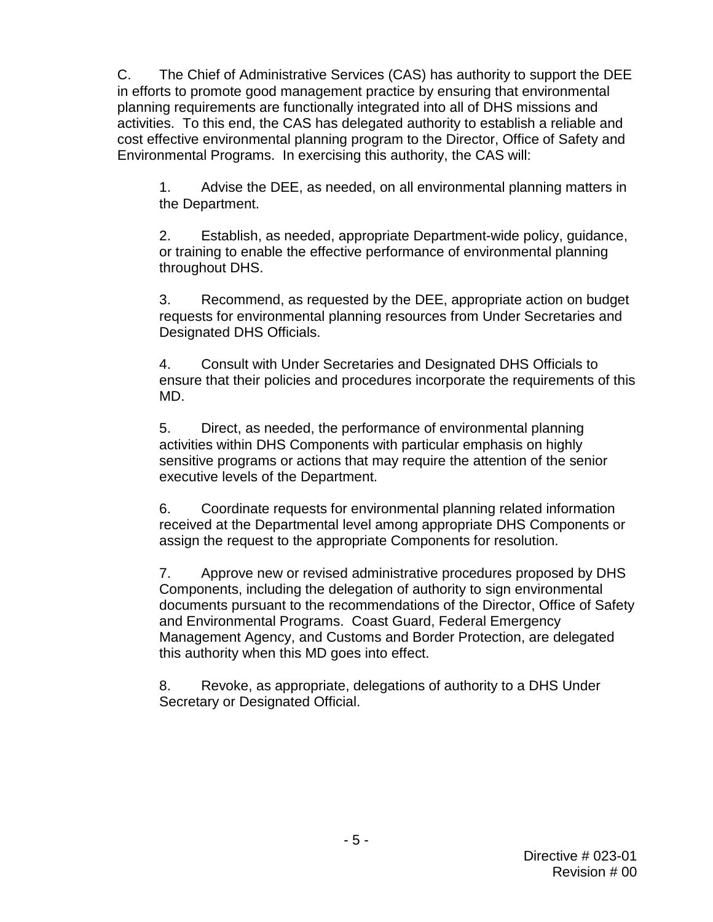<span id="page-4-1"></span> C. The Chief of Administrative Services (CAS) has authority to support the DEE activities. To this end, the CAS has delegated authority to establish a reliable and Environmental Programs. In exercising this authority, the CAS will: in efforts to promote good management practice by ensuring that environmental planning requirements are functionally integrated into all of DHS missions and cost effective environmental planning program to the Director, Office of Safety and

1. Advise the DEE, as needed, on all environmental planning matters in the Department.

 or training to enable the effective performance of environmental planning 2. Establish, as needed, appropriate Department-wide policy, guidance, throughout DHS.

 requests for environmental planning resources from Under Secretaries and 3. Recommend, as requested by the DEE, appropriate action on budget Designated DHS Officials.

4. Consult with Under Secretaries and Designated DHS Officials to ensure that their policies and procedures incorporate the requirements of this MD.

 5. Direct, as needed, the performance of environmental planning sensitive programs or actions that may require the attention of the senior activities within DHS Components with particular emphasis on highly executive levels of the Department.

6. Coordinate requests for environmental planning related information received at the Departmental level among appropriate DHS Components or assign the request to the appropriate Components for resolution.

<span id="page-4-0"></span>7. Approve new or revised administrative procedures proposed by DHS Components, including the delegation of authority to sign environmental documents pursuant to the recommendations of the Director, Office of Safety and Environmental Programs. Coast Guard, Federal Emergency Management Agency, and Customs and Border Protection, are delegated this authority when this MD goes into effect.

 8. Revoke, as appropriate, delegations of authority to a DHS Under Secretary or Designated Official.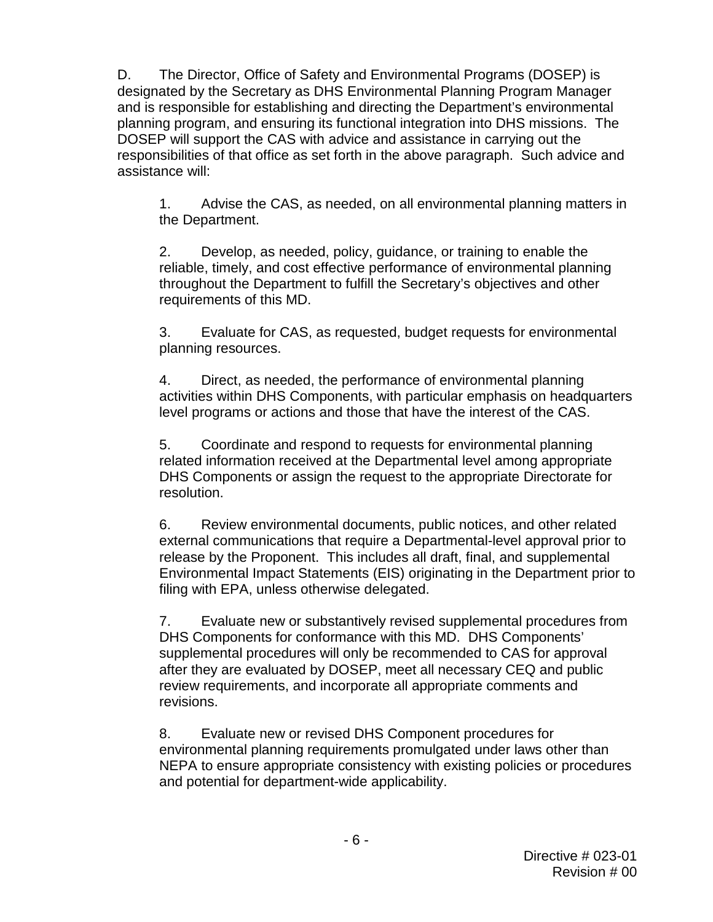planning program, and ensuring its functional integration into DHS missions. The responsibilities of that office as set forth in the above paragraph. Such advice and D. The Director, Office of Safety and Environmental Programs (DOSEP) is designated by the Secretary as DHS Environmental Planning Program Manager and is responsible for establishing and directing the Department's environmental DOSEP will support the CAS with advice and assistance in carrying out the assistance will:

1. Advise the CAS, as needed, on all environmental planning matters in the Department.

2. Develop, as needed, policy, guidance, or training to enable the reliable, timely, and cost effective performance of environmental planning throughout the Department to fulfill the Secretary's objectives and other requirements of this MD.

 3. Evaluate for CAS, as requested, budget requests for environmental planning resources.

 4. Direct, as needed, the performance of environmental planning activities within DHS Components, with particular emphasis on headquarters level programs or actions and those that have the interest of the CAS.

 5. Coordinate and respond to requests for environmental planning related information received at the Departmental level among appropriate DHS Components or assign the request to the appropriate Directorate for resolution.

 6. Review environmental documents, public notices, and other related release by the Proponent. This includes all draft, final, and supplemental external communications that require a Departmental-level approval prior to Environmental Impact Statements (EIS) originating in the Department prior to filing with EPA, unless otherwise delegated.

 7. Evaluate new or substantively revised supplemental procedures from supplemental procedures will only be recommended to CAS for approval after they are evaluated by DOSEP, meet all necessary CEQ and public DHS Components for conformance with this MD. DHS Components' review requirements, and incorporate all appropriate comments and revisions.

8. Evaluate new or revised DHS Component procedures for environmental planning requirements promulgated under laws other than NEPA to ensure appropriate consistency with existing policies or procedures and potential for department-wide applicability.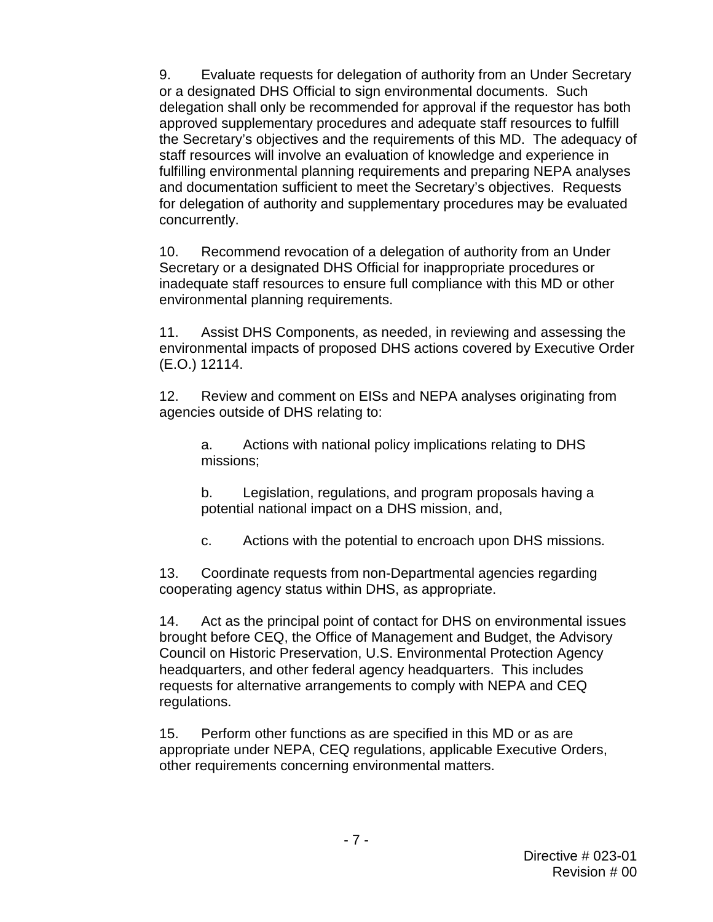9. Evaluate requests for delegation of authority from an Under Secretary or a designated DHS Official to sign environmental documents. Such delegation shall only be recommended for approval if the requestor has both approved supplementary procedures and adequate staff resources to fulfill the Secretary's objectives and the requirements of this MD. The adequacy of staff resources will involve an evaluation of knowledge and experience in fulfilling environmental planning requirements and preparing NEPA analyses and documentation sufficient to meet the Secretary's objectives. Requests for delegation of authority and supplementary procedures may be evaluated concurrently.

 Secretary or a designated DHS Official for inappropriate procedures or 10. Recommend revocation of a delegation of authority from an Under inadequate staff resources to ensure full compliance with this MD or other environmental planning requirements.

 $11.$ Assist DHS Components, as needed, in reviewing and assessing the environmental impacts of proposed DHS actions covered by Executive Order (E.O.) 12114.

 agencies outside of DHS relating to: 12. Review and comment on EISs and NEPA analyses originating from

a. Actions with national policy implications relating to DHS missions;

 potential national impact on a DHS mission, and, b. Legislation, regulations, and program proposals having a

c. Actions with the potential to encroach upon DHS missions.

 13. Coordinate requests from non-Departmental agencies regarding cooperating agency status within DHS, as appropriate.

 headquarters, and other federal agency headquarters. This includes requests for alternative arrangements to comply with NEPA and CEQ 14. Act as the principal point of contact for DHS on environmental issues brought before CEQ, the Office of Management and Budget, the Advisory Council on Historic Preservation, U.S. Environmental Protection Agency regulations.

15. Perform other functions as are specified in this MD or as are appropriate under NEPA, CEQ regulations, applicable Executive Orders, other requirements concerning environmental matters.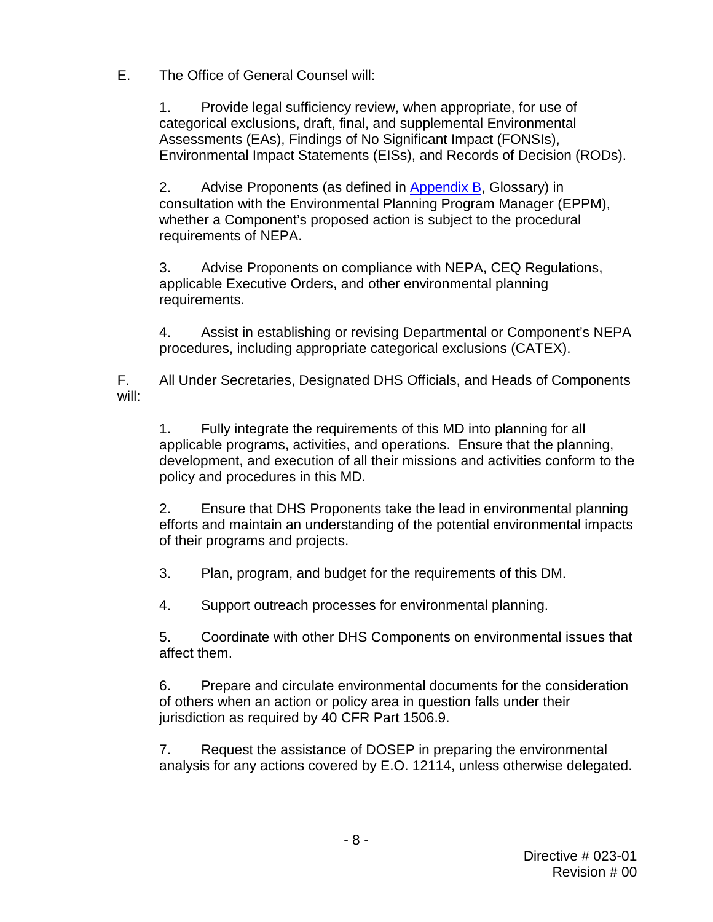E. The Office of General Counsel will:

1. Provide legal sufficiency review, when appropriate, for use of categorical exclusions, draft, final, and supplemental Environmental Assessments (EAs), Findings of No Significant Impact (FONSIs), Environmental Impact Statements (EISs), and Records of Decision (RODs).

2. Advise Proponents (as defined in [Appendix B,](#page-62-0) Glossary) in consultation with the Environmental Planning Program Manager (EPPM), whether a Component's proposed action is subject to the procedural requirements of NEPA.

3. Advise Proponents on compliance with NEPA, CEQ Regulations, applicable Executive Orders, and other environmental planning requirements.

4. Assist in establishing or revising Departmental or Component's NEPA procedures, including appropriate categorical exclusions (CATEX).

F. All Under Secretaries, Designated DHS Officials, and Heads of Components will:

 development, and execution of all their missions and activities conform to the 1. Fully integrate the requirements of this MD into planning for all applicable programs, activities, and operations. Ensure that the planning, policy and procedures in this MD.

 2. Ensure that DHS Proponents take the lead in environmental planning efforts and maintain an understanding of the potential environmental impacts of their programs and projects.

3. Plan, program, and budget for the requirements of this DM.

4. Support outreach processes for environmental planning.

 5. Coordinate with other DHS Components on environmental issues that affect them.

6. Prepare and circulate environmental documents for the consideration of others when an action or policy area in question falls under their jurisdiction as required by 40 CFR Part 1506.9.

7. Request the assistance of DOSEP in preparing the environmental analysis for any actions covered by E.O. 12114, unless otherwise delegated.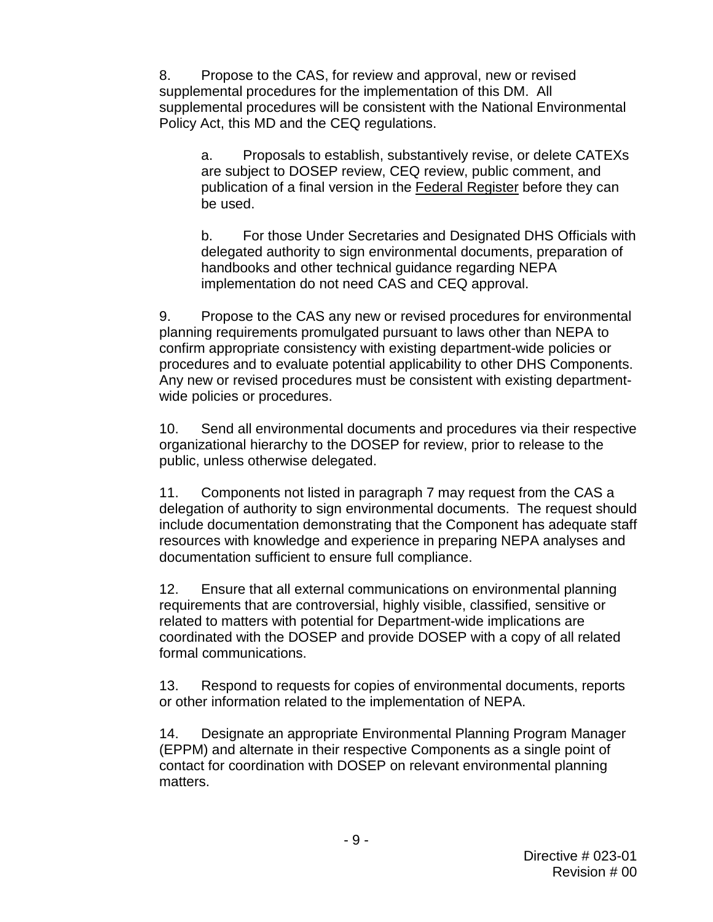supplemental procedures for the implementation of this DM. All supplemental procedures will be consistent with the National Environmental 8. Propose to the CAS, for review and approval, new or revised Policy Act, this MD and the CEQ regulations.

a. Proposals to establish, substantively revise, or delete CATEXs are subject to DOSEP review, CEQ review, public comment, and publication of a final version in the Federal Register before they can be used.

 implementation do not need CAS and CEQ approval. b. For those Under Secretaries and Designated DHS Officials with delegated authority to sign environmental documents, preparation of handbooks and other technical guidance regarding NEPA

procedures and to evaluate potential applicability to other DHS Components. 9. Propose to the CAS any new or revised procedures for environmental planning requirements promulgated pursuant to laws other than NEPA to confirm appropriate consistency with existing department-wide policies or Any new or revised procedures must be consistent with existing departmentwide policies or procedures.

10. Send all environmental documents and procedures via their respective organizational hierarchy to the DOSEP for review, prior to release to the public, unless otherwise delegated.

 delegation of authority to sign environmental documents. The request should include documentation demonstrating that the Component has adequate staff 11. Components not listed in paragraph [7](#page-4-0) may request from the CAS a resources with knowledge and experience in preparing NEPA analyses and documentation sufficient to ensure full compliance.

12. Ensure that all external communications on environmental planning requirements that are controversial, highly visible, classified, sensitive or related to matters with potential for Department-wide implications are coordinated with the DOSEP and provide DOSEP with a copy of all related formal communications.

 13. Respond to requests for copies of environmental documents, reports or other information related to the implementation of NEPA.

14. Designate an appropriate Environmental Planning Program Manager (EPPM) and alternate in their respective Components as a single point of contact for coordination with DOSEP on relevant environmental planning matters.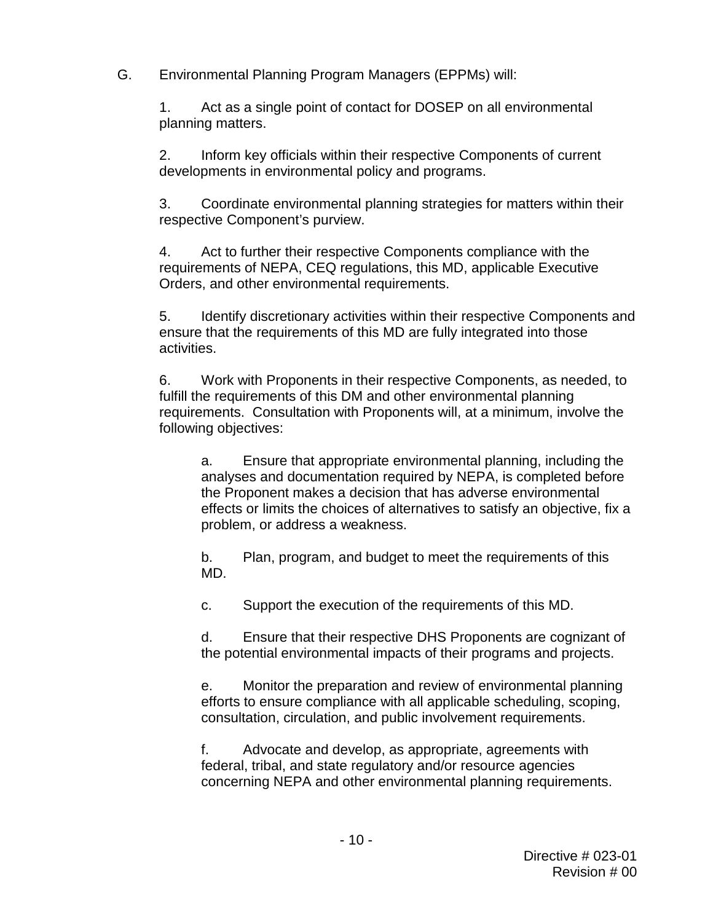G. Environmental Planning Program Managers (EPPMs) will:

 1. Act as a single point of contact for DOSEP on all environmental planning matters.

2. Inform key officials within their respective Components of current developments in environmental policy and programs.

3. Coordinate environmental planning strategies for matters within their respective Component's purview.

4. Act to further their respective Components compliance with the requirements of NEPA, CEQ regulations, this MD, applicable Executive Orders, and other environmental requirements.

5. Identify discretionary activities within their respective Components and ensure that the requirements of this MD are fully integrated into those activities.

 fulfill the requirements of this DM and other environmental planning 6. Work with Proponents in their respective Components, as needed, to requirements. Consultation with Proponents will, at a minimum, involve the following objectives:

 problem, or address a weakness. a. Ensure that appropriate environmental planning, including the analyses and documentation required by NEPA, is completed before the Proponent makes a decision that has adverse environmental effects or limits the choices of alternatives to satisfy an objective, fix a

 b. Plan, program, and budget to meet the requirements of this MD.

c. Support the execution of the requirements of this MD.

d. Ensure that their respective DHS Proponents are cognizant of the potential environmental impacts of their programs and projects.

e. Monitor the preparation and review of environmental planning efforts to ensure compliance with all applicable scheduling, scoping, consultation, circulation, and public involvement requirements.

 concerning NEPA and other environmental planning requirements. f. Advocate and develop, as appropriate, agreements with federal, tribal, and state regulatory and/or resource agencies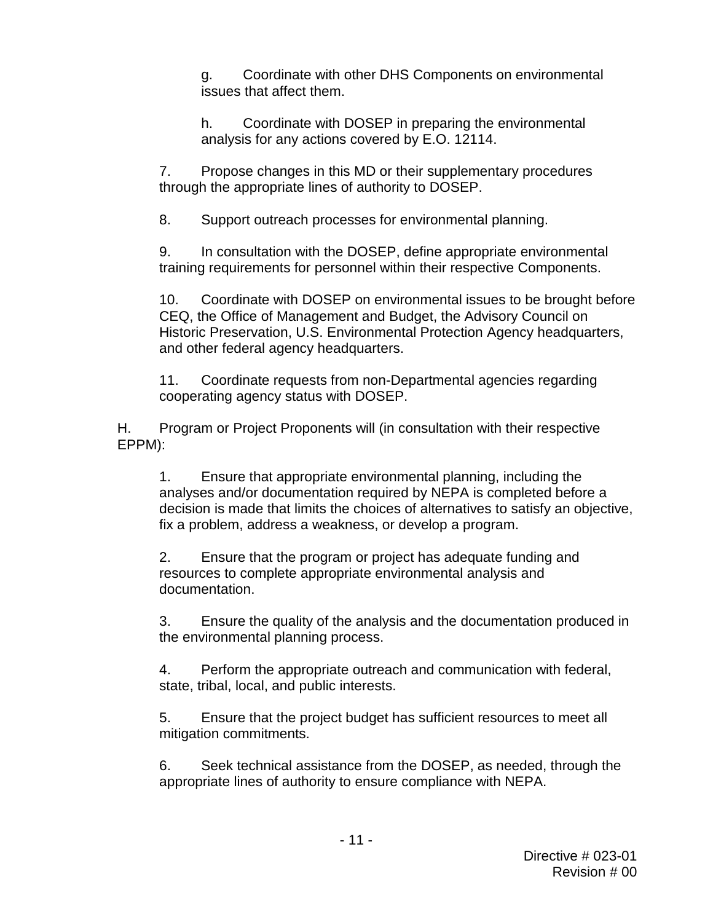g. Coordinate with other DHS Components on environmental issues that affect them.

h. Coordinate with DOSEP in preparing the environmental analysis for any actions covered by E.O. 12114.

 through the appropriate lines of authority to DOSEP. 7. Propose changes in this MD or their supplementary procedures

8. Support outreach processes for environmental planning.

9. In consultation with the DOSEP, define appropriate environmental training requirements for personnel within their respective Components.

 and other federal agency headquarters. 10. Coordinate with DOSEP on environmental issues to be brought before CEQ, the Office of Management and Budget, the Advisory Council on Historic Preservation, U.S. Environmental Protection Agency headquarters,

 11. Coordinate requests from non-Departmental agencies regarding cooperating agency status with DOSEP.

H. Program or Project Proponents will (in consultation with their respective EPPM):

1. Ensure that appropriate environmental planning, including the analyses and/or documentation required by NEPA is completed before a decision is made that limits the choices of alternatives to satisfy an objective, fix a problem, address a weakness, or develop a program.

 2. Ensure that the program or project has adequate funding and resources to complete appropriate environmental analysis and documentation.

3. Ensure the quality of the analysis and the documentation produced in the environmental planning process.

4. Perform the appropriate outreach and communication with federal, state, tribal, local, and public interests.

5. Ensure that the project budget has sufficient resources to meet all mitigation commitments.

 6. Seek technical assistance from the DOSEP, as needed, through the appropriate lines of authority to ensure compliance with NEPA.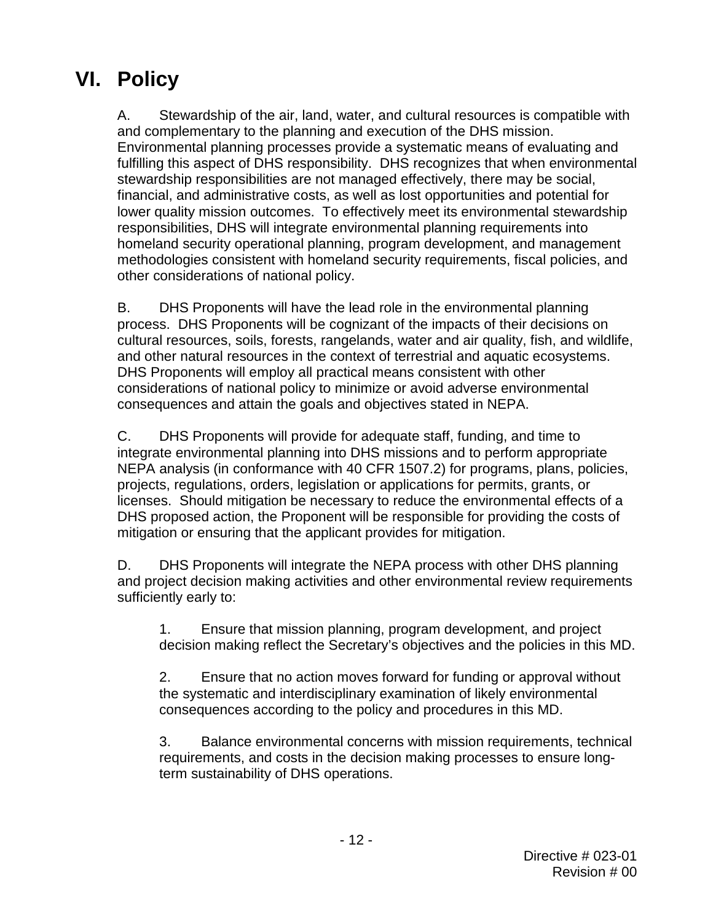## **VI. Policy**

 and complementary to the planning and execution of the DHS mission. lower quality mission outcomes. To effectively meet its environmental stewardship methodologies consistent with homeland security requirements, fiscal policies, and A. Stewardship of the air, land, water, and cultural resources is compatible with Environmental planning processes provide a systematic means of evaluating and fulfilling this aspect of DHS responsibility. DHS recognizes that when environmental stewardship responsibilities are not managed effectively, there may be social, financial, and administrative costs, as well as lost opportunities and potential for responsibilities, DHS will integrate environmental planning requirements into homeland security operational planning, program development, and management other considerations of national policy.

 B. DHS Proponents will have the lead role in the environmental planning and other natural resources in the context of terrestrial and aquatic ecosystems.<br>DHS Proponents will employ all practical means consistent with other considerations of national policy to minimize or avoid adverse environmental process. DHS Proponents will be cognizant of the impacts of their decisions on cultural resources, soils, forests, rangelands, water and air quality, fish, and wildlife, consequences and attain the goals and objectives stated in NEPA.

 C. DHS Proponents will provide for adequate staff, funding, and time to NEPA analysis (in conformance with 40 CFR 1507.2) for programs, plans, policies, projects, regulations, orders, legislation or applications for permits, grants, or mitigation or ensuring that the applicant provides for mitigation. integrate environmental planning into DHS missions and to perform appropriate licenses. Should mitigation be necessary to reduce the environmental effects of a DHS proposed action, the Proponent will be responsible for providing the costs of

 D. DHS Proponents will integrate the NEPA process with other DHS planning and project decision making activities and other environmental review requirements sufficiently early to:

1. Ensure that mission planning, program development, and project decision making reflect the Secretary's objectives and the policies in this MD.

 2. Ensure that no action moves forward for funding or approval without the systematic and interdisciplinary examination of likely environmental consequences according to the policy and procedures in this MD.

 term sustainability of DHS operations. 3. Balance environmental concerns with mission requirements, technical requirements, and costs in the decision making processes to ensure long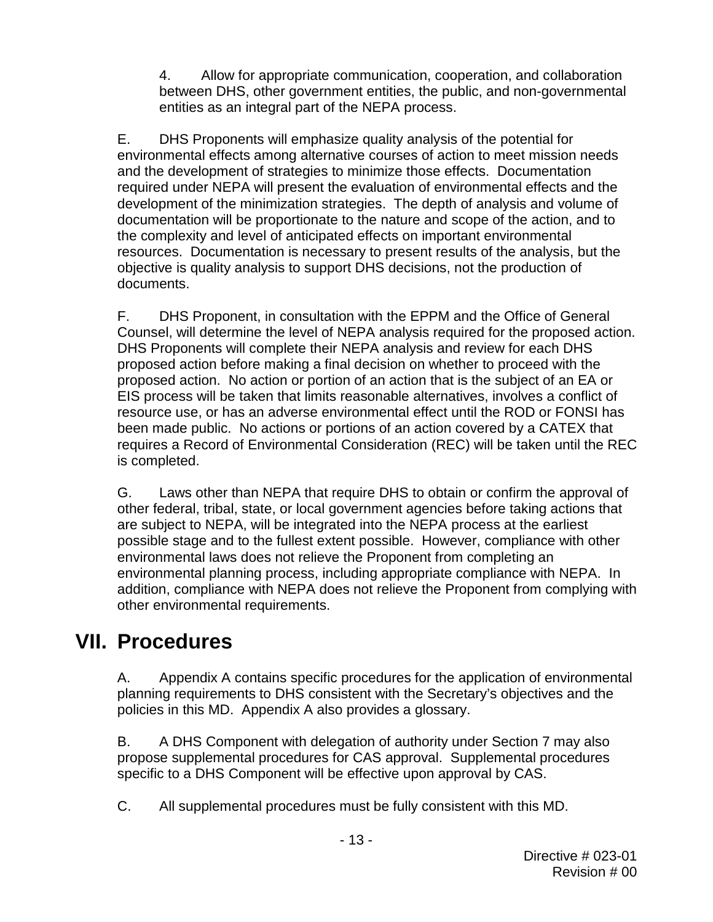4. Allow for appropriate communication, cooperation, and collaboration between DHS, other government entities, the public, and non-governmental entities as an integral part of the NEPA process.

 E. DHS Proponents will emphasize quality analysis of the potential for development of the minimization strategies. The depth of analysis and volume of documentation will be proportionate to the nature and scope of the action, and to objective is quality analysis to support DHS decisions, not the production of environmental effects among alternative courses of action to meet mission needs and the development of strategies to minimize those effects. Documentation required under NEPA will present the evaluation of environmental effects and the the complexity and level of anticipated effects on important environmental resources. Documentation is necessary to present results of the analysis, but the documents.

Counsel, will determine the level of NEPA analysis required for the proposed action.<br>DHS Proponents will complete their NEPA analysis and review for each DHS proposed action before making a final decision on whether to proceed with the proposed action. No action or portion of an action that is the subject of an EA or been made public. No actions or portions of an action covered by a CATEX that F. DHS Proponent, in consultation with the EPPM and the Office of General EIS process will be taken that limits reasonable alternatives, involves a conflict of resource use, or has an adverse environmental effect until the ROD or FONSI has requires a Record of Environmental Consideration (REC) will be taken until the REC is completed.

G. Laws other than NEPA that require DHS to obtain or confirm the approval of other federal, tribal, state, or local government agencies before taking actions that are subject to NEPA, will be integrated into the NEPA process at the earliest possible stage and to the fullest extent possible. However, compliance with other environmental laws does not relieve the Proponent from completing an environmental planning process, including appropriate compliance with NEPA. In addition, compliance with NEPA does not relieve the Proponent from complying with other environmental requirements.

## **VII. Procedures**

A. Appendix A contains specific procedures for the application of environmental planning requirements to DHS consistent with the Secretary's objectives and the policies in this MD. Appendix A also provides a glossary.

 propose supplemental procedures for CAS approval. Supplemental procedures B. A DHS Component with delegation of authority under Section [7](#page-4-0) may also specific to a DHS Component will be effective upon approval by CAS.

C. All supplemental procedures must be fully consistent with this MD.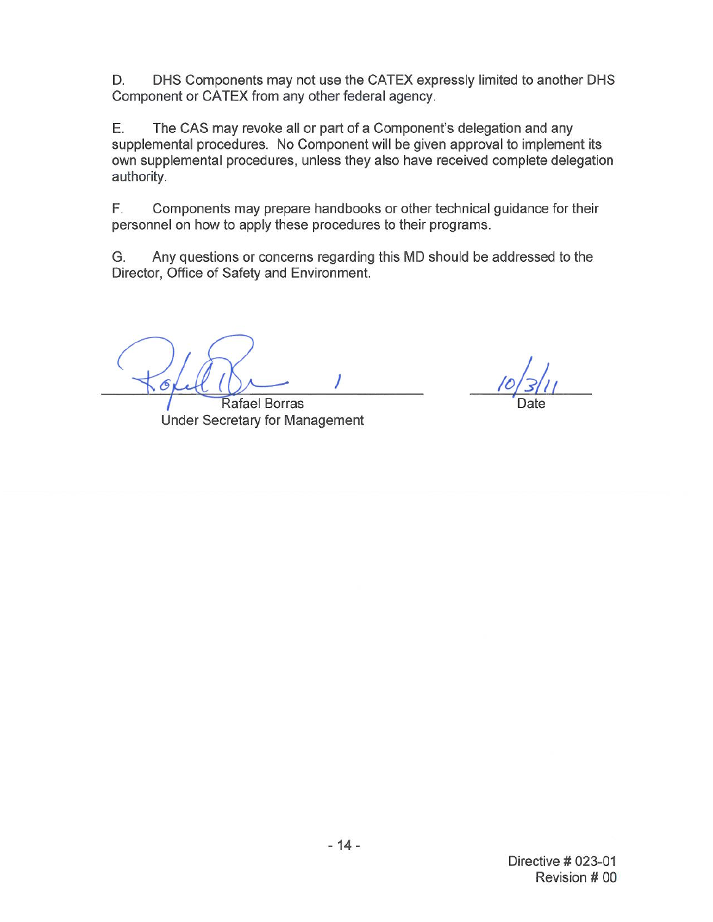D. DHS Components may not use the CATEX expressly limited to another DHS Component or CATEX from any other federal agency.

Е. The CAS may revoke all or part of a Component's delegation and any supplemental procedures. No Component will be given approval to implement its own supplemental procedures, unless they also have received complete delegation authority.

F. Components may prepare handbooks or other technical guidance for their personnel on how to apply these procedures to their programs.

G. Any questions or concerns regarding this MD should be addressed to the Director, Office of Safety and Environment.

Rafael Borras **Under Secretary for Management**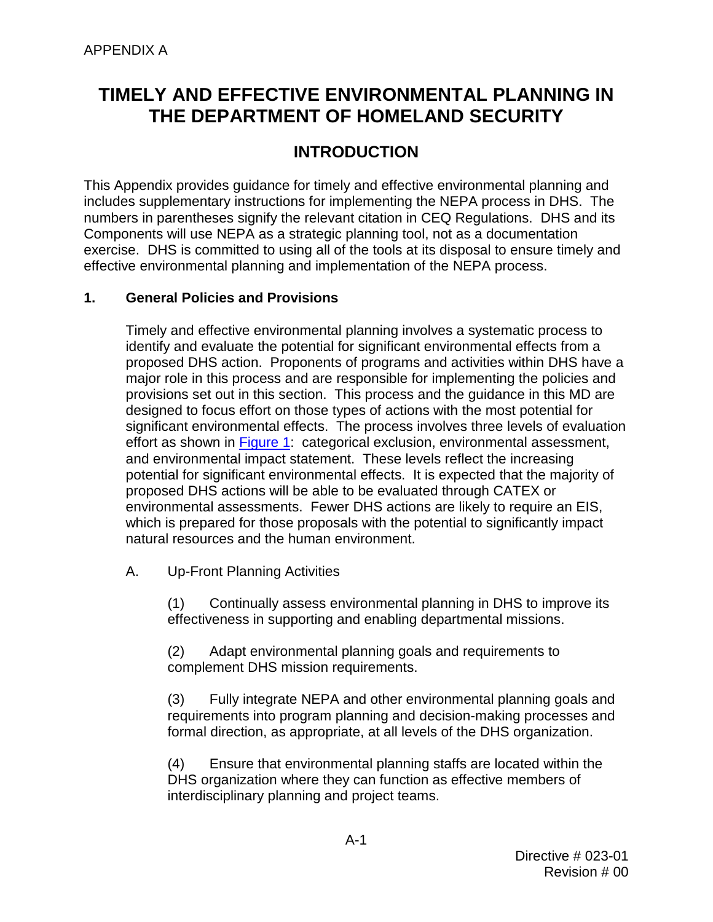## **TIMELY AND EFFECTIVE ENVIRONMENTAL PLANNING IN THE DEPARTMENT OF HOMELAND SECURITY**

## **INTRODUCTION**

 numbers in parentheses signify the relevant citation in CEQ Regulations. DHS and its This Appendix provides guidance for timely and effective environmental planning and includes supplementary instructions for implementing the NEPA process in DHS. The Components will use NEPA as a strategic planning tool, not as a documentation exercise. DHS is committed to using all of the tools at its disposal to ensure timely and effective environmental planning and implementation of the NEPA process.

## **1. General Policies and Provisions**

 identify and evaluate the potential for significant environmental effects from a proposed DHS action. Proponents of programs and activities within DHS have a provisions set out in this section. This process and the guidance in this MD are significant environmental effects. The process involves three levels of evaluation and environmental impact statement. These levels reflect the increasing Timely and effective environmental planning involves a systematic process to major role in this process and are responsible for implementing the policies and designed to focus effort on those types of actions with the most potential for effort as shown in [Figure 1:](#page-15-0) categorical exclusion, environmental assessment, potential for significant environmental effects. It is expected that the majority of proposed DHS actions will be able to be evaluated through CATEX or environmental assessments. Fewer DHS actions are likely to require an EIS, which is prepared for those proposals with the potential to significantly impact natural resources and the human environment.

A. Up-Front Planning Activities

(1) Continually assess environmental planning in DHS to improve its effectiveness in supporting and enabling departmental missions.

(2) Adapt environmental planning goals and requirements to complement DHS mission requirements.

(3) Fully integrate NEPA and other environmental planning goals and requirements into program planning and decision-making processes and formal direction, as appropriate, at all levels of the DHS organization.

 interdisciplinary planning and project teams. (4) Ensure that environmental planning staffs are located within the DHS organization where they can function as effective members of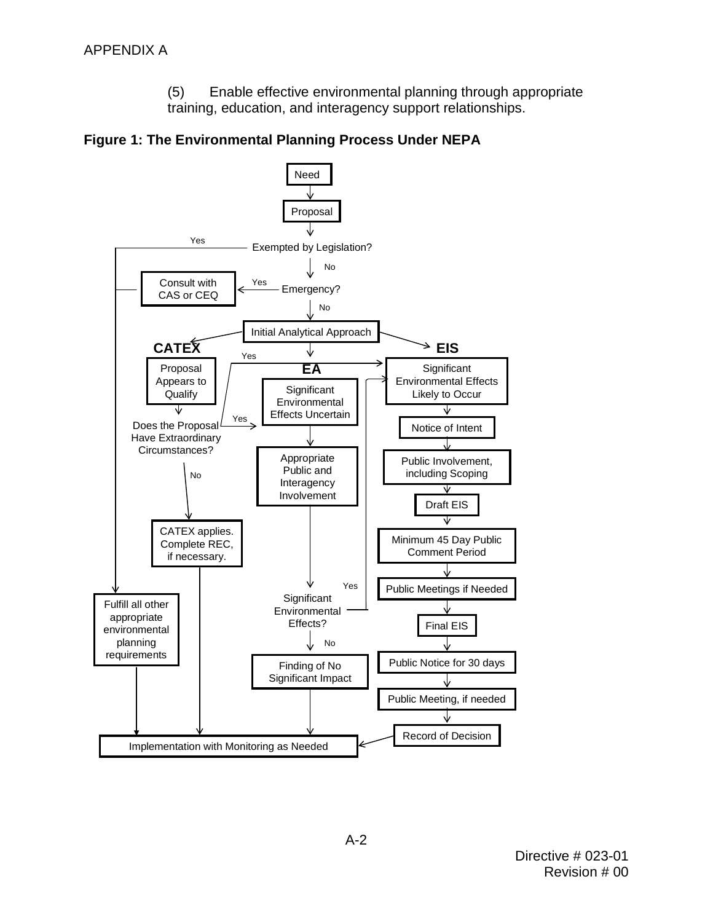(5) Enable effective environmental planning through appropriate training, education, and interagency support relationships.

<span id="page-15-0"></span>

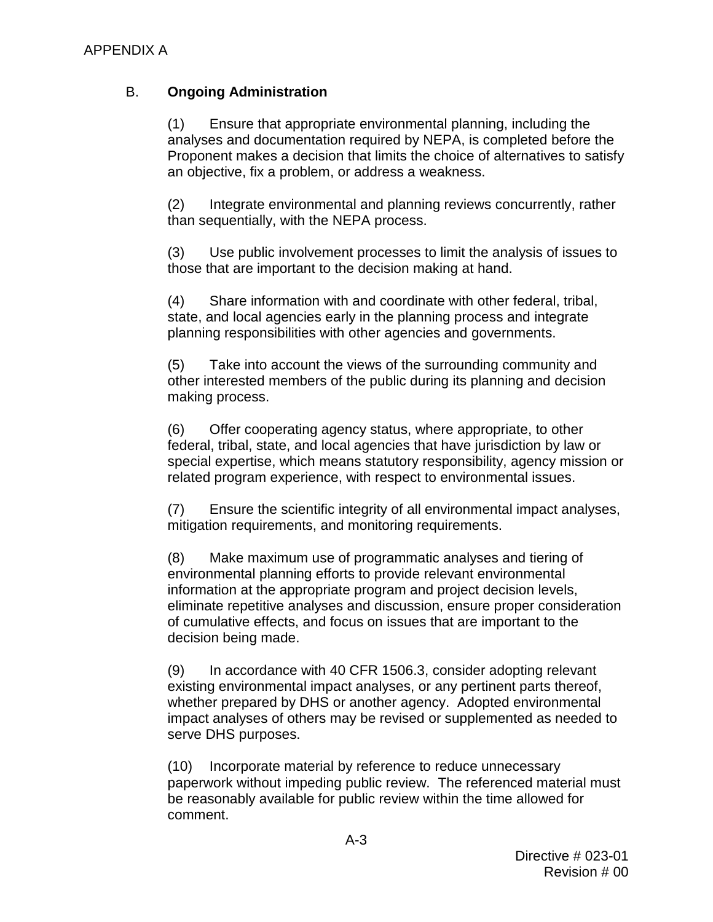## B. **Ongoing Administration**

(1) Ensure that appropriate environmental planning, including the analyses and documentation required by NEPA, is completed before the Proponent makes a decision that limits the choice of alternatives to satisfy an objective, fix a problem, or address a weakness.

(2) Integrate environmental and planning reviews concurrently, rather than sequentially, with the NEPA process.

(3) Use public involvement processes to limit the analysis of issues to those that are important to the decision making at hand.

(4) Share information with and coordinate with other federal, tribal, state, and local agencies early in the planning process and integrate planning responsibilities with other agencies and governments.

(5) Take into account the views of the surrounding community and other interested members of the public during its planning and decision making process.

(6) Offer cooperating agency status, where appropriate, to other federal, tribal, state, and local agencies that have jurisdiction by law or special expertise, which means statutory responsibility, agency mission or related program experience, with respect to environmental issues.

(7) Ensure the scientific integrity of all environmental impact analyses, mitigation requirements, and monitoring requirements.

(8) Make maximum use of programmatic analyses and tiering of environmental planning efforts to provide relevant environmental information at the appropriate program and project decision levels, eliminate repetitive analyses and discussion, ensure proper consideration of cumulative effects, and focus on issues that are important to the decision being made.

(9) In accordance with 40 CFR 1506.3, consider adopting relevant existing environmental impact analyses, or any pertinent parts thereof, whether prepared by DHS or another agency. Adopted environmental impact analyses of others may be revised or supplemented as needed to serve DHS purposes.

(10) Incorporate material by reference to reduce unnecessary paperwork without impeding public review. The referenced material must be reasonably available for public review within the time allowed for comment.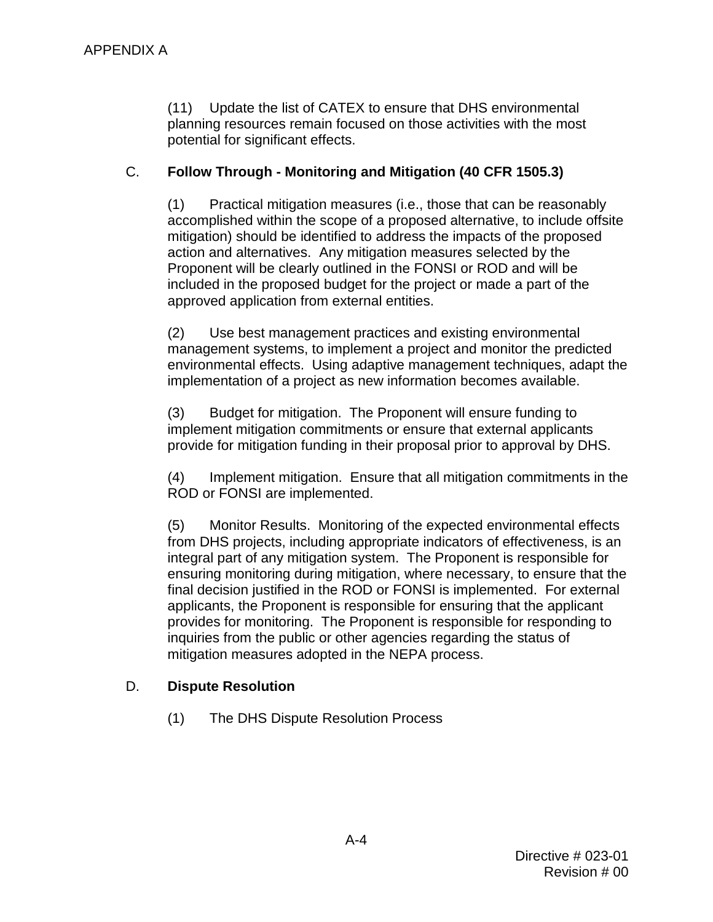(11) Update the list of CATEX to ensure that DHS environmental planning resources remain focused on those activities with the most potential for significant effects.

## C. **Follow Through - Monitoring and Mitigation (40 CFR 1505.3)**

(1) Practical mitigation measures (i.e., those that can be reasonably accomplished within the scope of a proposed alternative, to include offsite mitigation) should be identified to address the impacts of the proposed action and alternatives. Any mitigation measures selected by the Proponent will be clearly outlined in the FONSI or ROD and will be included in the proposed budget for the project or made a part of the approved application from external entities.

(2) Use best management practices and existing environmental management systems, to implement a project and monitor the predicted environmental effects. Using adaptive management techniques, adapt the implementation of a project as new information becomes available.

 (3) Budget for mitigation. The Proponent will ensure funding to implement mitigation commitments or ensure that external applicants provide for mitigation funding in their proposal prior to approval by DHS.

 (4) Implement mitigation. Ensure that all mitigation commitments in the ROD or FONSI are implemented.

 provides for monitoring. The Proponent is responsible for responding to (5) Monitor Results. Monitoring of the expected environmental effects from DHS projects, including appropriate indicators of effectiveness, is an integral part of any mitigation system. The Proponent is responsible for ensuring monitoring during mitigation, where necessary, to ensure that the final decision justified in the ROD or FONSI is implemented. For external applicants, the Proponent is responsible for ensuring that the applicant inquiries from the public or other agencies regarding the status of mitigation measures adopted in the NEPA process.

## D. **Dispute Resolution**

(1) The DHS Dispute Resolution Process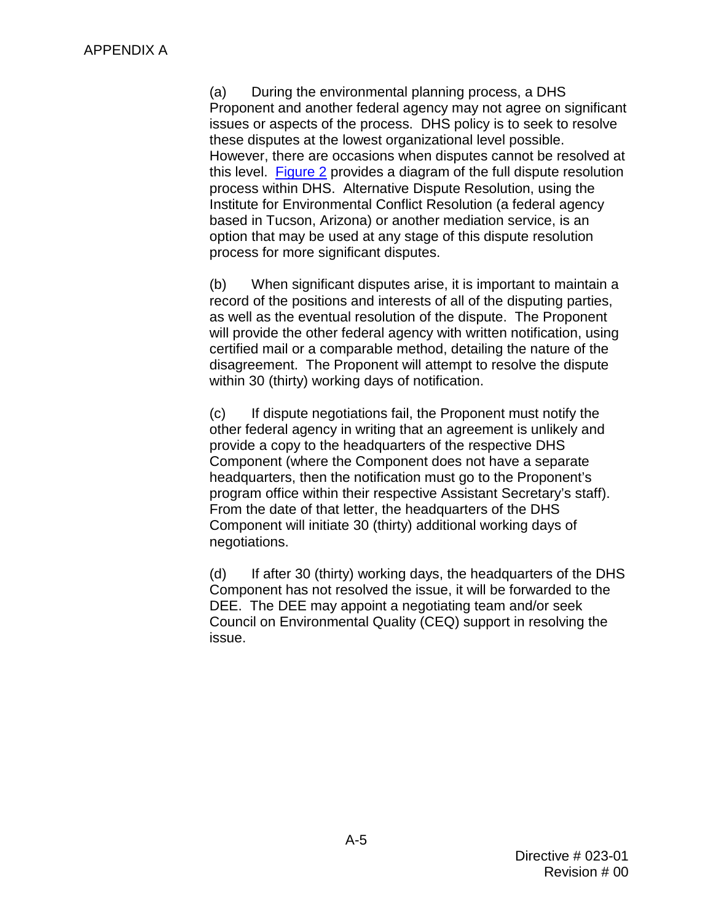these disputes at the lowest organizational level possible. this level. [Figure 2](#page-20-0) provides a diagram of the full dispute resolution (a) During the environmental planning process, a DHS Proponent and another federal agency may not agree on significant issues or aspects of the process. DHS policy is to seek to resolve However, there are occasions when disputes cannot be resolved at process within DHS. Alternative Dispute Resolution, using the Institute for Environmental Conflict Resolution (a federal agency based in Tucson, Arizona) or another mediation service, is an option that may be used at any stage of this dispute resolution process for more significant disputes.

 record of the positions and interests of all of the disputing parties, as well as the eventual resolution of the dispute. The Proponent will provide the other federal agency with written notification, using disagreement. The Proponent will attempt to resolve the dispute (b) When significant disputes arise, it is important to maintain a certified mail or a comparable method, detailing the nature of the within 30 (thirty) working days of notification.

program office within their respective Assistant Secretary's staff).<br>From the date of that letter, the headquarters of the DHS From the date of that letter, the headquarters of the DHS (c) If dispute negotiations fail, the Proponent must notify the other federal agency in writing that an agreement is unlikely and provide a copy to the headquarters of the respective DHS Component (where the Component does not have a separate headquarters, then the notification must go to the Proponent's Component will initiate 30 (thirty) additional working days of negotiations.

 Component has not resolved the issue, it will be forwarded to the DEE. The DEE may appoint a negotiating team and/or seek (d) If after 30 (thirty) working days, the headquarters of the DHS Council on Environmental Quality (CEQ) support in resolving the issue.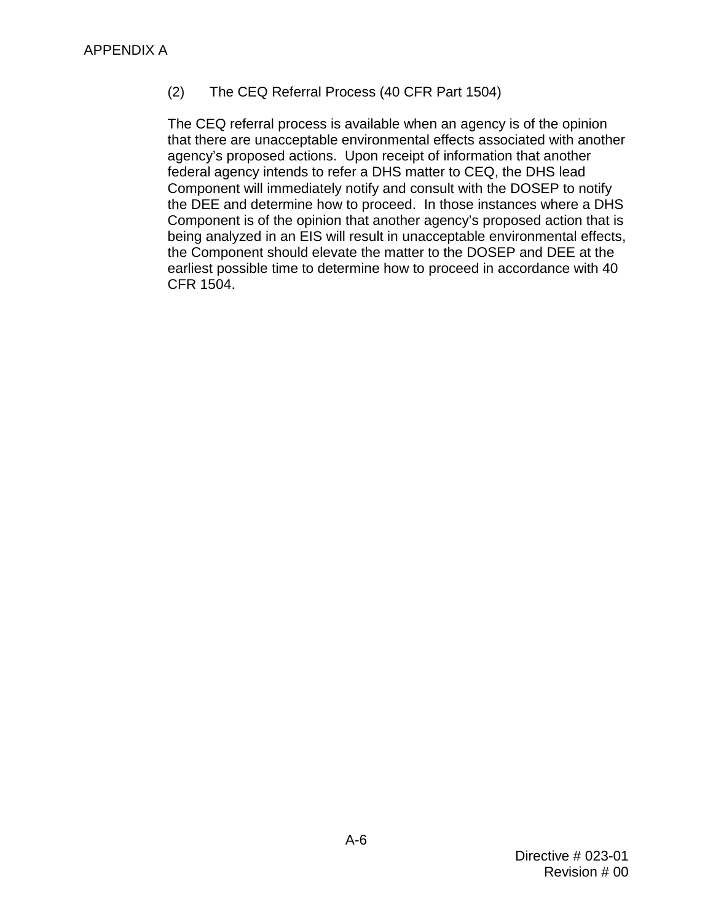## (2) The CEQ Referral Process (40 CFR Part 1504)

 agency's proposed actions. Upon receipt of information that another federal agency intends to refer a DHS matter to CEQ, the DHS lead the DEE and determine how to proceed. In those instances where a DHS The CEQ referral process is available when an agency is of the opinion that there are unacceptable environmental effects associated with another Component will immediately notify and consult with the DOSEP to notify Component is of the opinion that another agency's proposed action that is being analyzed in an EIS will result in unacceptable environmental effects, the Component should elevate the matter to the DOSEP and DEE at the earliest possible time to determine how to proceed in accordance with 40 CFR 1504.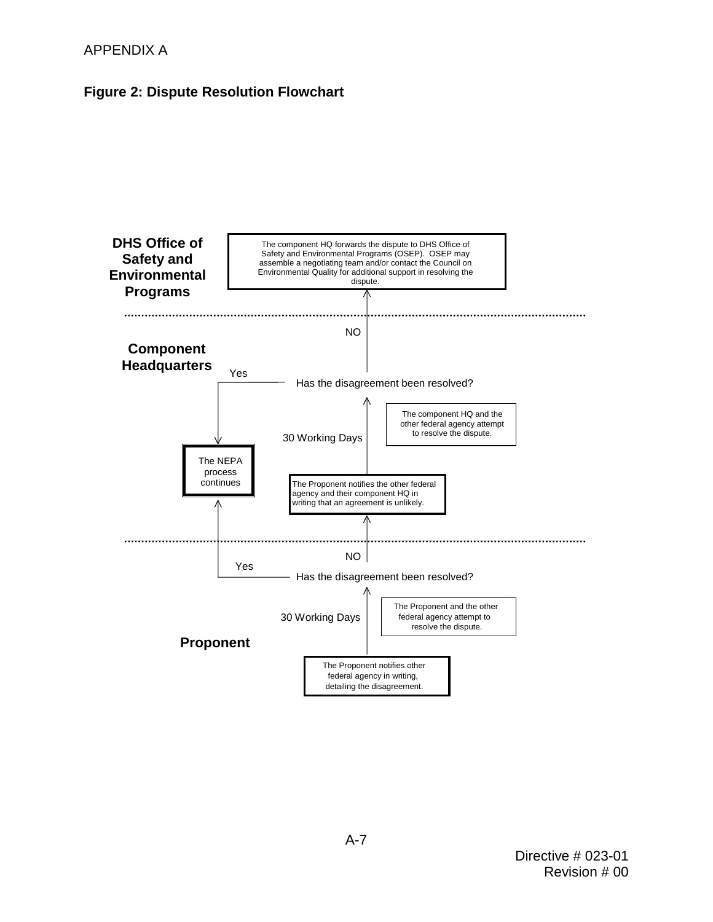## APPENDIX A

## <span id="page-20-0"></span>**Figure 2: Dispute Resolution Flowchart**

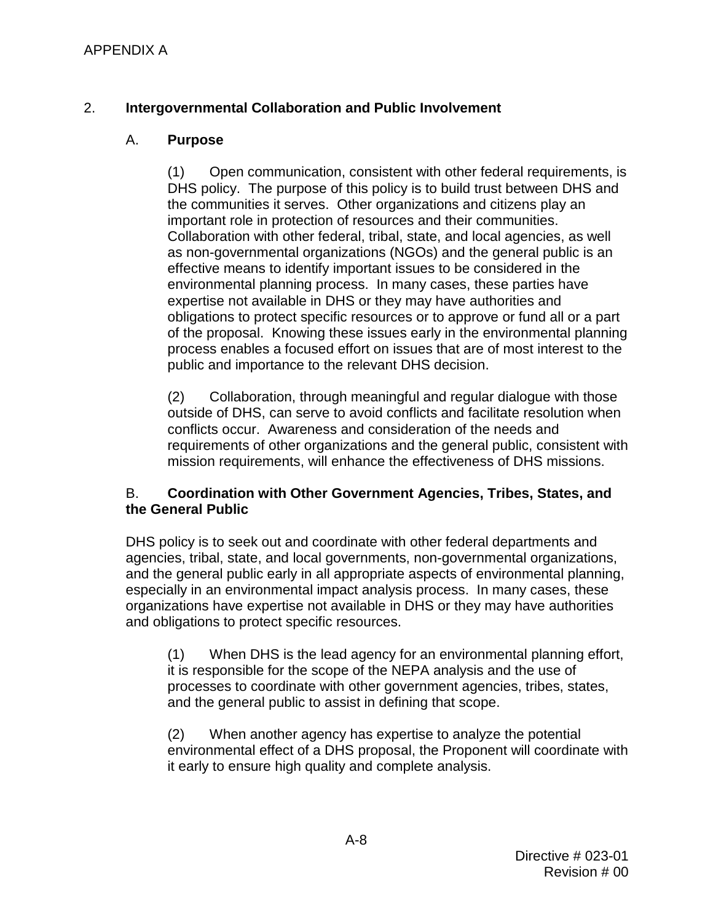## <span id="page-21-0"></span>2. **Intergovernmental Collaboration and Public Involvement**

## A. **Purpose**

important role in protection of resources and their communities. important role in protection of resources and their communities.<br>Collaboration with other federal, tribal, state, and local agencies, as well obligations to protect specific resources or to approve or fund all or a part process enables a focused effort on issues that are of most interest to the (1) Open communication, consistent with other federal requirements, is DHS policy. The purpose of this policy is to build trust between DHS and the communities it serves. Other organizations and citizens play an as non-governmental organizations (NGOs) and the general public is an effective means to identify important issues to be considered in the environmental planning process. In many cases, these parties have expertise not available in DHS or they may have authorities and of the proposal. Knowing these issues early in the environmental planning public and importance to the relevant DHS decision.

 outside of DHS, can serve to avoid conflicts and facilitate resolution when requirements of other organizations and the general public, consistent with (2) Collaboration, through meaningful and regular dialogue with those conflicts occur. Awareness and consideration of the needs and mission requirements, will enhance the effectiveness of DHS missions.

### B. **Coordination with Other Government Agencies, Tribes, States, and the General Public**

 DHS policy is to seek out and coordinate with other federal departments and and obligations to protect specific resources. agencies, tribal, state, and local governments, non-governmental organizations, and the general public early in all appropriate aspects of environmental planning, especially in an environmental impact analysis process. In many cases, these organizations have expertise not available in DHS or they may have authorities

 (1) When DHS is the lead agency for an environmental planning effort, it is responsible for the scope of the NEPA analysis and the use of processes to coordinate with other government agencies, tribes, states, and the general public to assist in defining that scope.

(2) When another agency has expertise to analyze the potential environmental effect of a DHS proposal, the Proponent will coordinate with it early to ensure high quality and complete analysis.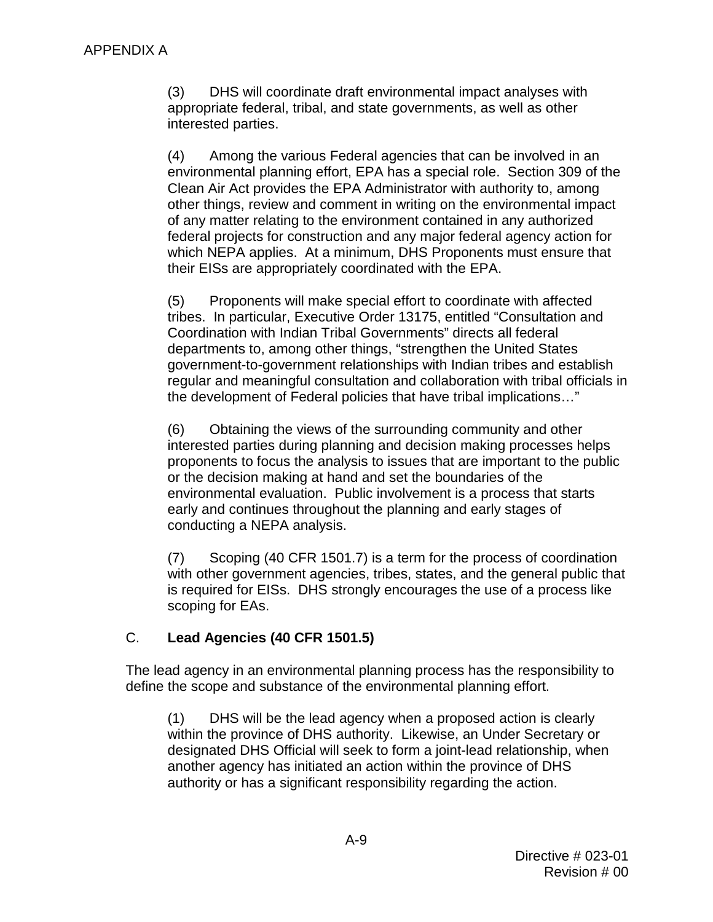$(3)$ DHS will coordinate draft environmental impact analyses with appropriate federal, tribal, and state governments, as well as other interested parties.

 environmental planning effort, EPA has a special role. Section 309 of the federal projects for construction and any major federal agency action for which NEPA applies. At a minimum, DHS Proponents must ensure that (4) Among the various Federal agencies that can be involved in an Clean Air Act provides the EPA Administrator with authority to, among other things, review and comment in writing on the environmental impact of any matter relating to the environment contained in any authorized their EISs are appropriately coordinated with the EPA.

 Coordination with Indian Tribal Governments" directs all federal (5) Proponents will make special effort to coordinate with affected tribes. In particular, Executive Order 13175, entitled "Consultation and departments to, among other things, "strengthen the United States government-to-government relationships with Indian tribes and establish regular and meaningful consultation and collaboration with tribal officials in the development of Federal policies that have tribal implications…"

 or the decision making at hand and set the boundaries of the environmental evaluation. Public involvement is a process that starts (6) Obtaining the views of the surrounding community and other interested parties during planning and decision making processes helps proponents to focus the analysis to issues that are important to the public early and continues throughout the planning and early stages of conducting a NEPA analysis.

 with other government agencies, tribes, states, and the general public that scoping for EAs. (7) Scoping (40 CFR 1501.7) is a term for the process of coordination is required for EISs. DHS strongly encourages the use of a process like

## C. **Lead Agencies (40 CFR 1501.5)**

The lead agency in an environmental planning process has the responsibility to define the scope and substance of the environmental planning effort.

 $(1)$  designated DHS Official will seek to form a joint-lead relationship, when DHS will be the lead agency when a proposed action is clearly within the province of DHS authority. Likewise, an Under Secretary or another agency has initiated an action within the province of DHS authority or has a significant responsibility regarding the action.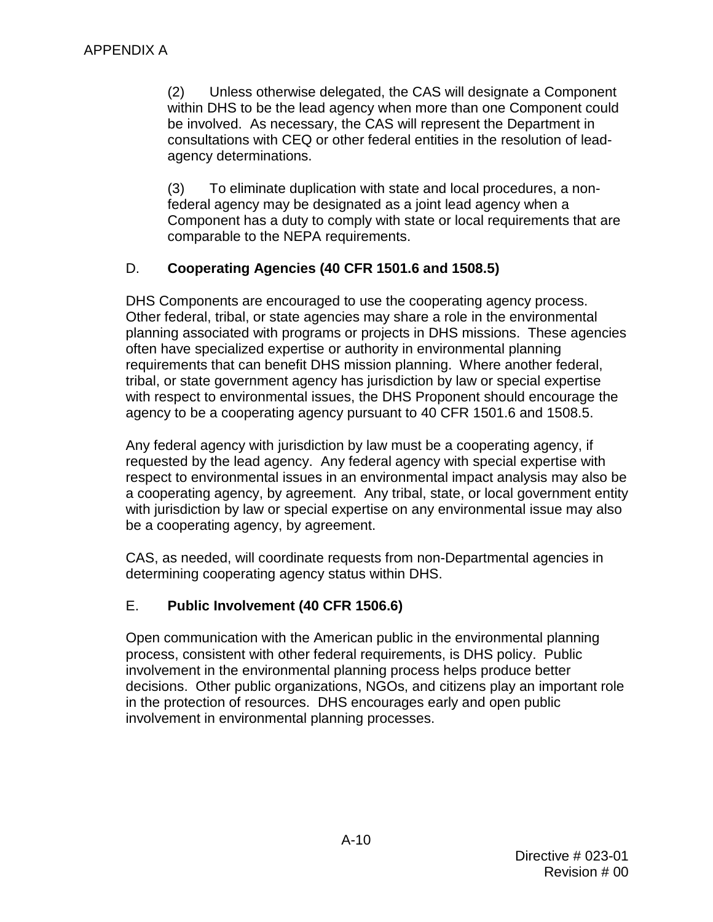consultations with CEQ or other federal entities in the resolution of lead-(2) Unless otherwise delegated, the CAS will designate a Component within DHS to be the lead agency when more than one Component could be involved. As necessary, the CAS will represent the Department in agency determinations.

(3) To eliminate duplication with state and local procedures, a nonfederal agency may be designated as a joint lead agency when a Component has a duty to comply with state or local requirements that are comparable to the NEPA requirements.

## D. **Cooperating Agencies (40 CFR 1501.6 and 1508.5)**

DHS Components are encouraged to use the cooperating agency process. planning associated with programs or projects in DHS missions. These agencies requirements that can benefit DHS mission planning. Where another federal, with respect to environmental issues, the DHS Proponent should encourage the Other federal, tribal, or state agencies may share a role in the environmental often have specialized expertise or authority in environmental planning tribal, or state government agency has jurisdiction by law or special expertise agency to be a cooperating agency pursuant to 40 CFR 1501.6 and 1508.5.

 requested by the lead agency. Any federal agency with special expertise with a cooperating agency, by agreement. Any tribal, state, or local government entity with jurisdiction by law or special expertise on any environmental issue may also Any federal agency with jurisdiction by law must be a cooperating agency, if respect to environmental issues in an environmental impact analysis may also be be a cooperating agency, by agreement.

CAS, as needed, will coordinate requests from non-Departmental agencies in determining cooperating agency status within DHS.

## E. **Public Involvement (40 CFR 1506.6)**

 decisions. Other public organizations, NGOs, and citizens play an important role Open communication with the American public in the environmental planning process, consistent with other federal requirements, is DHS policy. Public involvement in the environmental planning process helps produce better in the protection of resources. DHS encourages early and open public involvement in environmental planning processes.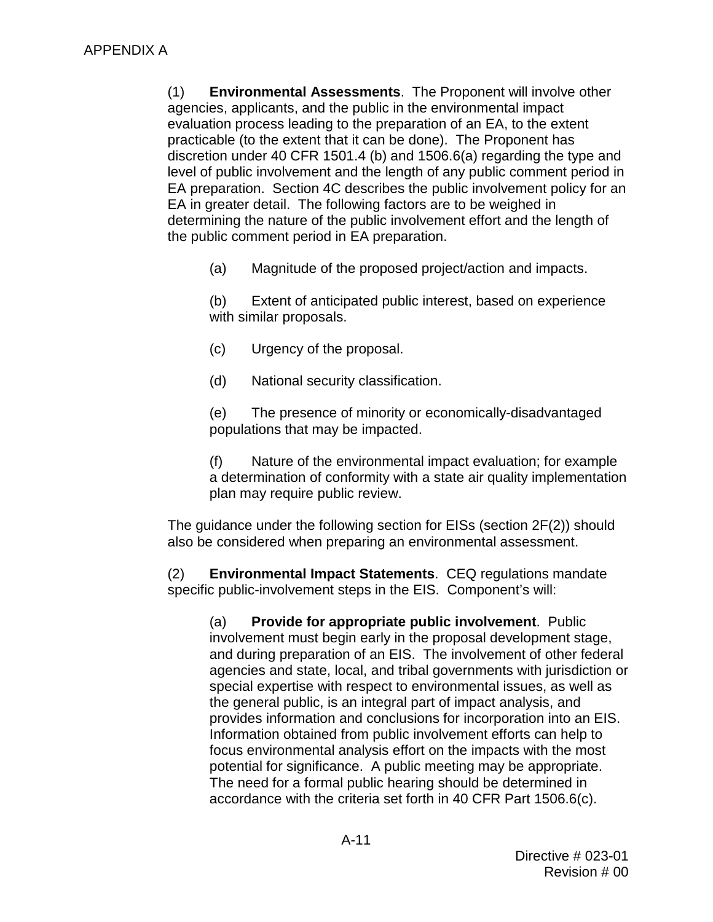agencies, applicants, and the public in the environmental impact EA preparation. Section [4C](#page-49-0) describes the public involvement policy for an EA in greater detail. The following factors are to be weighed in (1) **Environmental Assessments**. The Proponent will involve other evaluation process leading to the preparation of an EA, to the extent practicable (to the extent that it can be done). The Proponent has discretion under 40 CFR 1501.4 (b) and 1506.6(a) regarding the type and level of public involvement and the length of any public comment period in determining the nature of the public involvement effort and the length of the public comment period in EA preparation.

(a) Magnitude of the proposed project/action and impacts.

(b) Extent of anticipated public interest, based on experience with similar proposals.

- (c) Urgency of the proposal.
- (d) National security classification.

(e) The presence of minority or economically-disadvantaged populations that may be impacted.

(f) Nature of the environmental impact evaluation; for example a determination of conformity with a state air quality implementation plan may require public review.

The guidance under the following section for EISs (section [2F](#page-21-0)[\(2\)\)](#page-25-0) should also be considered when preparing an environmental assessment.

 (2) **Environmental Impact Statements**. CEQ regulations mandate specific public-involvement steps in the EIS. Component's will:

 (a) **Provide for appropriate public involvement**. Public and during preparation of an EIS. The involvement of other federal special expertise with respect to environmental issues, as well as provides information and conclusions for incorporation into an EIS. potential for significance. A public meeting may be appropriate. potential for significance. A public meeting may be appropriate.<br>The need for a formal public hearing should be determined in involvement must begin early in the proposal development stage, agencies and state, local, and tribal governments with jurisdiction or the general public, is an integral part of impact analysis, and Information obtained from public involvement efforts can help to focus environmental analysis effort on the impacts with the most accordance with the criteria set forth in 40 CFR Part 1506.6(c).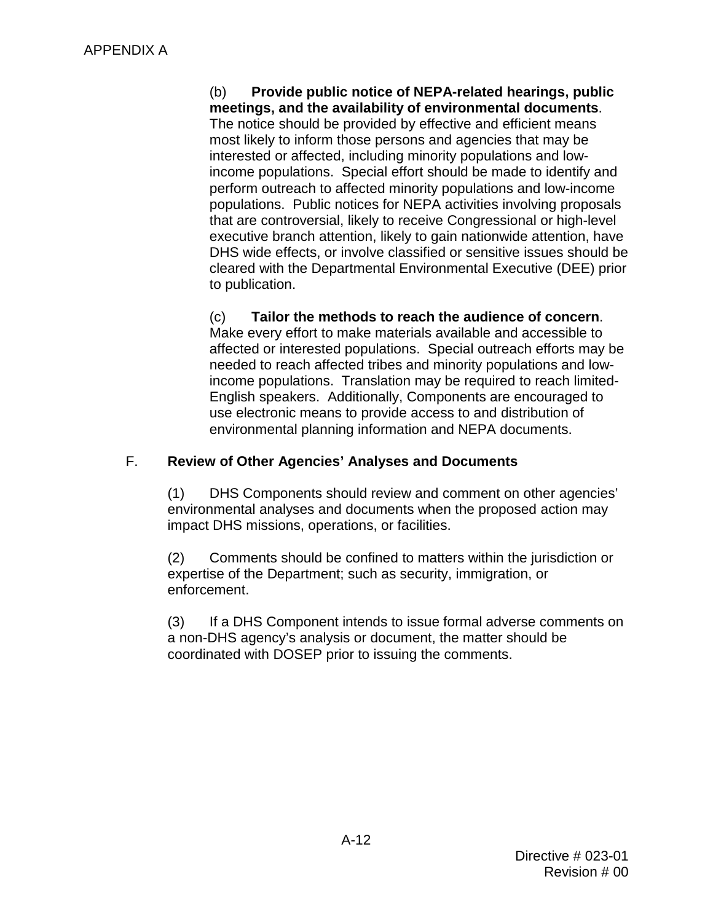meetings, and the availability of environmental documents. **meetings, and the availability of environmental documents**. The notice should be provided by effective and efficient means (b) **Provide public notice of NEPA-related hearings, public**  most likely to inform those persons and agencies that may be interested or affected, including minority populations and lowincome populations. Special effort should be made to identify and perform outreach to affected minority populations and low-income populations. Public notices for NEPA activities involving proposals that are controversial, likely to receive Congressional or high-level executive branch attention, likely to gain nationwide attention, have DHS wide effects, or involve classified or sensitive issues should be cleared with the Departmental Environmental Executive (DEE) prior to publication.

Tailor the methods to reach the audience of concern. income populations. Translation may be required to reach limited- English speakers. Additionally, Components are encouraged to (c) **Tailor the methods to reach the audience of concern**. Make every effort to make materials available and accessible to affected or interested populations. Special outreach efforts may be needed to reach affected tribes and minority populations and lowuse electronic means to provide access to and distribution of environmental planning information and NEPA documents.

## <span id="page-25-1"></span> F. **Review of Other Agencies' Analyses and Documents**

 $(1)$ DHS Components should review and comment on other agencies' environmental analyses and documents when the proposed action may impact DHS missions, operations, or facilities.

<span id="page-25-0"></span>(2) Comments should be confined to matters within the jurisdiction or expertise of the Department; such as security, immigration, or enforcement.

(3) If a DHS Component intends to issue formal adverse comments on a non-DHS agency's analysis or document, the matter should be coordinated with DOSEP prior to issuing the comments.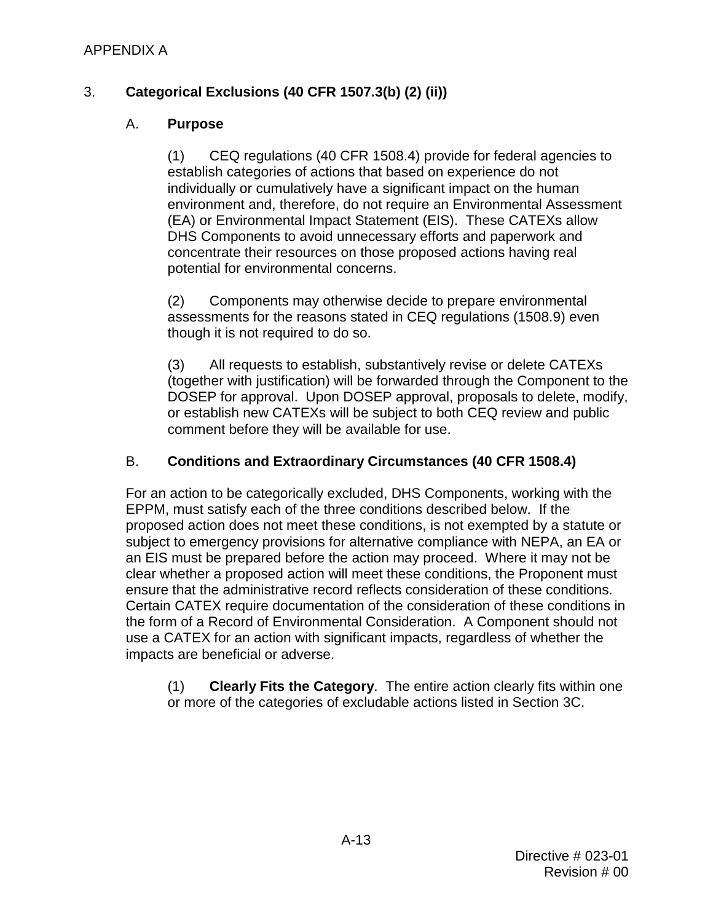## APPENDIX A

## <span id="page-26-0"></span>3. **Categorical Exclusions (40 CFR 1507.3(b) (2) (ii))**

### A. **Purpose**

(1) CEQ regulations (40 CFR 1508.4) provide for federal agencies to establish categories of actions that based on experience do not individually or cumulatively have a significant impact on the human environment and, therefore, do not require an Environmental Assessment (EA) or Environmental Impact Statement (EIS). These CATEXs allow DHS Components to avoid unnecessary efforts and paperwork and concentrate their resources on those proposed actions having real potential for environmental concerns.

(2) Components may otherwise decide to prepare environmental assessments for the reasons stated in CEQ regulations (1508.9) even though it is not required to do so.

 DOSEP for approval. Upon DOSEP approval, proposals to delete, modify, (3) All requests to establish, substantively revise or delete CATEXs (together with justification) will be forwarded through the Component to the or establish new CATEXs will be subject to both CEQ review and public comment before they will be available for use.

### B. **Conditions and Extraordinary Circumstances (40 CFR 1508.4)**

 EPPM, must satisfy each of the three conditions described below. If the proposed action does not meet these conditions, is not exempted by a statute or an EIS must be prepared before the action may proceed. Where it may not be clear whether a proposed action will meet these conditions, the Proponent must ensure that the administrative record reflects consideration of these conditions. the form of a Record of Environmental Consideration. A Component should not For an action to be categorically excluded, DHS Components, working with the subject to emergency provisions for alternative compliance with NEPA, an EA or Certain CATEX require documentation of the consideration of these conditions in use a CATEX for an action with significant impacts, regardless of whether the impacts are beneficial or adverse.

(1) **Clearly Fits the Category**. The entire action clearly fits within one or more of the categories of excludable actions listed in Section [3C.](#page-26-0)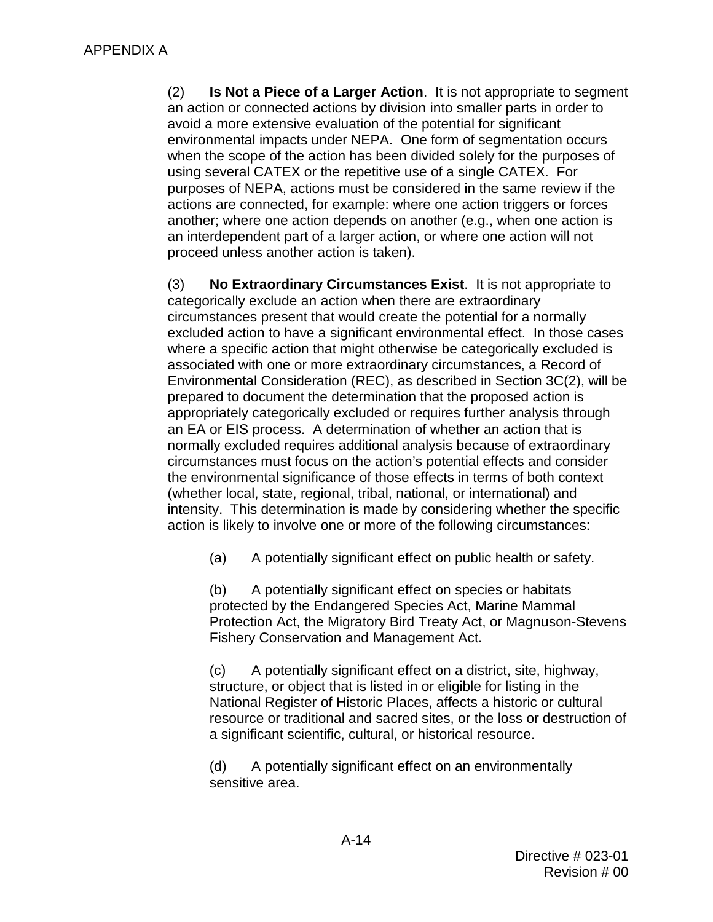when the scope of the action has been divided solely for the purposes of purposes of NEPA, actions must be considered in the same review if the (2) **Is Not a Piece of a Larger Action**. It is not appropriate to segment an action or connected actions by division into smaller parts in order to avoid a more extensive evaluation of the potential for significant environmental impacts under NEPA. One form of segmentation occurs using several CATEX or the repetitive use of a single CATEX. For actions are connected, for example: where one action triggers or forces another; where one action depends on another (e.g., when one action is an interdependent part of a larger action, or where one action will not proceed unless another action is taken).

 an EA or EIS process. A determination of whether an action that is circumstances must focus on the action's potential effects and consider intensity. This determination is made by considering whether the specific action is likely to involve one or more of the following circumstances: (3) **No Extraordinary Circumstances Exist**. It is not appropriate to categorically exclude an action when there are extraordinary circumstances present that would create the potential for a normally excluded action to have a significant environmental effect. In those cases where a specific action that might otherwise be categorically excluded is associated with one or more extraordinary circumstances, a Record of Environmental Consideration (REC), as described in Section [3C](#page-26-0)[\(2\),](#page-29-0) will be prepared to document the determination that the proposed action is appropriately categorically excluded or requires further analysis through normally excluded requires additional analysis because of extraordinary the environmental significance of those effects in terms of both context (whether local, state, regional, tribal, national, or international) and

(a) A potentially significant effect on public health or safety.

 (b) A potentially significant effect on species or habitats protected by the Endangered Species Act, Marine Mammal Protection Act, the Migratory Bird Treaty Act, or Magnuson-Stevens Fishery Conservation and Management Act.

 $(c)$  a significant scientific, cultural, or historical resource. A potentially significant effect on a district, site, highway, structure, or object that is listed in or eligible for listing in the National Register of Historic Places, affects a historic or cultural resource or traditional and sacred sites, or the loss or destruction of

 (d) A potentially significant effect on an environmentally sensitive area.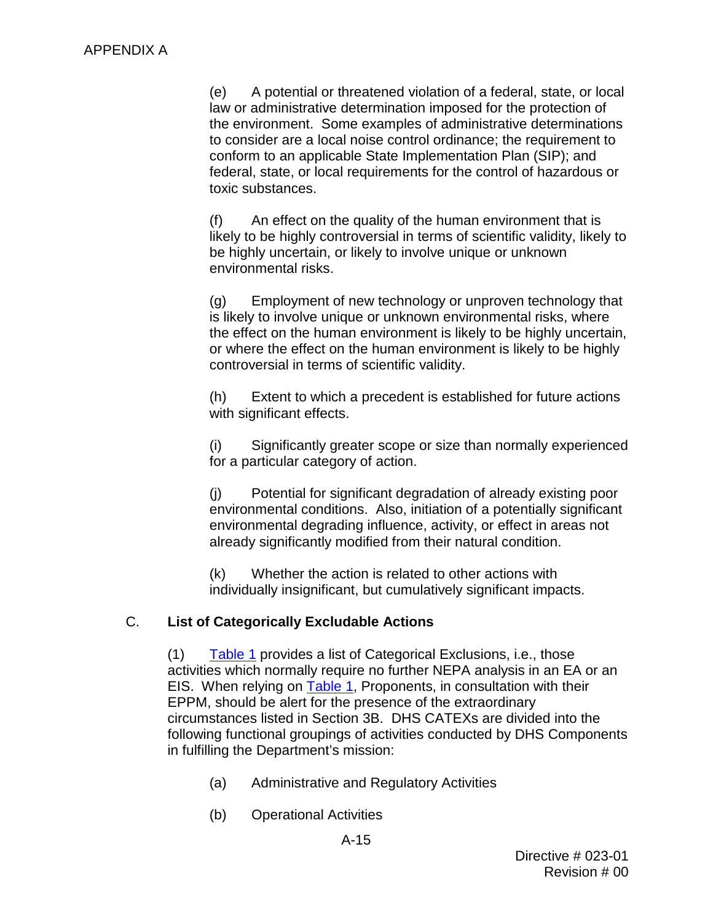law or administrative determination imposed for the protection of the environment. Some examples of administrative determinations federal, state, or local requirements for the control of hazardous or (e) A potential or threatened violation of a federal, state, or local to consider are a local noise control ordinance; the requirement to conform to an applicable State Implementation Plan (SIP); and toxic substances.

(f) An effect on the quality of the human environment that is likely to be highly controversial in terms of scientific validity, likely to be highly uncertain, or likely to involve unique or unknown environmental risks.

 (g) Employment of new technology or unproven technology that is likely to involve unique or unknown environmental risks, where the effect on the human environment is likely to be highly uncertain, or where the effect on the human environment is likely to be highly controversial in terms of scientific validity.

(h) Extent to which a precedent is established for future actions with significant effects.

(i) Significantly greater scope or size than normally experienced for a particular category of action.

 environmental conditions. Also, initiation of a potentially significant (j) Potential for significant degradation of already existing poor environmental degrading influence, activity, or effect in areas not already significantly modified from their natural condition.

(k) Whether the action is related to other actions with individually insignificant, but cumulatively significant impacts.

## C. **List of Categorically Excludable Actions**

EIS. When relying on **Table 1**, Proponents, in consultation with their (1) [Table 1](#page-30-0) provides a list of Categorical Exclusions, i.e., those activities which normally require no further NEPA analysis in an EA or an EPPM, should be alert for the presence of the extraordinary circumstances listed in Section [3B.](#page-26-0) DHS CATEXs are divided into the following functional groupings of activities conducted by DHS Components in fulfilling the Department's mission:

- (a) Administrative and Regulatory Activities
- (b) Operational Activities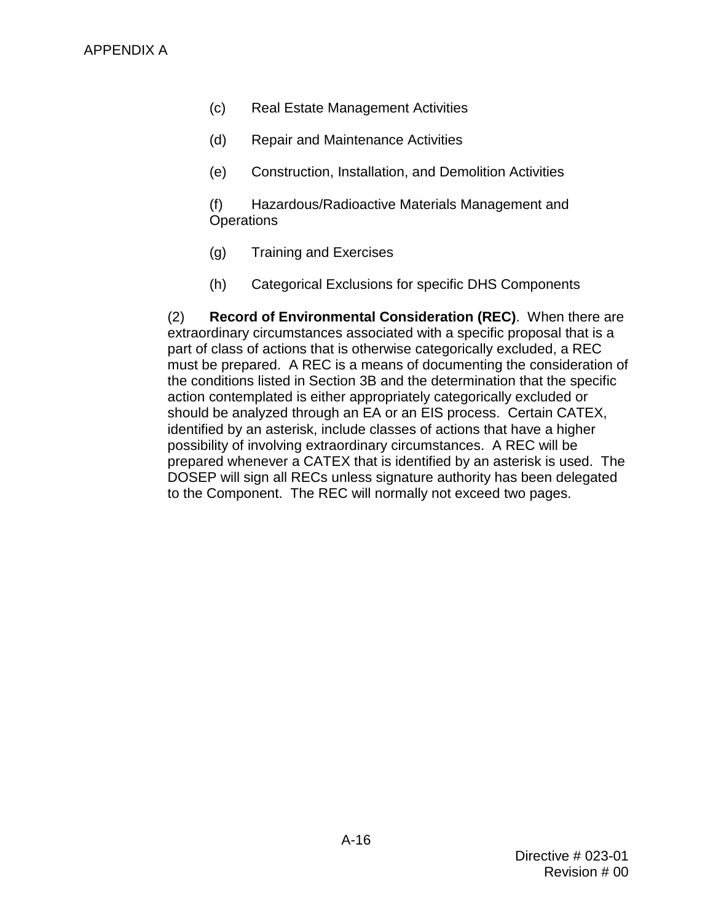- (c) Real Estate Management Activities
- (d) Repair and Maintenance Activities
- (e) Construction, Installation, and Demolition Activities

(f) Hazardous/Radioactive Materials Management and **Operations** 

- (g) Training and Exercises
- (h) Categorical Exclusions for specific DHS Components

<span id="page-29-0"></span> (2) **Record of Environmental Consideration (REC)**. When there are part of class of actions that is otherwise categorically excluded, a REC identified by an asterisk, include classes of actions that have a higher prepared whenever a CATEX that is identified by an asterisk is used. The to the Component. The REC will normally not exceed two pages. extraordinary circumstances associated with a specific proposal that is a must be prepared. A REC is a means of documenting the consideration of the conditions listed in Section [3B](#page-26-0) and the determination that the specific action contemplated is either appropriately categorically excluded or should be analyzed through an EA or an EIS process. Certain CATEX, possibility of involving extraordinary circumstances. A REC will be DOSEP will sign all RECs unless signature authority has been delegated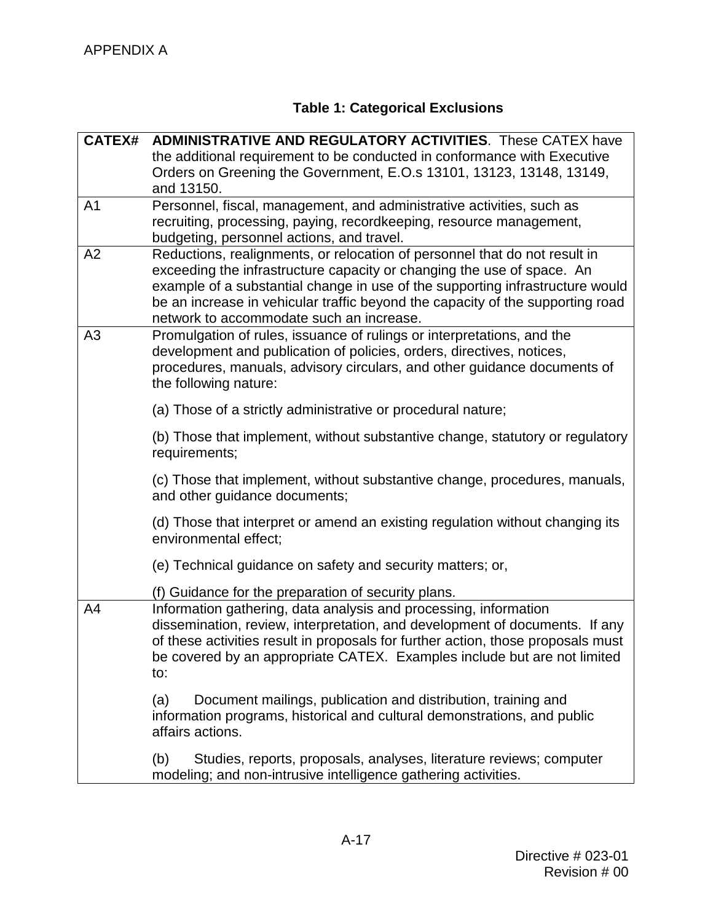## **Table 1: Categorical Exclusions**

<span id="page-30-0"></span>

|                | <b>ADMINISTRATIVE AND REGULATORY ACTIVITIES.</b> These CATEX have                                                                                                                                                                                                                                                                                    |  |  |  |
|----------------|------------------------------------------------------------------------------------------------------------------------------------------------------------------------------------------------------------------------------------------------------------------------------------------------------------------------------------------------------|--|--|--|
|                | the additional requirement to be conducted in conformance with Executive                                                                                                                                                                                                                                                                             |  |  |  |
|                | Orders on Greening the Government, E.O.s 13101, 13123, 13148, 13149,                                                                                                                                                                                                                                                                                 |  |  |  |
|                | and 13150.                                                                                                                                                                                                                                                                                                                                           |  |  |  |
| A <sub>1</sub> | Personnel, fiscal, management, and administrative activities, such as                                                                                                                                                                                                                                                                                |  |  |  |
|                | recruiting, processing, paying, recordkeeping, resource management,                                                                                                                                                                                                                                                                                  |  |  |  |
|                | budgeting, personnel actions, and travel.                                                                                                                                                                                                                                                                                                            |  |  |  |
| A2             | Reductions, realignments, or relocation of personnel that do not result in                                                                                                                                                                                                                                                                           |  |  |  |
|                | exceeding the infrastructure capacity or changing the use of space. An                                                                                                                                                                                                                                                                               |  |  |  |
|                | example of a substantial change in use of the supporting infrastructure would                                                                                                                                                                                                                                                                        |  |  |  |
|                | be an increase in vehicular traffic beyond the capacity of the supporting road                                                                                                                                                                                                                                                                       |  |  |  |
|                | network to accommodate such an increase.                                                                                                                                                                                                                                                                                                             |  |  |  |
| A3             | Promulgation of rules, issuance of rulings or interpretations, and the                                                                                                                                                                                                                                                                               |  |  |  |
|                | development and publication of policies, orders, directives, notices,                                                                                                                                                                                                                                                                                |  |  |  |
|                |                                                                                                                                                                                                                                                                                                                                                      |  |  |  |
|                |                                                                                                                                                                                                                                                                                                                                                      |  |  |  |
|                | (a) Those of a strictly administrative or procedural nature;                                                                                                                                                                                                                                                                                         |  |  |  |
|                | (b) Those that implement, without substantive change, statutory or regulatory                                                                                                                                                                                                                                                                        |  |  |  |
|                |                                                                                                                                                                                                                                                                                                                                                      |  |  |  |
|                | (c) Those that implement, without substantive change, procedures, manuals,                                                                                                                                                                                                                                                                           |  |  |  |
|                | and other guidance documents;                                                                                                                                                                                                                                                                                                                        |  |  |  |
|                | (d) Those that interpret or amend an existing regulation without changing its                                                                                                                                                                                                                                                                        |  |  |  |
|                | environmental effect;                                                                                                                                                                                                                                                                                                                                |  |  |  |
|                | (e) Technical guidance on safety and security matters; or,                                                                                                                                                                                                                                                                                           |  |  |  |
|                | (f) Guidance for the preparation of security plans.                                                                                                                                                                                                                                                                                                  |  |  |  |
| A4             | Information gathering, data analysis and processing, information                                                                                                                                                                                                                                                                                     |  |  |  |
|                | dissemination, review, interpretation, and development of documents. If any                                                                                                                                                                                                                                                                          |  |  |  |
|                | of these activities result in proposals for further action, those proposals must                                                                                                                                                                                                                                                                     |  |  |  |
|                | be covered by an appropriate CATEX. Examples include but are not limited                                                                                                                                                                                                                                                                             |  |  |  |
|                | to:                                                                                                                                                                                                                                                                                                                                                  |  |  |  |
|                |                                                                                                                                                                                                                                                                                                                                                      |  |  |  |
|                |                                                                                                                                                                                                                                                                                                                                                      |  |  |  |
|                | affairs actions.                                                                                                                                                                                                                                                                                                                                     |  |  |  |
|                |                                                                                                                                                                                                                                                                                                                                                      |  |  |  |
|                | modeling; and non-intrusive intelligence gathering activities.                                                                                                                                                                                                                                                                                       |  |  |  |
|                | procedures, manuals, advisory circulars, and other guidance documents of<br>the following nature:<br>requirements;<br>Document mailings, publication and distribution, training and<br>(a)<br>information programs, historical and cultural demonstrations, and public<br>(b)<br>Studies, reports, proposals, analyses, literature reviews; computer |  |  |  |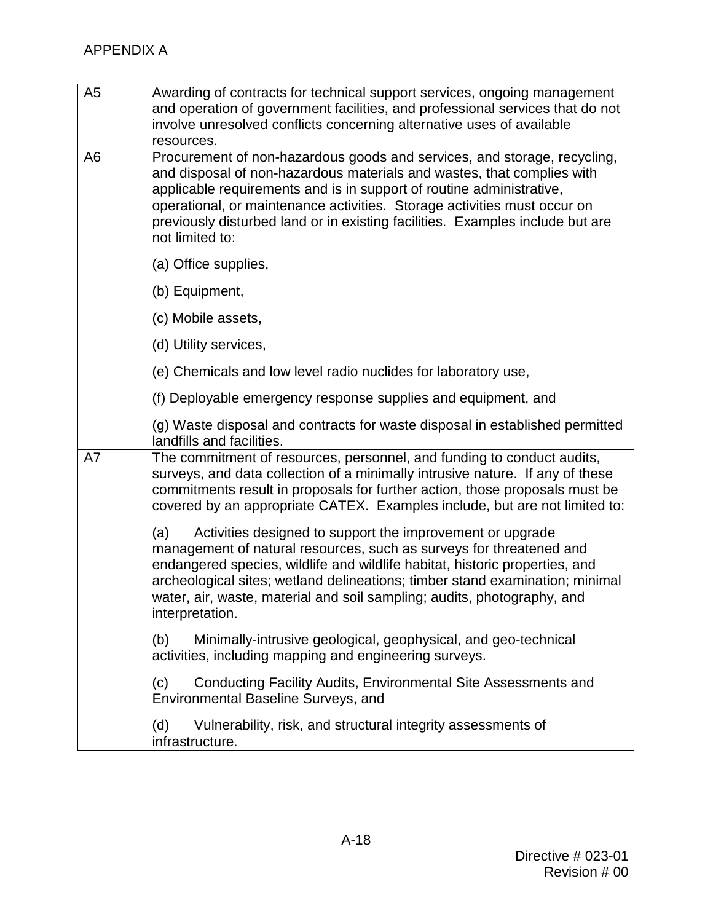| A <sub>5</sub> | Awarding of contracts for technical support services, ongoing management<br>and operation of government facilities, and professional services that do not<br>involve unresolved conflicts concerning alternative uses of available<br>resources.                                                                                                                                                           |
|----------------|------------------------------------------------------------------------------------------------------------------------------------------------------------------------------------------------------------------------------------------------------------------------------------------------------------------------------------------------------------------------------------------------------------|
| A <sub>6</sub> | Procurement of non-hazardous goods and services, and storage, recycling,<br>and disposal of non-hazardous materials and wastes, that complies with<br>applicable requirements and is in support of routine administrative,<br>operational, or maintenance activities. Storage activities must occur on<br>previously disturbed land or in existing facilities. Examples include but are<br>not limited to: |
|                | (a) Office supplies,                                                                                                                                                                                                                                                                                                                                                                                       |
|                | (b) Equipment,                                                                                                                                                                                                                                                                                                                                                                                             |
|                | (c) Mobile assets,                                                                                                                                                                                                                                                                                                                                                                                         |
|                | (d) Utility services,                                                                                                                                                                                                                                                                                                                                                                                      |
|                | (e) Chemicals and low level radio nuclides for laboratory use,                                                                                                                                                                                                                                                                                                                                             |
|                | (f) Deployable emergency response supplies and equipment, and                                                                                                                                                                                                                                                                                                                                              |
|                | (g) Waste disposal and contracts for waste disposal in established permitted<br>landfills and facilities.                                                                                                                                                                                                                                                                                                  |
| A7             | The commitment of resources, personnel, and funding to conduct audits,<br>surveys, and data collection of a minimally intrusive nature. If any of these<br>commitments result in proposals for further action, those proposals must be<br>covered by an appropriate CATEX. Examples include, but are not limited to:                                                                                       |
|                | (a)<br>Activities designed to support the improvement or upgrade<br>management of natural resources, such as surveys for threatened and<br>endangered species, wildlife and wildlife habitat, historic properties, and<br>archeological sites; wetland delineations; timber stand examination; minimal<br>water, air, waste, material and soil sampling; audits, photography, and<br>interpretation.       |
|                | (b)<br>Minimally-intrusive geological, geophysical, and geo-technical<br>activities, including mapping and engineering surveys.                                                                                                                                                                                                                                                                            |
|                | Conducting Facility Audits, Environmental Site Assessments and<br>(c)<br><b>Environmental Baseline Surveys, and</b>                                                                                                                                                                                                                                                                                        |
|                | (d)<br>Vulnerability, risk, and structural integrity assessments of<br>infrastructure.                                                                                                                                                                                                                                                                                                                     |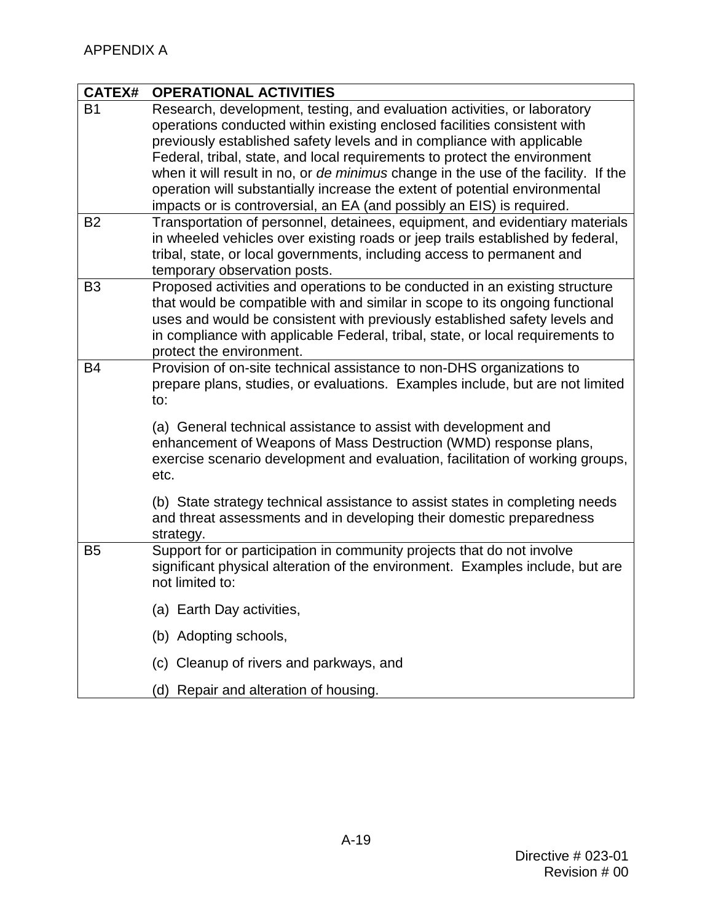| <b>CATEX#</b>                    | <b>OPERATIONAL ACTIVITIES</b>                                                                                                                                                                                                                                                                                                                                                                                                                                                                                                                                                                                                             |
|----------------------------------|-------------------------------------------------------------------------------------------------------------------------------------------------------------------------------------------------------------------------------------------------------------------------------------------------------------------------------------------------------------------------------------------------------------------------------------------------------------------------------------------------------------------------------------------------------------------------------------------------------------------------------------------|
| B <sub>1</sub><br>B <sub>2</sub> | Research, development, testing, and evaluation activities, or laboratory<br>operations conducted within existing enclosed facilities consistent with<br>previously established safety levels and in compliance with applicable<br>Federal, tribal, state, and local requirements to protect the environment<br>when it will result in no, or de minimus change in the use of the facility. If the<br>operation will substantially increase the extent of potential environmental<br>impacts or is controversial, an EA (and possibly an EIS) is required.<br>Transportation of personnel, detainees, equipment, and evidentiary materials |
|                                  | in wheeled vehicles over existing roads or jeep trails established by federal,<br>tribal, state, or local governments, including access to permanent and<br>temporary observation posts.                                                                                                                                                                                                                                                                                                                                                                                                                                                  |
| B <sub>3</sub>                   | Proposed activities and operations to be conducted in an existing structure<br>that would be compatible with and similar in scope to its ongoing functional<br>uses and would be consistent with previously established safety levels and<br>in compliance with applicable Federal, tribal, state, or local requirements to<br>protect the environment.                                                                                                                                                                                                                                                                                   |
| <b>B4</b>                        | Provision of on-site technical assistance to non-DHS organizations to<br>prepare plans, studies, or evaluations. Examples include, but are not limited<br>to:                                                                                                                                                                                                                                                                                                                                                                                                                                                                             |
|                                  | (a) General technical assistance to assist with development and<br>enhancement of Weapons of Mass Destruction (WMD) response plans,<br>exercise scenario development and evaluation, facilitation of working groups,<br>etc.                                                                                                                                                                                                                                                                                                                                                                                                              |
|                                  | (b) State strategy technical assistance to assist states in completing needs<br>and threat assessments and in developing their domestic preparedness<br>strategy.                                                                                                                                                                                                                                                                                                                                                                                                                                                                         |
| B <sub>5</sub>                   | Support for or participation in community projects that do not involve<br>significant physical alteration of the environment. Examples include, but are<br>not limited to:                                                                                                                                                                                                                                                                                                                                                                                                                                                                |
|                                  | (a) Earth Day activities,                                                                                                                                                                                                                                                                                                                                                                                                                                                                                                                                                                                                                 |
|                                  | (b) Adopting schools,                                                                                                                                                                                                                                                                                                                                                                                                                                                                                                                                                                                                                     |
|                                  | (c) Cleanup of rivers and parkways, and                                                                                                                                                                                                                                                                                                                                                                                                                                                                                                                                                                                                   |
|                                  | (d) Repair and alteration of housing.                                                                                                                                                                                                                                                                                                                                                                                                                                                                                                                                                                                                     |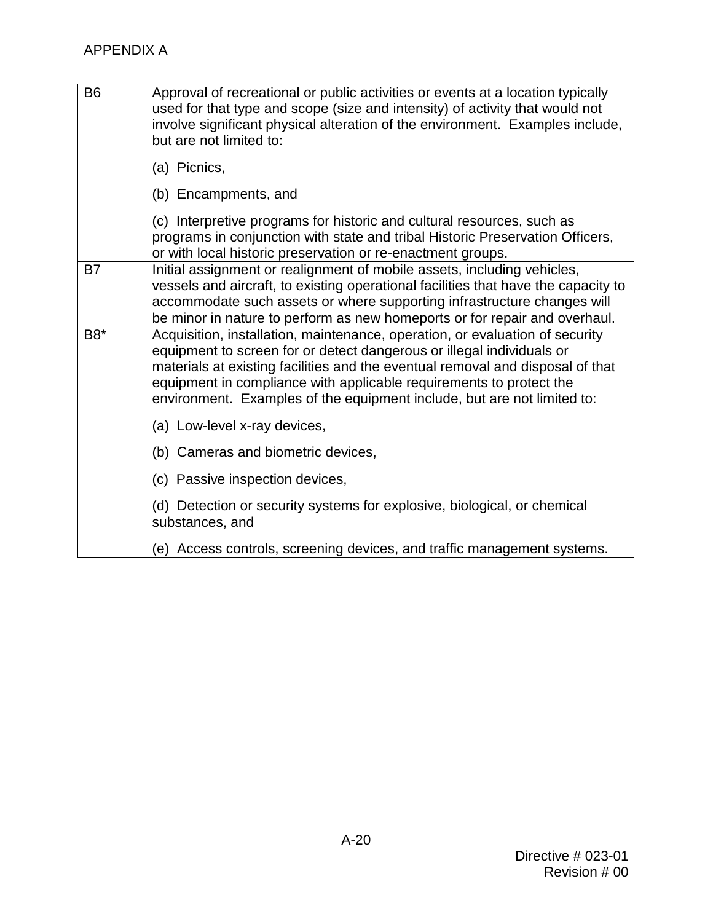| <b>B6</b> | Approval of recreational or public activities or events at a location typically<br>used for that type and scope (size and intensity) of activity that would not<br>involve significant physical alteration of the environment. Examples include,<br>but are not limited to:                                                                                                               |
|-----------|-------------------------------------------------------------------------------------------------------------------------------------------------------------------------------------------------------------------------------------------------------------------------------------------------------------------------------------------------------------------------------------------|
|           | (a) Picnics,                                                                                                                                                                                                                                                                                                                                                                              |
|           | (b) Encampments, and                                                                                                                                                                                                                                                                                                                                                                      |
|           | (c) Interpretive programs for historic and cultural resources, such as<br>programs in conjunction with state and tribal Historic Preservation Officers,<br>or with local historic preservation or re-enactment groups.                                                                                                                                                                    |
| B7        | Initial assignment or realignment of mobile assets, including vehicles,<br>vessels and aircraft, to existing operational facilities that have the capacity to<br>accommodate such assets or where supporting infrastructure changes will<br>be minor in nature to perform as new homeports or for repair and overhaul.                                                                    |
| B8*       | Acquisition, installation, maintenance, operation, or evaluation of security<br>equipment to screen for or detect dangerous or illegal individuals or<br>materials at existing facilities and the eventual removal and disposal of that<br>equipment in compliance with applicable requirements to protect the<br>environment. Examples of the equipment include, but are not limited to: |
|           | (a) Low-level x-ray devices,                                                                                                                                                                                                                                                                                                                                                              |
|           | (b) Cameras and biometric devices,                                                                                                                                                                                                                                                                                                                                                        |
|           | (c) Passive inspection devices,                                                                                                                                                                                                                                                                                                                                                           |
|           | (d) Detection or security systems for explosive, biological, or chemical<br>substances, and                                                                                                                                                                                                                                                                                               |
|           | (e) Access controls, screening devices, and traffic management systems.                                                                                                                                                                                                                                                                                                                   |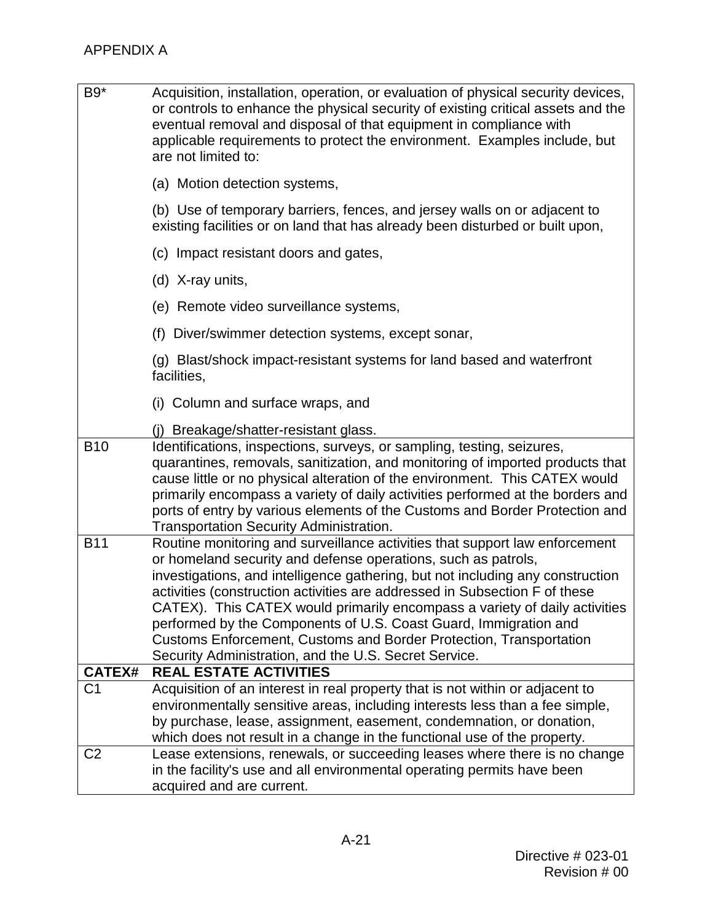| B9*            | Acquisition, installation, operation, or evaluation of physical security devices,<br>or controls to enhance the physical security of existing critical assets and the<br>eventual removal and disposal of that equipment in compliance with<br>applicable requirements to protect the environment. Examples include, but<br>are not limited to:                                                                                                                                                                                                                                               |  |
|----------------|-----------------------------------------------------------------------------------------------------------------------------------------------------------------------------------------------------------------------------------------------------------------------------------------------------------------------------------------------------------------------------------------------------------------------------------------------------------------------------------------------------------------------------------------------------------------------------------------------|--|
|                | (a) Motion detection systems,                                                                                                                                                                                                                                                                                                                                                                                                                                                                                                                                                                 |  |
|                | (b) Use of temporary barriers, fences, and jersey walls on or adjacent to<br>existing facilities or on land that has already been disturbed or built upon,                                                                                                                                                                                                                                                                                                                                                                                                                                    |  |
|                | (c) Impact resistant doors and gates,                                                                                                                                                                                                                                                                                                                                                                                                                                                                                                                                                         |  |
|                | (d) X-ray units,                                                                                                                                                                                                                                                                                                                                                                                                                                                                                                                                                                              |  |
|                | (e) Remote video surveillance systems,                                                                                                                                                                                                                                                                                                                                                                                                                                                                                                                                                        |  |
|                | (f) Diver/swimmer detection systems, except sonar,                                                                                                                                                                                                                                                                                                                                                                                                                                                                                                                                            |  |
|                | (g) Blast/shock impact-resistant systems for land based and waterfront<br>facilities,                                                                                                                                                                                                                                                                                                                                                                                                                                                                                                         |  |
|                | (i) Column and surface wraps, and                                                                                                                                                                                                                                                                                                                                                                                                                                                                                                                                                             |  |
|                | (j) Breakage/shatter-resistant glass.                                                                                                                                                                                                                                                                                                                                                                                                                                                                                                                                                         |  |
| <b>B10</b>     | Identifications, inspections, surveys, or sampling, testing, seizures,<br>quarantines, removals, sanitization, and monitoring of imported products that<br>cause little or no physical alteration of the environment. This CATEX would<br>primarily encompass a variety of daily activities performed at the borders and<br>ports of entry by various elements of the Customs and Border Protection and<br><b>Transportation Security Administration.</b>                                                                                                                                     |  |
| <b>B11</b>     | Routine monitoring and surveillance activities that support law enforcement<br>or homeland security and defense operations, such as patrols,<br>investigations, and intelligence gathering, but not including any construction<br>activities (construction activities are addressed in Subsection F of these<br>CATEX). This CATEX would primarily encompass a variety of daily activities<br>performed by the Components of U.S. Coast Guard, Immigration and<br>Customs Enforcement, Customs and Border Protection, Transportation<br>Security Administration, and the U.S. Secret Service. |  |
| <b>CATEX#</b>  | <b>REAL ESTATE ACTIVITIES</b>                                                                                                                                                                                                                                                                                                                                                                                                                                                                                                                                                                 |  |
| C <sub>1</sub> | Acquisition of an interest in real property that is not within or adjacent to<br>environmentally sensitive areas, including interests less than a fee simple,<br>by purchase, lease, assignment, easement, condemnation, or donation,<br>which does not result in a change in the functional use of the property.                                                                                                                                                                                                                                                                             |  |
| C2             | Lease extensions, renewals, or succeeding leases where there is no change<br>in the facility's use and all environmental operating permits have been<br>acquired and are current.                                                                                                                                                                                                                                                                                                                                                                                                             |  |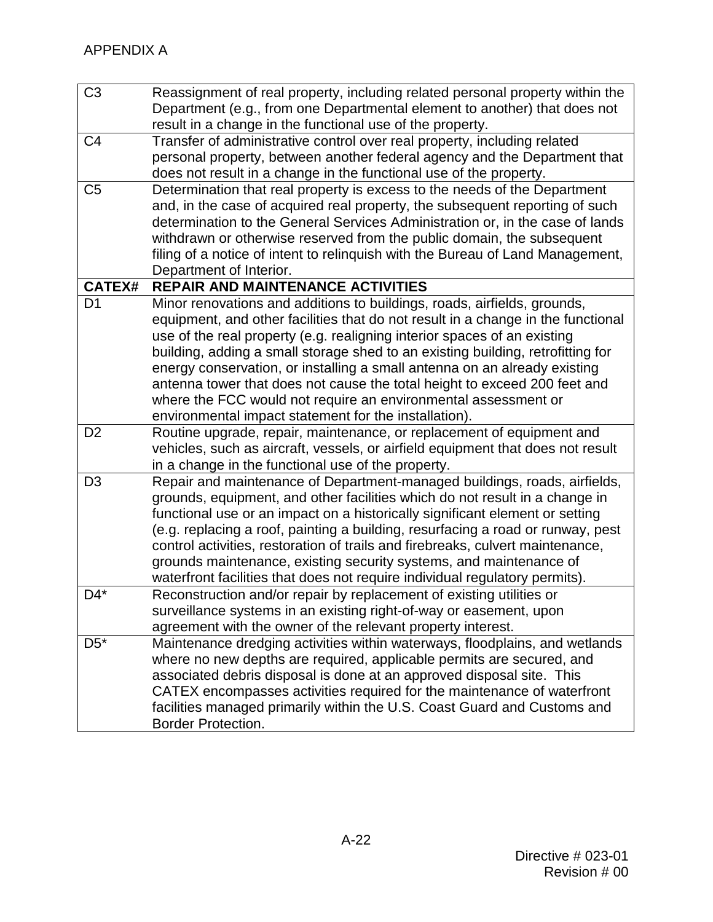| C <sub>3</sub> | Reassignment of real property, including related personal property within the<br>Department (e.g., from one Departmental element to another) that does not<br>result in a change in the functional use of the property.                                                                                                                                                                                                                                                                                                                                                                                          |
|----------------|------------------------------------------------------------------------------------------------------------------------------------------------------------------------------------------------------------------------------------------------------------------------------------------------------------------------------------------------------------------------------------------------------------------------------------------------------------------------------------------------------------------------------------------------------------------------------------------------------------------|
| C <sub>4</sub> | Transfer of administrative control over real property, including related<br>personal property, between another federal agency and the Department that<br>does not result in a change in the functional use of the property.                                                                                                                                                                                                                                                                                                                                                                                      |
| C <sub>5</sub> | Determination that real property is excess to the needs of the Department<br>and, in the case of acquired real property, the subsequent reporting of such<br>determination to the General Services Administration or, in the case of lands<br>withdrawn or otherwise reserved from the public domain, the subsequent<br>filing of a notice of intent to relinquish with the Bureau of Land Management,<br>Department of Interior.                                                                                                                                                                                |
| <b>CATEX#</b>  | <b>REPAIR AND MAINTENANCE ACTIVITIES</b>                                                                                                                                                                                                                                                                                                                                                                                                                                                                                                                                                                         |
| D <sub>1</sub> | Minor renovations and additions to buildings, roads, airfields, grounds,<br>equipment, and other facilities that do not result in a change in the functional<br>use of the real property (e.g. realigning interior spaces of an existing<br>building, adding a small storage shed to an existing building, retrofitting for<br>energy conservation, or installing a small antenna on an already existing<br>antenna tower that does not cause the total height to exceed 200 feet and<br>where the FCC would not require an environmental assessment or<br>environmental impact statement for the installation). |
| D <sub>2</sub> | Routine upgrade, repair, maintenance, or replacement of equipment and<br>vehicles, such as aircraft, vessels, or airfield equipment that does not result<br>in a change in the functional use of the property.                                                                                                                                                                                                                                                                                                                                                                                                   |
| D <sub>3</sub> | Repair and maintenance of Department-managed buildings, roads, airfields,<br>grounds, equipment, and other facilities which do not result in a change in<br>functional use or an impact on a historically significant element or setting<br>(e.g. replacing a roof, painting a building, resurfacing a road or runway, pest<br>control activities, restoration of trails and firebreaks, culvert maintenance,<br>grounds maintenance, existing security systems, and maintenance of<br>waterfront facilities that does not require individual regulatory permits).                                               |
| $D4^*$         | Reconstruction and/or repair by replacement of existing utilities or<br>surveillance systems in an existing right-of-way or easement, upon<br>agreement with the owner of the relevant property interest.                                                                                                                                                                                                                                                                                                                                                                                                        |
| $D5^*$         | Maintenance dredging activities within waterways, floodplains, and wetlands<br>where no new depths are required, applicable permits are secured, and<br>associated debris disposal is done at an approved disposal site. This<br>CATEX encompasses activities required for the maintenance of waterfront<br>facilities managed primarily within the U.S. Coast Guard and Customs and<br><b>Border Protection.</b>                                                                                                                                                                                                |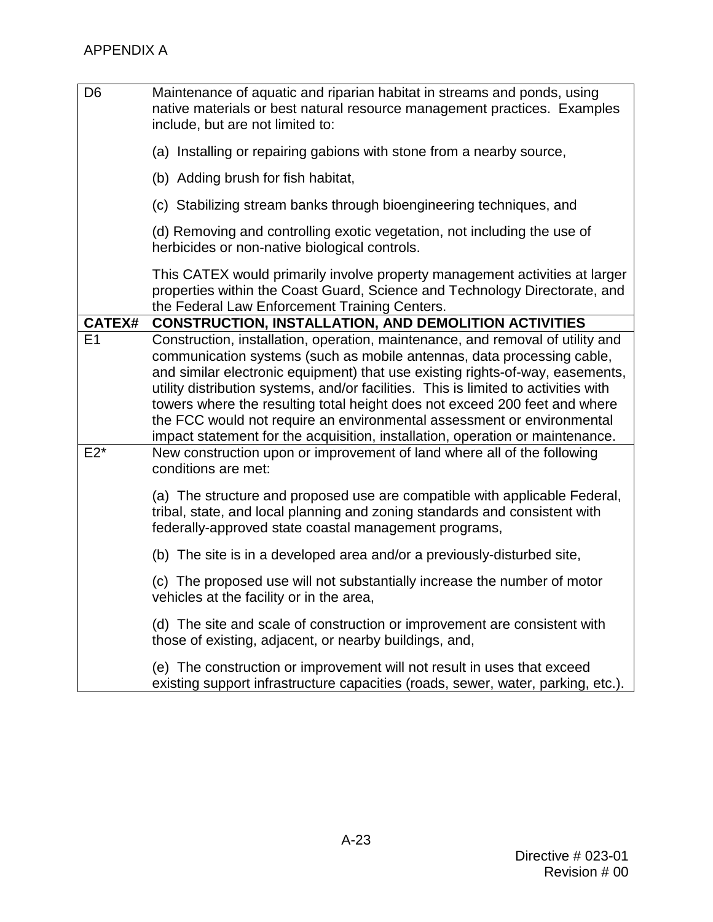| D <sub>6</sub> | Maintenance of aquatic and riparian habitat in streams and ponds, using<br>native materials or best natural resource management practices. Examples<br>include, but are not limited to:                                                                                                                                                                                                                                                                                                                                                                                   |
|----------------|---------------------------------------------------------------------------------------------------------------------------------------------------------------------------------------------------------------------------------------------------------------------------------------------------------------------------------------------------------------------------------------------------------------------------------------------------------------------------------------------------------------------------------------------------------------------------|
|                | (a) Installing or repairing gabions with stone from a nearby source,                                                                                                                                                                                                                                                                                                                                                                                                                                                                                                      |
|                | (b) Adding brush for fish habitat,                                                                                                                                                                                                                                                                                                                                                                                                                                                                                                                                        |
|                | (c) Stabilizing stream banks through bioengineering techniques, and                                                                                                                                                                                                                                                                                                                                                                                                                                                                                                       |
|                | (d) Removing and controlling exotic vegetation, not including the use of<br>herbicides or non-native biological controls.                                                                                                                                                                                                                                                                                                                                                                                                                                                 |
|                | This CATEX would primarily involve property management activities at larger<br>properties within the Coast Guard, Science and Technology Directorate, and<br>the Federal Law Enforcement Training Centers.                                                                                                                                                                                                                                                                                                                                                                |
| <b>CATEX#</b>  | <b>CONSTRUCTION, INSTALLATION, AND DEMOLITION ACTIVITIES</b>                                                                                                                                                                                                                                                                                                                                                                                                                                                                                                              |
| E1             | Construction, installation, operation, maintenance, and removal of utility and<br>communication systems (such as mobile antennas, data processing cable,<br>and similar electronic equipment) that use existing rights-of-way, easements,<br>utility distribution systems, and/or facilities. This is limited to activities with<br>towers where the resulting total height does not exceed 200 feet and where<br>the FCC would not require an environmental assessment or environmental<br>impact statement for the acquisition, installation, operation or maintenance. |
| $E2*$          | New construction upon or improvement of land where all of the following<br>conditions are met:                                                                                                                                                                                                                                                                                                                                                                                                                                                                            |
|                | (a) The structure and proposed use are compatible with applicable Federal,<br>tribal, state, and local planning and zoning standards and consistent with<br>federally-approved state coastal management programs,                                                                                                                                                                                                                                                                                                                                                         |
|                | (b) The site is in a developed area and/or a previously-disturbed site,                                                                                                                                                                                                                                                                                                                                                                                                                                                                                                   |
|                | (c) The proposed use will not substantially increase the number of motor<br>vehicles at the facility or in the area,                                                                                                                                                                                                                                                                                                                                                                                                                                                      |
|                | (d) The site and scale of construction or improvement are consistent with<br>those of existing, adjacent, or nearby buildings, and,                                                                                                                                                                                                                                                                                                                                                                                                                                       |
|                | (e) The construction or improvement will not result in uses that exceed<br>existing support infrastructure capacities (roads, sewer, water, parking, etc.).                                                                                                                                                                                                                                                                                                                                                                                                               |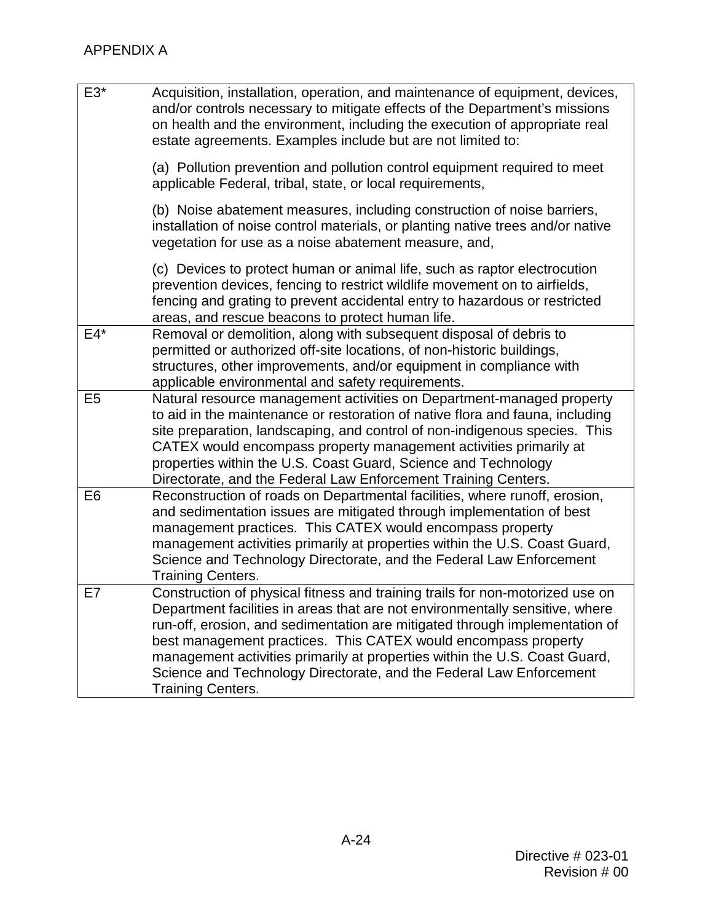| E3*            | Acquisition, installation, operation, and maintenance of equipment, devices,<br>and/or controls necessary to mitigate effects of the Department's missions<br>on health and the environment, including the execution of appropriate real<br>estate agreements. Examples include but are not limited to:                                                                                                                                                                                         |
|----------------|-------------------------------------------------------------------------------------------------------------------------------------------------------------------------------------------------------------------------------------------------------------------------------------------------------------------------------------------------------------------------------------------------------------------------------------------------------------------------------------------------|
|                | (a) Pollution prevention and pollution control equipment required to meet<br>applicable Federal, tribal, state, or local requirements,                                                                                                                                                                                                                                                                                                                                                          |
|                | (b) Noise abatement measures, including construction of noise barriers,<br>installation of noise control materials, or planting native trees and/or native<br>vegetation for use as a noise abatement measure, and,                                                                                                                                                                                                                                                                             |
|                | (c) Devices to protect human or animal life, such as raptor electrocution<br>prevention devices, fencing to restrict wildlife movement on to airfields,<br>fencing and grating to prevent accidental entry to hazardous or restricted<br>areas, and rescue beacons to protect human life.                                                                                                                                                                                                       |
| $E4*$          | Removal or demolition, along with subsequent disposal of debris to<br>permitted or authorized off-site locations, of non-historic buildings,<br>structures, other improvements, and/or equipment in compliance with<br>applicable environmental and safety requirements.                                                                                                                                                                                                                        |
| E <sub>5</sub> | Natural resource management activities on Department-managed property<br>to aid in the maintenance or restoration of native flora and fauna, including<br>site preparation, landscaping, and control of non-indigenous species. This<br>CATEX would encompass property management activities primarily at<br>properties within the U.S. Coast Guard, Science and Technology<br>Directorate, and the Federal Law Enforcement Training Centers.                                                   |
| E <sub>6</sub> | Reconstruction of roads on Departmental facilities, where runoff, erosion,<br>and sedimentation issues are mitigated through implementation of best<br>management practices. This CATEX would encompass property<br>management activities primarily at properties within the U.S. Coast Guard,<br>Science and Technology Directorate, and the Federal Law Enforcement<br><b>Training Centers.</b>                                                                                               |
| E7             | Construction of physical fitness and training trails for non-motorized use on<br>Department facilities in areas that are not environmentally sensitive, where<br>run-off, erosion, and sedimentation are mitigated through implementation of<br>best management practices. This CATEX would encompass property<br>management activities primarily at properties within the U.S. Coast Guard,<br>Science and Technology Directorate, and the Federal Law Enforcement<br><b>Training Centers.</b> |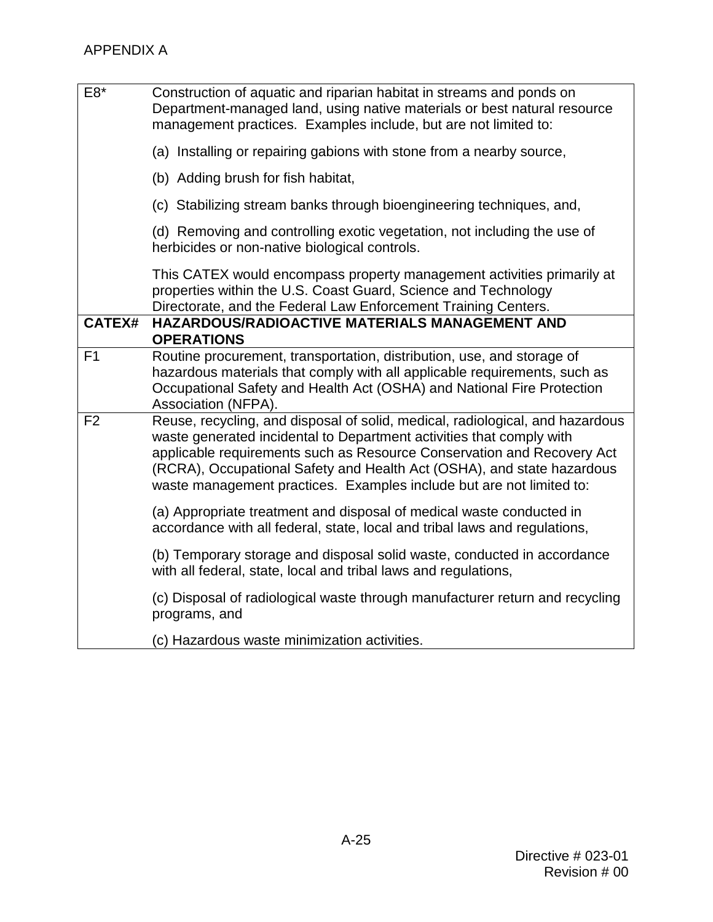| E8*            | Construction of aquatic and riparian habitat in streams and ponds on<br>Department-managed land, using native materials or best natural resource<br>management practices. Examples include, but are not limited to:                                                                                                                                                               |
|----------------|-----------------------------------------------------------------------------------------------------------------------------------------------------------------------------------------------------------------------------------------------------------------------------------------------------------------------------------------------------------------------------------|
|                | (a) Installing or repairing gabions with stone from a nearby source,                                                                                                                                                                                                                                                                                                              |
|                | (b) Adding brush for fish habitat,                                                                                                                                                                                                                                                                                                                                                |
|                | (c) Stabilizing stream banks through bioengineering techniques, and,                                                                                                                                                                                                                                                                                                              |
|                | (d) Removing and controlling exotic vegetation, not including the use of<br>herbicides or non-native biological controls.                                                                                                                                                                                                                                                         |
|                | This CATEX would encompass property management activities primarily at<br>properties within the U.S. Coast Guard, Science and Technology<br>Directorate, and the Federal Law Enforcement Training Centers.                                                                                                                                                                        |
| <b>CATEX#</b>  | HAZARDOUS/RADIOACTIVE MATERIALS MANAGEMENT AND<br><b>OPERATIONS</b>                                                                                                                                                                                                                                                                                                               |
| F1             | Routine procurement, transportation, distribution, use, and storage of<br>hazardous materials that comply with all applicable requirements, such as<br>Occupational Safety and Health Act (OSHA) and National Fire Protection<br>Association (NFPA).                                                                                                                              |
| F <sub>2</sub> | Reuse, recycling, and disposal of solid, medical, radiological, and hazardous<br>waste generated incidental to Department activities that comply with<br>applicable requirements such as Resource Conservation and Recovery Act<br>(RCRA), Occupational Safety and Health Act (OSHA), and state hazardous<br>waste management practices. Examples include but are not limited to: |
|                | (a) Appropriate treatment and disposal of medical waste conducted in<br>accordance with all federal, state, local and tribal laws and regulations,                                                                                                                                                                                                                                |
|                | (b) Temporary storage and disposal solid waste, conducted in accordance<br>with all federal, state, local and tribal laws and regulations,                                                                                                                                                                                                                                        |
|                | (c) Disposal of radiological waste through manufacturer return and recycling<br>programs, and                                                                                                                                                                                                                                                                                     |
|                | (c) Hazardous waste minimization activities.                                                                                                                                                                                                                                                                                                                                      |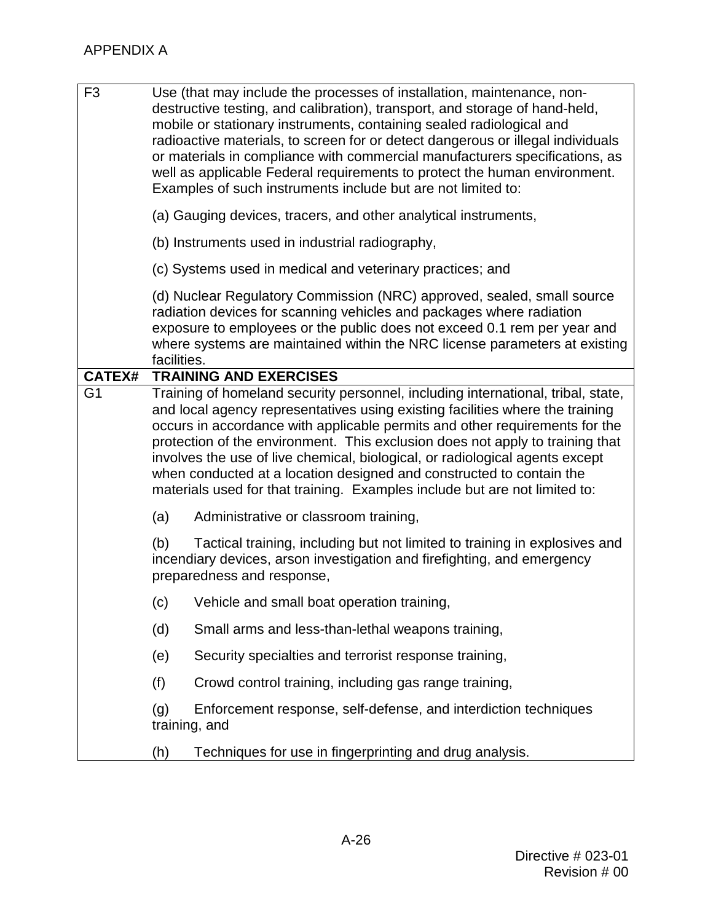| F <sub>3</sub> |             | Use (that may include the processes of installation, maintenance, non-<br>destructive testing, and calibration), transport, and storage of hand-held,<br>mobile or stationary instruments, containing sealed radiological and<br>radioactive materials, to screen for or detect dangerous or illegal individuals<br>or materials in compliance with commercial manufacturers specifications, as<br>well as applicable Federal requirements to protect the human environment.<br>Examples of such instruments include but are not limited to:                            |
|----------------|-------------|-------------------------------------------------------------------------------------------------------------------------------------------------------------------------------------------------------------------------------------------------------------------------------------------------------------------------------------------------------------------------------------------------------------------------------------------------------------------------------------------------------------------------------------------------------------------------|
|                |             | (a) Gauging devices, tracers, and other analytical instruments,                                                                                                                                                                                                                                                                                                                                                                                                                                                                                                         |
|                |             | (b) Instruments used in industrial radiography,                                                                                                                                                                                                                                                                                                                                                                                                                                                                                                                         |
|                |             | (c) Systems used in medical and veterinary practices; and                                                                                                                                                                                                                                                                                                                                                                                                                                                                                                               |
|                | facilities. | (d) Nuclear Regulatory Commission (NRC) approved, sealed, small source<br>radiation devices for scanning vehicles and packages where radiation<br>exposure to employees or the public does not exceed 0.1 rem per year and<br>where systems are maintained within the NRC license parameters at existing                                                                                                                                                                                                                                                                |
| <b>CATEX#</b>  |             | <b>TRAINING AND EXERCISES</b>                                                                                                                                                                                                                                                                                                                                                                                                                                                                                                                                           |
| G <sub>1</sub> |             | Training of homeland security personnel, including international, tribal, state,<br>and local agency representatives using existing facilities where the training<br>occurs in accordance with applicable permits and other requirements for the<br>protection of the environment. This exclusion does not apply to training that<br>involves the use of live chemical, biological, or radiological agents except<br>when conducted at a location designed and constructed to contain the<br>materials used for that training. Examples include but are not limited to: |
|                | (a)         | Administrative or classroom training,                                                                                                                                                                                                                                                                                                                                                                                                                                                                                                                                   |
|                | (b)         | Tactical training, including but not limited to training in explosives and<br>incendiary devices, arson investigation and firefighting, and emergency<br>preparedness and response,                                                                                                                                                                                                                                                                                                                                                                                     |
|                | (c)         | Vehicle and small boat operation training,                                                                                                                                                                                                                                                                                                                                                                                                                                                                                                                              |
|                | (d)         | Small arms and less-than-lethal weapons training,                                                                                                                                                                                                                                                                                                                                                                                                                                                                                                                       |
|                | (e)         | Security specialties and terrorist response training,                                                                                                                                                                                                                                                                                                                                                                                                                                                                                                                   |
|                | (f)         | Crowd control training, including gas range training,                                                                                                                                                                                                                                                                                                                                                                                                                                                                                                                   |
|                | (g)         | Enforcement response, self-defense, and interdiction techniques<br>training, and                                                                                                                                                                                                                                                                                                                                                                                                                                                                                        |
|                | (h)         | Techniques for use in fingerprinting and drug analysis.                                                                                                                                                                                                                                                                                                                                                                                                                                                                                                                 |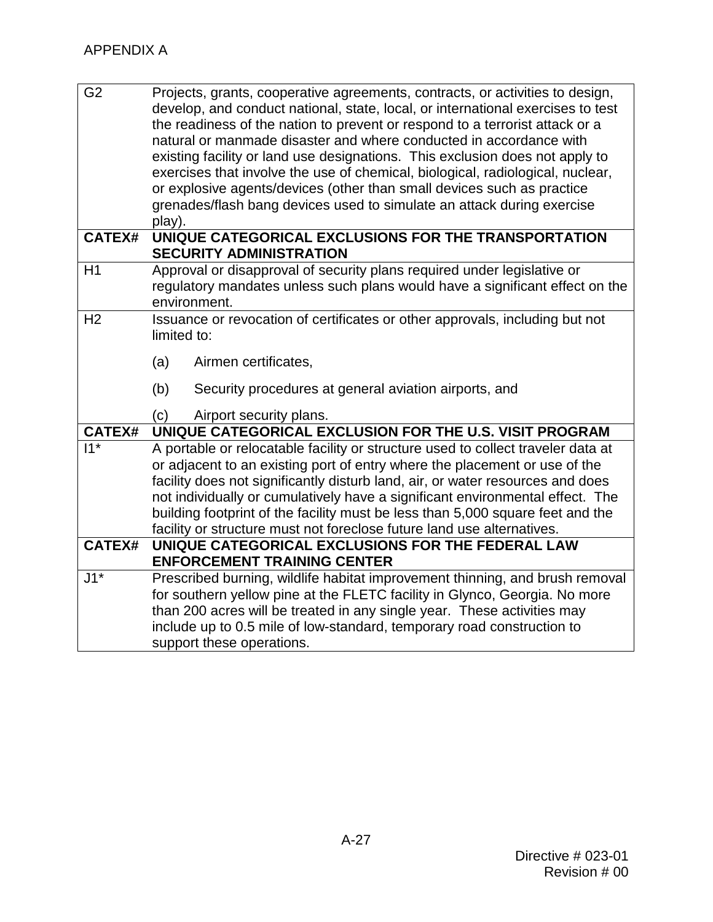| G <sub>2</sub> | Projects, grants, cooperative agreements, contracts, or activities to design,<br>develop, and conduct national, state, local, or international exercises to test<br>the readiness of the nation to prevent or respond to a terrorist attack or a<br>natural or manmade disaster and where conducted in accordance with<br>existing facility or land use designations. This exclusion does not apply to<br>exercises that involve the use of chemical, biological, radiological, nuclear,<br>or explosive agents/devices (other than small devices such as practice |  |  |
|----------------|--------------------------------------------------------------------------------------------------------------------------------------------------------------------------------------------------------------------------------------------------------------------------------------------------------------------------------------------------------------------------------------------------------------------------------------------------------------------------------------------------------------------------------------------------------------------|--|--|
|                | grenades/flash bang devices used to simulate an attack during exercise<br>play).                                                                                                                                                                                                                                                                                                                                                                                                                                                                                   |  |  |
| <b>CATEX#</b>  | UNIQUE CATEGORICAL EXCLUSIONS FOR THE TRANSPORTATION<br><b>SECURITY ADMINISTRATION</b>                                                                                                                                                                                                                                                                                                                                                                                                                                                                             |  |  |
| H1             | Approval or disapproval of security plans required under legislative or<br>regulatory mandates unless such plans would have a significant effect on the<br>environment.                                                                                                                                                                                                                                                                                                                                                                                            |  |  |
| H <sub>2</sub> | Issuance or revocation of certificates or other approvals, including but not<br>limited to:                                                                                                                                                                                                                                                                                                                                                                                                                                                                        |  |  |
|                | (a)<br>Airmen certificates,                                                                                                                                                                                                                                                                                                                                                                                                                                                                                                                                        |  |  |
|                | (b)<br>Security procedures at general aviation airports, and                                                                                                                                                                                                                                                                                                                                                                                                                                                                                                       |  |  |
|                | (c)<br>Airport security plans.                                                                                                                                                                                                                                                                                                                                                                                                                                                                                                                                     |  |  |
| <b>CATEX#</b>  | UNIQUE CATEGORICAL EXCLUSION FOR THE U.S. VISIT PROGRAM                                                                                                                                                                                                                                                                                                                                                                                                                                                                                                            |  |  |
| $11*$          | A portable or relocatable facility or structure used to collect traveler data at                                                                                                                                                                                                                                                                                                                                                                                                                                                                                   |  |  |
|                | or adjacent to an existing port of entry where the placement or use of the                                                                                                                                                                                                                                                                                                                                                                                                                                                                                         |  |  |
|                | facility does not significantly disturb land, air, or water resources and does                                                                                                                                                                                                                                                                                                                                                                                                                                                                                     |  |  |
|                | not individually or cumulatively have a significant environmental effect. The                                                                                                                                                                                                                                                                                                                                                                                                                                                                                      |  |  |
|                | building footprint of the facility must be less than 5,000 square feet and the                                                                                                                                                                                                                                                                                                                                                                                                                                                                                     |  |  |
| <b>CATEX#</b>  | facility or structure must not foreclose future land use alternatives.<br>UNIQUE CATEGORICAL EXCLUSIONS FOR THE FEDERAL LAW                                                                                                                                                                                                                                                                                                                                                                                                                                        |  |  |
|                | <b>ENFORCEMENT TRAINING CENTER</b>                                                                                                                                                                                                                                                                                                                                                                                                                                                                                                                                 |  |  |
| $J1^*$         | Prescribed burning, wildlife habitat improvement thinning, and brush removal                                                                                                                                                                                                                                                                                                                                                                                                                                                                                       |  |  |
|                | for southern yellow pine at the FLETC facility in Glynco, Georgia. No more                                                                                                                                                                                                                                                                                                                                                                                                                                                                                         |  |  |
|                | than 200 acres will be treated in any single year. These activities may                                                                                                                                                                                                                                                                                                                                                                                                                                                                                            |  |  |
|                | include up to 0.5 mile of low-standard, temporary road construction to                                                                                                                                                                                                                                                                                                                                                                                                                                                                                             |  |  |
|                | support these operations.                                                                                                                                                                                                                                                                                                                                                                                                                                                                                                                                          |  |  |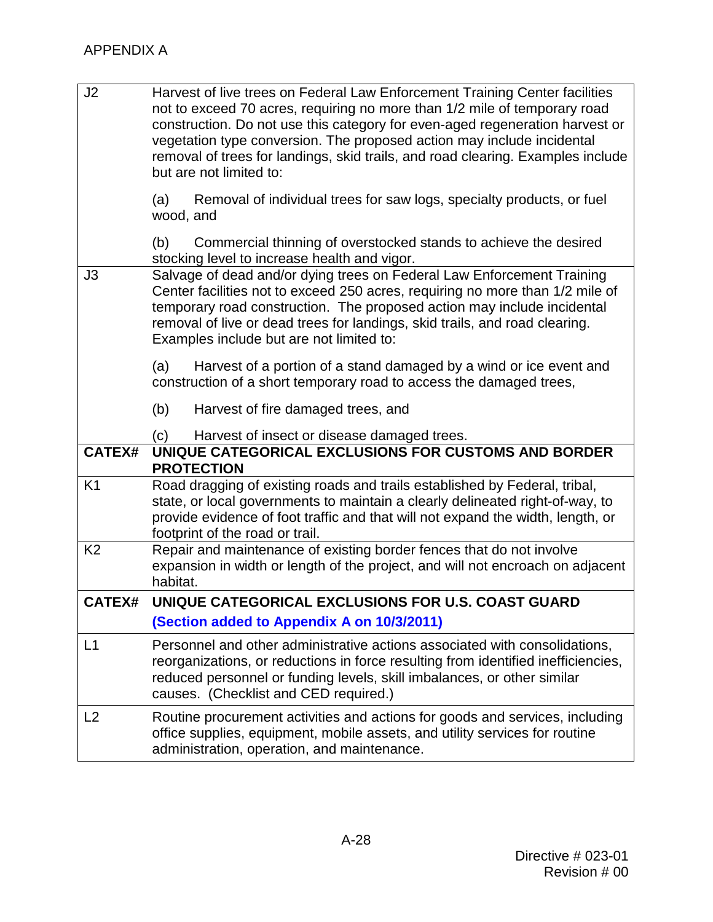| J2             | Harvest of live trees on Federal Law Enforcement Training Center facilities<br>not to exceed 70 acres, requiring no more than 1/2 mile of temporary road<br>construction. Do not use this category for even-aged regeneration harvest or<br>vegetation type conversion. The proposed action may include incidental<br>removal of trees for landings, skid trails, and road clearing. Examples include<br>but are not limited to: |
|----------------|----------------------------------------------------------------------------------------------------------------------------------------------------------------------------------------------------------------------------------------------------------------------------------------------------------------------------------------------------------------------------------------------------------------------------------|
|                | Removal of individual trees for saw logs, specialty products, or fuel<br>(a)<br>wood, and                                                                                                                                                                                                                                                                                                                                        |
|                | (b)<br>Commercial thinning of overstocked stands to achieve the desired<br>stocking level to increase health and vigor.                                                                                                                                                                                                                                                                                                          |
| J3             | Salvage of dead and/or dying trees on Federal Law Enforcement Training<br>Center facilities not to exceed 250 acres, requiring no more than 1/2 mile of<br>temporary road construction. The proposed action may include incidental<br>removal of live or dead trees for landings, skid trails, and road clearing.<br>Examples include but are not limited to:                                                                    |
|                | Harvest of a portion of a stand damaged by a wind or ice event and<br>(a)<br>construction of a short temporary road to access the damaged trees,                                                                                                                                                                                                                                                                                 |
|                | (b)<br>Harvest of fire damaged trees, and                                                                                                                                                                                                                                                                                                                                                                                        |
|                | Harvest of insect or disease damaged trees.<br>(c)                                                                                                                                                                                                                                                                                                                                                                               |
| <b>CATEX#</b>  | UNIQUE CATEGORICAL EXCLUSIONS FOR CUSTOMS AND BORDER<br><b>PROTECTION</b>                                                                                                                                                                                                                                                                                                                                                        |
| K <sub>1</sub> | Road dragging of existing roads and trails established by Federal, tribal,<br>state, or local governments to maintain a clearly delineated right-of-way, to<br>provide evidence of foot traffic and that will not expand the width, length, or<br>footprint of the road or trail.                                                                                                                                                |
| K <sub>2</sub> | Repair and maintenance of existing border fences that do not involve<br>expansion in width or length of the project, and will not encroach on adjacent<br>habitat.                                                                                                                                                                                                                                                               |
| <b>CATEX#</b>  | UNIQUE CATEGORICAL EXCLUSIONS FOR U.S. COAST GUARD                                                                                                                                                                                                                                                                                                                                                                               |
|                | (Section added to Appendix A on 10/3/2011)                                                                                                                                                                                                                                                                                                                                                                                       |
| L1             | Personnel and other administrative actions associated with consolidations,<br>reorganizations, or reductions in force resulting from identified inefficiencies,<br>reduced personnel or funding levels, skill imbalances, or other similar<br>causes. (Checklist and CED required.)                                                                                                                                              |
| L2             | Routine procurement activities and actions for goods and services, including<br>office supplies, equipment, mobile assets, and utility services for routine<br>administration, operation, and maintenance.                                                                                                                                                                                                                       |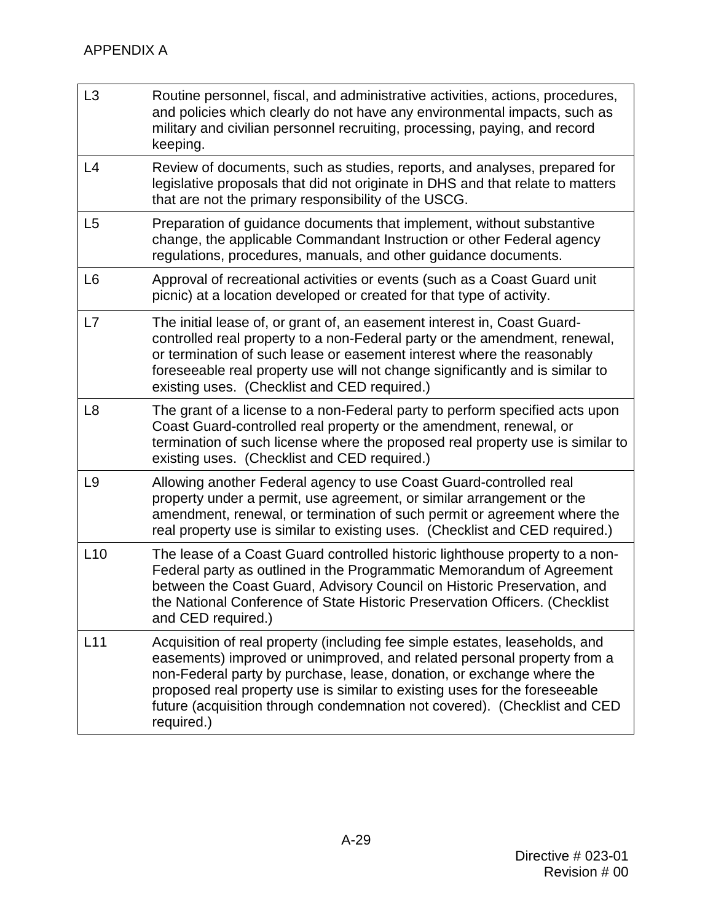| L3             | Routine personnel, fiscal, and administrative activities, actions, procedures,<br>and policies which clearly do not have any environmental impacts, such as<br>military and civilian personnel recruiting, processing, paying, and record<br>keeping.                                                                                                                                                    |
|----------------|----------------------------------------------------------------------------------------------------------------------------------------------------------------------------------------------------------------------------------------------------------------------------------------------------------------------------------------------------------------------------------------------------------|
| L4             | Review of documents, such as studies, reports, and analyses, prepared for<br>legislative proposals that did not originate in DHS and that relate to matters<br>that are not the primary responsibility of the USCG.                                                                                                                                                                                      |
| L <sub>5</sub> | Preparation of guidance documents that implement, without substantive<br>change, the applicable Commandant Instruction or other Federal agency<br>regulations, procedures, manuals, and other guidance documents.                                                                                                                                                                                        |
| L <sub>6</sub> | Approval of recreational activities or events (such as a Coast Guard unit<br>picnic) at a location developed or created for that type of activity.                                                                                                                                                                                                                                                       |
| L7             | The initial lease of, or grant of, an easement interest in, Coast Guard-<br>controlled real property to a non-Federal party or the amendment, renewal,<br>or termination of such lease or easement interest where the reasonably<br>foreseeable real property use will not change significantly and is similar to<br>existing uses. (Checklist and CED required.)                                        |
| L <sub>8</sub> | The grant of a license to a non-Federal party to perform specified acts upon<br>Coast Guard-controlled real property or the amendment, renewal, or<br>termination of such license where the proposed real property use is similar to<br>existing uses. (Checklist and CED required.)                                                                                                                     |
| L <sub>9</sub> | Allowing another Federal agency to use Coast Guard-controlled real<br>property under a permit, use agreement, or similar arrangement or the<br>amendment, renewal, or termination of such permit or agreement where the<br>real property use is similar to existing uses. (Checklist and CED required.)                                                                                                  |
| L10            | The lease of a Coast Guard controlled historic lighthouse property to a non-<br>Federal party as outlined in the Programmatic Memorandum of Agreement<br>between the Coast Guard, Advisory Council on Historic Preservation, and<br>the National Conference of State Historic Preservation Officers. (Checklist<br>and CED required.)                                                                    |
| L11            | Acquisition of real property (including fee simple estates, leaseholds, and<br>easements) improved or unimproved, and related personal property from a<br>non-Federal party by purchase, lease, donation, or exchange where the<br>proposed real property use is similar to existing uses for the foreseeable<br>future (acquisition through condemnation not covered). (Checklist and CED<br>required.) |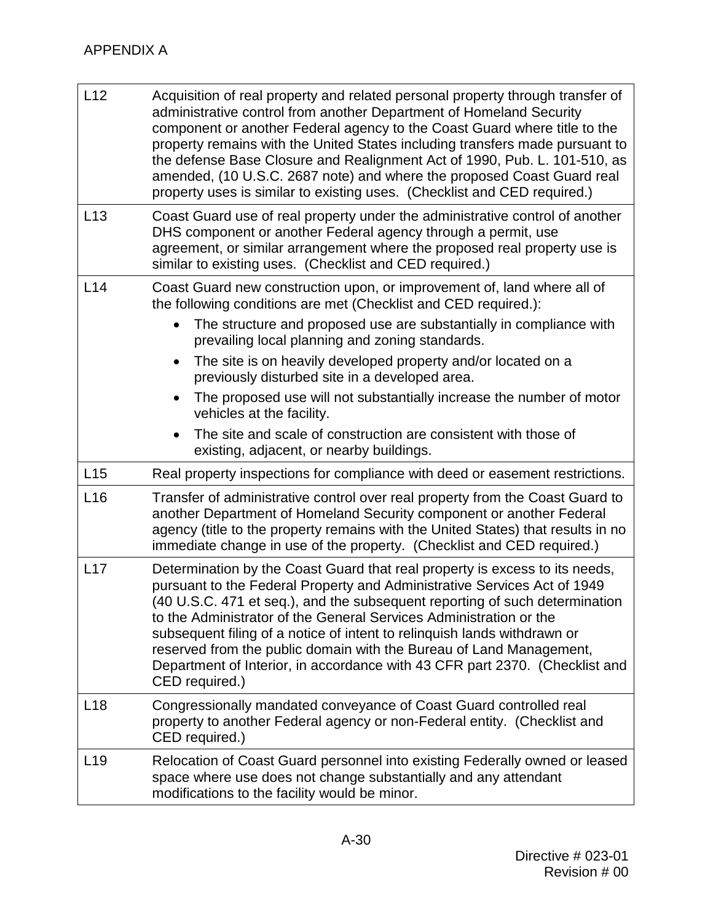| L12             | Acquisition of real property and related personal property through transfer of<br>administrative control from another Department of Homeland Security<br>component or another Federal agency to the Coast Guard where title to the<br>property remains with the United States including transfers made pursuant to<br>the defense Base Closure and Realignment Act of 1990, Pub. L. 101-510, as<br>amended, (10 U.S.C. 2687 note) and where the proposed Coast Guard real<br>property uses is similar to existing uses. (Checklist and CED required.)            |
|-----------------|------------------------------------------------------------------------------------------------------------------------------------------------------------------------------------------------------------------------------------------------------------------------------------------------------------------------------------------------------------------------------------------------------------------------------------------------------------------------------------------------------------------------------------------------------------------|
| L13             | Coast Guard use of real property under the administrative control of another<br>DHS component or another Federal agency through a permit, use<br>agreement, or similar arrangement where the proposed real property use is<br>similar to existing uses. (Checklist and CED required.)                                                                                                                                                                                                                                                                            |
| L14             | Coast Guard new construction upon, or improvement of, land where all of<br>the following conditions are met (Checklist and CED required.):                                                                                                                                                                                                                                                                                                                                                                                                                       |
|                 | The structure and proposed use are substantially in compliance with<br>$\bullet$<br>prevailing local planning and zoning standards.                                                                                                                                                                                                                                                                                                                                                                                                                              |
|                 | The site is on heavily developed property and/or located on a<br>$\bullet$<br>previously disturbed site in a developed area.                                                                                                                                                                                                                                                                                                                                                                                                                                     |
|                 | The proposed use will not substantially increase the number of motor<br>vehicles at the facility.                                                                                                                                                                                                                                                                                                                                                                                                                                                                |
|                 | The site and scale of construction are consistent with those of<br>existing, adjacent, or nearby buildings.                                                                                                                                                                                                                                                                                                                                                                                                                                                      |
| L15             | Real property inspections for compliance with deed or easement restrictions.                                                                                                                                                                                                                                                                                                                                                                                                                                                                                     |
| L16             | Transfer of administrative control over real property from the Coast Guard to<br>another Department of Homeland Security component or another Federal<br>agency (title to the property remains with the United States) that results in no<br>immediate change in use of the property. (Checklist and CED required.)                                                                                                                                                                                                                                              |
| L17             | Determination by the Coast Guard that real property is excess to its needs,<br>pursuant to the Federal Property and Administrative Services Act of 1949<br>(40 U.S.C. 471 et seq.), and the subsequent reporting of such determination<br>to the Administrator of the General Services Administration or the<br>subsequent filing of a notice of intent to relinguish lands withdrawn or<br>reserved from the public domain with the Bureau of Land Management,<br>Department of Interior, in accordance with 43 CFR part 2370. (Checklist and<br>CED required.) |
| L <sub>18</sub> | Congressionally mandated conveyance of Coast Guard controlled real<br>property to another Federal agency or non-Federal entity. (Checklist and<br>CED required.)                                                                                                                                                                                                                                                                                                                                                                                                 |
| L <sub>19</sub> | Relocation of Coast Guard personnel into existing Federally owned or leased<br>space where use does not change substantially and any attendant<br>modifications to the facility would be minor.                                                                                                                                                                                                                                                                                                                                                                  |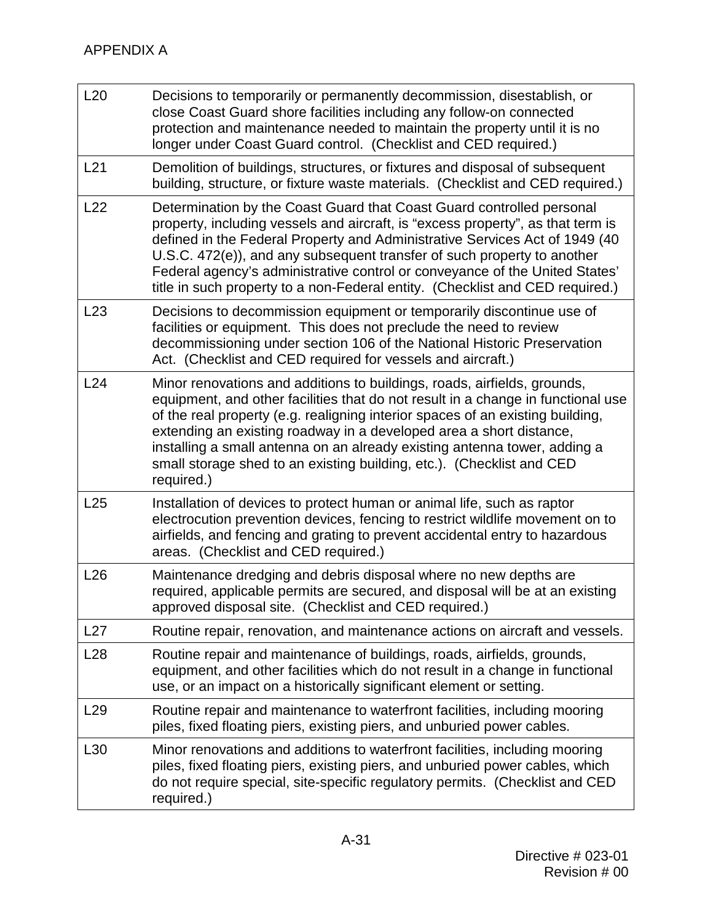| L20             | Decisions to temporarily or permanently decommission, disestablish, or<br>close Coast Guard shore facilities including any follow-on connected<br>protection and maintenance needed to maintain the property until it is no<br>longer under Coast Guard control. (Checklist and CED required.)                                                                                                                                                                                            |
|-----------------|-------------------------------------------------------------------------------------------------------------------------------------------------------------------------------------------------------------------------------------------------------------------------------------------------------------------------------------------------------------------------------------------------------------------------------------------------------------------------------------------|
| L21             | Demolition of buildings, structures, or fixtures and disposal of subsequent<br>building, structure, or fixture waste materials. (Checklist and CED required.)                                                                                                                                                                                                                                                                                                                             |
| L22             | Determination by the Coast Guard that Coast Guard controlled personal<br>property, including vessels and aircraft, is "excess property", as that term is<br>defined in the Federal Property and Administrative Services Act of 1949 (40<br>U.S.C. 472(e)), and any subsequent transfer of such property to another<br>Federal agency's administrative control or conveyance of the United States'<br>title in such property to a non-Federal entity. (Checklist and CED required.)        |
| L23             | Decisions to decommission equipment or temporarily discontinue use of<br>facilities or equipment. This does not preclude the need to review<br>decommissioning under section 106 of the National Historic Preservation<br>Act. (Checklist and CED required for vessels and aircraft.)                                                                                                                                                                                                     |
| L24             | Minor renovations and additions to buildings, roads, airfields, grounds,<br>equipment, and other facilities that do not result in a change in functional use<br>of the real property (e.g. realigning interior spaces of an existing building,<br>extending an existing roadway in a developed area a short distance,<br>installing a small antenna on an already existing antenna tower, adding a<br>small storage shed to an existing building, etc.). (Checklist and CED<br>required.) |
| L25             | Installation of devices to protect human or animal life, such as raptor<br>electrocution prevention devices, fencing to restrict wildlife movement on to<br>airfields, and fencing and grating to prevent accidental entry to hazardous<br>areas. (Checklist and CED required.)                                                                                                                                                                                                           |
| L26             | Maintenance dredging and debris disposal where no new depths are<br>required, applicable permits are secured, and disposal will be at an existing<br>approved disposal site. (Checklist and CED required.)                                                                                                                                                                                                                                                                                |
| L27             | Routine repair, renovation, and maintenance actions on aircraft and vessels.                                                                                                                                                                                                                                                                                                                                                                                                              |
| L <sub>28</sub> | Routine repair and maintenance of buildings, roads, airfields, grounds,<br>equipment, and other facilities which do not result in a change in functional<br>use, or an impact on a historically significant element or setting.                                                                                                                                                                                                                                                           |
| L <sub>29</sub> | Routine repair and maintenance to waterfront facilities, including mooring<br>piles, fixed floating piers, existing piers, and unburied power cables.                                                                                                                                                                                                                                                                                                                                     |
| L30             | Minor renovations and additions to waterfront facilities, including mooring<br>piles, fixed floating piers, existing piers, and unburied power cables, which<br>do not require special, site-specific regulatory permits. (Checklist and CED<br>required.)                                                                                                                                                                                                                                |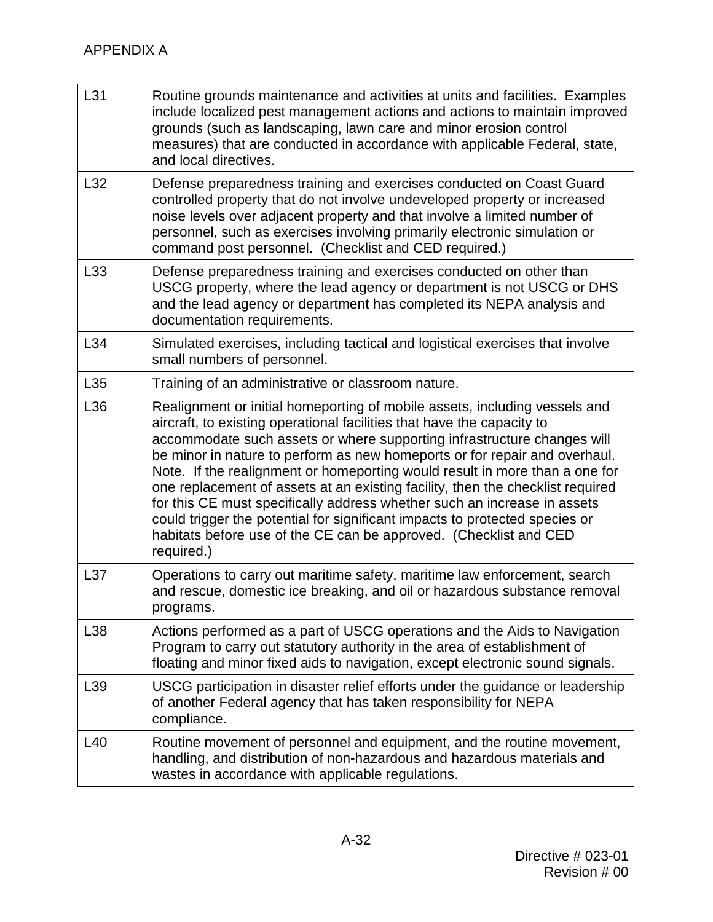| L31             | Routine grounds maintenance and activities at units and facilities. Examples<br>include localized pest management actions and actions to maintain improved<br>grounds (such as landscaping, lawn care and minor erosion control<br>measures) that are conducted in accordance with applicable Federal, state,<br>and local directives.                                                                                                                                                                                                                                                                                                                                                                                       |
|-----------------|------------------------------------------------------------------------------------------------------------------------------------------------------------------------------------------------------------------------------------------------------------------------------------------------------------------------------------------------------------------------------------------------------------------------------------------------------------------------------------------------------------------------------------------------------------------------------------------------------------------------------------------------------------------------------------------------------------------------------|
| L32             | Defense preparedness training and exercises conducted on Coast Guard<br>controlled property that do not involve undeveloped property or increased<br>noise levels over adjacent property and that involve a limited number of<br>personnel, such as exercises involving primarily electronic simulation or<br>command post personnel. (Checklist and CED required.)                                                                                                                                                                                                                                                                                                                                                          |
| L33             | Defense preparedness training and exercises conducted on other than<br>USCG property, where the lead agency or department is not USCG or DHS<br>and the lead agency or department has completed its NEPA analysis and<br>documentation requirements.                                                                                                                                                                                                                                                                                                                                                                                                                                                                         |
| L34             | Simulated exercises, including tactical and logistical exercises that involve<br>small numbers of personnel.                                                                                                                                                                                                                                                                                                                                                                                                                                                                                                                                                                                                                 |
| L35             | Training of an administrative or classroom nature.                                                                                                                                                                                                                                                                                                                                                                                                                                                                                                                                                                                                                                                                           |
| L36             | Realignment or initial homeporting of mobile assets, including vessels and<br>aircraft, to existing operational facilities that have the capacity to<br>accommodate such assets or where supporting infrastructure changes will<br>be minor in nature to perform as new homeports or for repair and overhaul.<br>Note. If the realignment or homeporting would result in more than a one for<br>one replacement of assets at an existing facility, then the checklist required<br>for this CE must specifically address whether such an increase in assets<br>could trigger the potential for significant impacts to protected species or<br>habitats before use of the CE can be approved. (Checklist and CED<br>required.) |
| L37             | Operations to carry out maritime safety, maritime law enforcement, search<br>and rescue, domestic ice breaking, and oil or hazardous substance removal<br>programs.                                                                                                                                                                                                                                                                                                                                                                                                                                                                                                                                                          |
| L38             | Actions performed as a part of USCG operations and the Aids to Navigation<br>Program to carry out statutory authority in the area of establishment of<br>floating and minor fixed aids to navigation, except electronic sound signals.                                                                                                                                                                                                                                                                                                                                                                                                                                                                                       |
| L39             | USCG participation in disaster relief efforts under the guidance or leadership<br>of another Federal agency that has taken responsibility for NEPA<br>compliance.                                                                                                                                                                                                                                                                                                                                                                                                                                                                                                                                                            |
| L <sub>40</sub> | Routine movement of personnel and equipment, and the routine movement,<br>handling, and distribution of non-hazardous and hazardous materials and<br>wastes in accordance with applicable regulations.                                                                                                                                                                                                                                                                                                                                                                                                                                                                                                                       |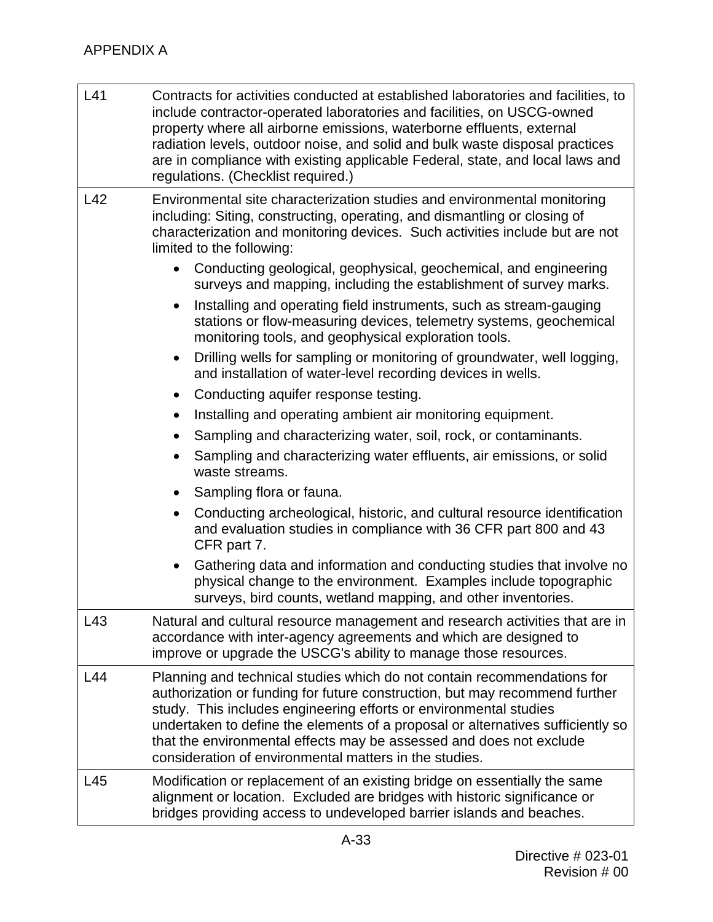| L41 | Contracts for activities conducted at established laboratories and facilities, to<br>include contractor-operated laboratories and facilities, on USCG-owned<br>property where all airborne emissions, waterborne effluents, external<br>radiation levels, outdoor noise, and solid and bulk waste disposal practices<br>are in compliance with existing applicable Federal, state, and local laws and<br>regulations. (Checklist required.)     |
|-----|-------------------------------------------------------------------------------------------------------------------------------------------------------------------------------------------------------------------------------------------------------------------------------------------------------------------------------------------------------------------------------------------------------------------------------------------------|
| L42 | Environmental site characterization studies and environmental monitoring<br>including: Siting, constructing, operating, and dismantling or closing of<br>characterization and monitoring devices. Such activities include but are not<br>limited to the following:                                                                                                                                                                              |
|     | Conducting geological, geophysical, geochemical, and engineering<br>$\bullet$<br>surveys and mapping, including the establishment of survey marks.                                                                                                                                                                                                                                                                                              |
|     | Installing and operating field instruments, such as stream-gauging<br>$\bullet$<br>stations or flow-measuring devices, telemetry systems, geochemical<br>monitoring tools, and geophysical exploration tools.                                                                                                                                                                                                                                   |
|     | Drilling wells for sampling or monitoring of groundwater, well logging,<br>$\bullet$<br>and installation of water-level recording devices in wells.                                                                                                                                                                                                                                                                                             |
|     | Conducting aquifer response testing.<br>٠                                                                                                                                                                                                                                                                                                                                                                                                       |
|     | Installing and operating ambient air monitoring equipment.                                                                                                                                                                                                                                                                                                                                                                                      |
|     | Sampling and characterizing water, soil, rock, or contaminants.                                                                                                                                                                                                                                                                                                                                                                                 |
|     | Sampling and characterizing water effluents, air emissions, or solid<br>waste streams.                                                                                                                                                                                                                                                                                                                                                          |
|     | Sampling flora or fauna.<br>٠                                                                                                                                                                                                                                                                                                                                                                                                                   |
|     | Conducting archeological, historic, and cultural resource identification<br>$\bullet$<br>and evaluation studies in compliance with 36 CFR part 800 and 43<br>CFR part 7.                                                                                                                                                                                                                                                                        |
|     | Gathering data and information and conducting studies that involve no<br>$\bullet$<br>physical change to the environment. Examples include topographic<br>surveys, bird counts, wetland mapping, and other inventories.                                                                                                                                                                                                                         |
| L43 | Natural and cultural resource management and research activities that are in<br>accordance with inter-agency agreements and which are designed to<br>improve or upgrade the USCG's ability to manage those resources.                                                                                                                                                                                                                           |
| L44 | Planning and technical studies which do not contain recommendations for<br>authorization or funding for future construction, but may recommend further<br>study. This includes engineering efforts or environmental studies<br>undertaken to define the elements of a proposal or alternatives sufficiently so<br>that the environmental effects may be assessed and does not exclude<br>consideration of environmental matters in the studies. |
| L45 | Modification or replacement of an existing bridge on essentially the same<br>alignment or location. Excluded are bridges with historic significance or<br>bridges providing access to undeveloped barrier islands and beaches.                                                                                                                                                                                                                  |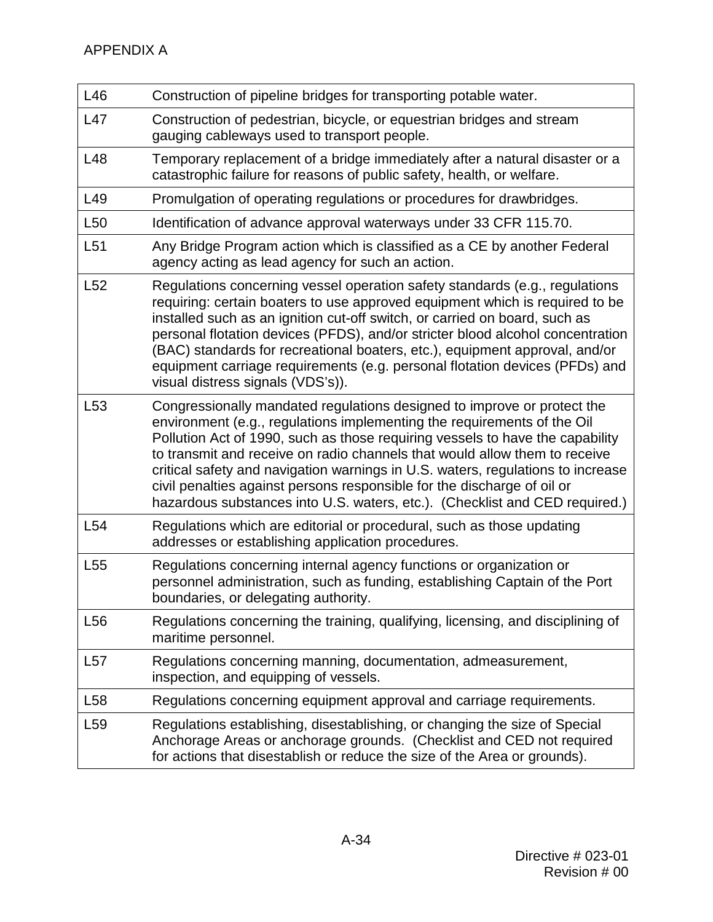| L46             | Construction of pipeline bridges for transporting potable water.                                                                                                                                                                                                                                                                                                                                                                                                                                                                                               |
|-----------------|----------------------------------------------------------------------------------------------------------------------------------------------------------------------------------------------------------------------------------------------------------------------------------------------------------------------------------------------------------------------------------------------------------------------------------------------------------------------------------------------------------------------------------------------------------------|
| L47             | Construction of pedestrian, bicycle, or equestrian bridges and stream<br>gauging cableways used to transport people.                                                                                                                                                                                                                                                                                                                                                                                                                                           |
| L48             | Temporary replacement of a bridge immediately after a natural disaster or a<br>catastrophic failure for reasons of public safety, health, or welfare.                                                                                                                                                                                                                                                                                                                                                                                                          |
| L49             | Promulgation of operating regulations or procedures for drawbridges.                                                                                                                                                                                                                                                                                                                                                                                                                                                                                           |
| L <sub>50</sub> | Identification of advance approval waterways under 33 CFR 115.70.                                                                                                                                                                                                                                                                                                                                                                                                                                                                                              |
| L <sub>51</sub> | Any Bridge Program action which is classified as a CE by another Federal<br>agency acting as lead agency for such an action.                                                                                                                                                                                                                                                                                                                                                                                                                                   |
| L52             | Regulations concerning vessel operation safety standards (e.g., regulations<br>requiring: certain boaters to use approved equipment which is required to be<br>installed such as an ignition cut-off switch, or carried on board, such as<br>personal flotation devices (PFDS), and/or stricter blood alcohol concentration<br>(BAC) standards for recreational boaters, etc.), equipment approval, and/or<br>equipment carriage requirements (e.g. personal flotation devices (PFDs) and<br>visual distress signals (VDS's)).                                 |
| L <sub>53</sub> | Congressionally mandated regulations designed to improve or protect the<br>environment (e.g., regulations implementing the requirements of the Oil<br>Pollution Act of 1990, such as those requiring vessels to have the capability<br>to transmit and receive on radio channels that would allow them to receive<br>critical safety and navigation warnings in U.S. waters, regulations to increase<br>civil penalties against persons responsible for the discharge of oil or<br>hazardous substances into U.S. waters, etc.). (Checklist and CED required.) |
| L <sub>54</sub> | Regulations which are editorial or procedural, such as those updating<br>addresses or establishing application procedures.                                                                                                                                                                                                                                                                                                                                                                                                                                     |
| L <sub>55</sub> | Regulations concerning internal agency functions or organization or<br>personnel administration, such as funding, establishing Captain of the Port<br>boundaries, or delegating authority.                                                                                                                                                                                                                                                                                                                                                                     |
| L <sub>56</sub> | Regulations concerning the training, qualifying, licensing, and disciplining of<br>maritime personnel.                                                                                                                                                                                                                                                                                                                                                                                                                                                         |
| L57             | Regulations concerning manning, documentation, admeasurement,<br>inspection, and equipping of vessels.                                                                                                                                                                                                                                                                                                                                                                                                                                                         |
| L <sub>58</sub> | Regulations concerning equipment approval and carriage requirements.                                                                                                                                                                                                                                                                                                                                                                                                                                                                                           |
| L <sub>59</sub> | Regulations establishing, disestablishing, or changing the size of Special<br>Anchorage Areas or anchorage grounds. (Checklist and CED not required<br>for actions that disestablish or reduce the size of the Area or grounds).                                                                                                                                                                                                                                                                                                                               |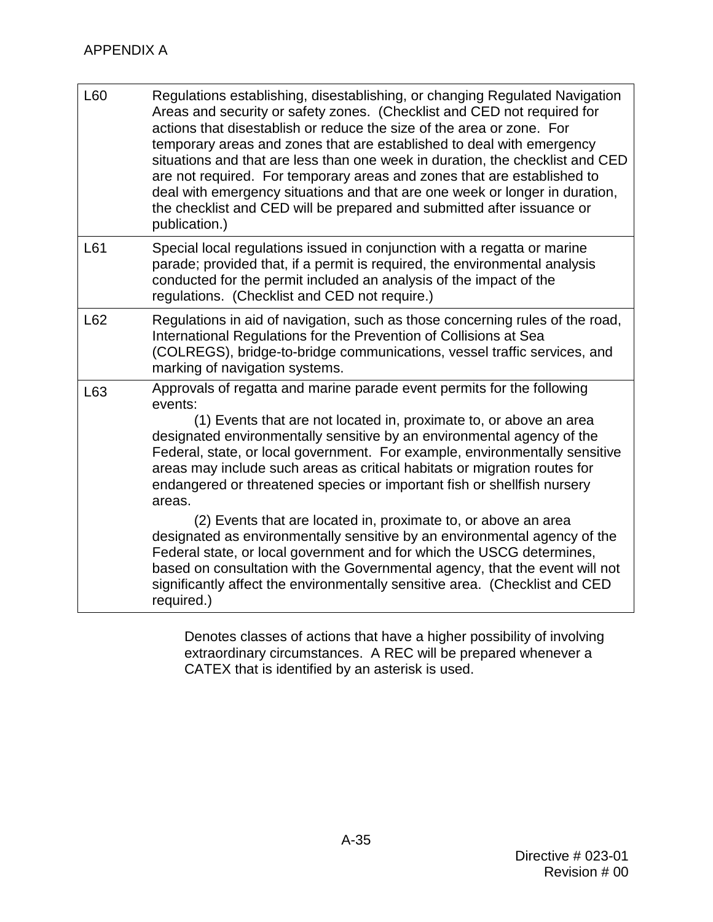| L60 | Regulations establishing, disestablishing, or changing Regulated Navigation<br>Areas and security or safety zones. (Checklist and CED not required for<br>actions that disestablish or reduce the size of the area or zone. For<br>temporary areas and zones that are established to deal with emergency<br>situations and that are less than one week in duration, the checklist and CED<br>are not required. For temporary areas and zones that are established to<br>deal with emergency situations and that are one week or longer in duration,<br>the checklist and CED will be prepared and submitted after issuance or<br>publication.) |
|-----|------------------------------------------------------------------------------------------------------------------------------------------------------------------------------------------------------------------------------------------------------------------------------------------------------------------------------------------------------------------------------------------------------------------------------------------------------------------------------------------------------------------------------------------------------------------------------------------------------------------------------------------------|
| L61 | Special local regulations issued in conjunction with a regatta or marine<br>parade; provided that, if a permit is required, the environmental analysis<br>conducted for the permit included an analysis of the impact of the<br>regulations. (Checklist and CED not require.)                                                                                                                                                                                                                                                                                                                                                                  |
| L62 | Regulations in aid of navigation, such as those concerning rules of the road,<br>International Regulations for the Prevention of Collisions at Sea<br>(COLREGS), bridge-to-bridge communications, vessel traffic services, and<br>marking of navigation systems.                                                                                                                                                                                                                                                                                                                                                                               |
| L63 | Approvals of regatta and marine parade event permits for the following<br>events:<br>(1) Events that are not located in, proximate to, or above an area<br>designated environmentally sensitive by an environmental agency of the<br>Federal, state, or local government. For example, environmentally sensitive<br>areas may include such areas as critical habitats or migration routes for<br>endangered or threatened species or important fish or shellfish nursery<br>areas.                                                                                                                                                             |
|     | (2) Events that are located in, proximate to, or above an area<br>designated as environmentally sensitive by an environmental agency of the<br>Federal state, or local government and for which the USCG determines,<br>based on consultation with the Governmental agency, that the event will not<br>significantly affect the environmentally sensitive area. (Checklist and CED<br>required.)                                                                                                                                                                                                                                               |

 Denotes classes of actions that have a higher possibility of involving extraordinary circumstances. A REC will be prepared whenever a CATEX that is identified by an asterisk is used.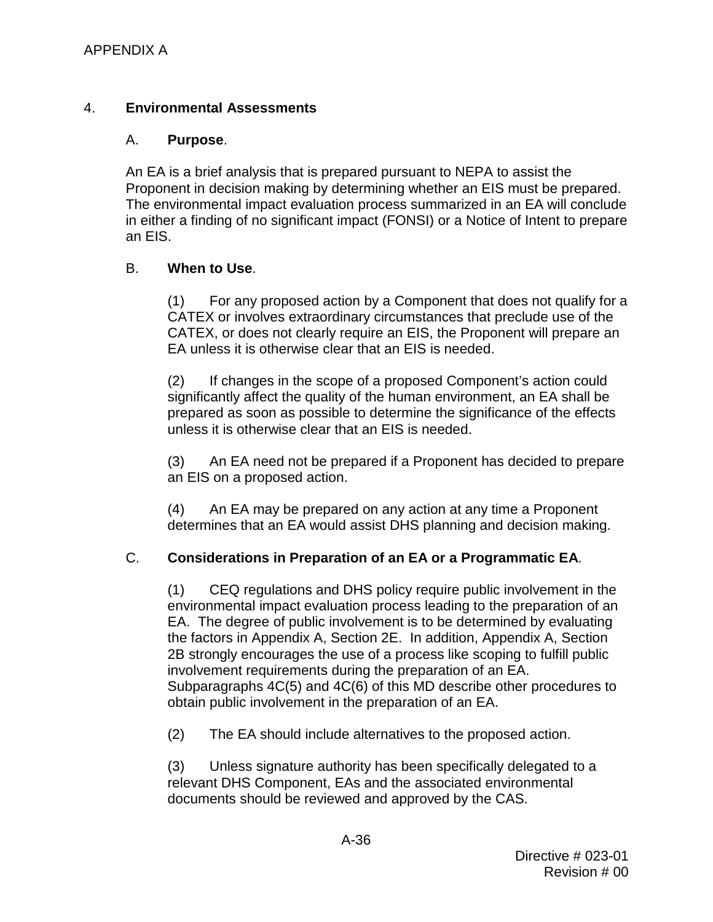## <span id="page-49-0"></span>4. **Environmental Assessments**

### A. **Purpose**.

Proponent in decision making by determining whether an EIS must be prepared. An EA is a brief analysis that is prepared pursuant to NEPA to assist the The environmental impact evaluation process summarized in an EA will conclude in either a finding of no significant impact (FONSI) or a Notice of Intent to prepare an EIS.

## B. **When to Use**.

 (1) For any proposed action by a Component that does not qualify for a EA unless it is otherwise clear that an EIS is needed. CATEX or involves extraordinary circumstances that preclude use of the CATEX, or does not clearly require an EIS, the Proponent will prepare an

(2) If changes in the scope of a proposed Component's action could significantly affect the quality of the human environment, an EA shall be prepared as soon as possible to determine the significance of the effects unless it is otherwise clear that an EIS is needed.

(3) An EA need not be prepared if a Proponent has decided to prepare an EIS on a proposed action.

 determines that an EA would assist DHS planning and decision making. (4) An EA may be prepared on any action at any time a Proponent

## C. **Considerations in Preparation of an EA or a Programmatic EA**.

 EA. The degree of public involvement is to be determined by evaluating [2B](#page-21-0) strongly encourages the use of a process like scoping to fulfill public involvement requirements during the preparation of an EA. involvement requirements during the preparation of an EA.<br>Subparagraphs [4C](#page-49-0)[\(5\)](#page-50-0) and 4C[\(6\)](#page-50-1) of this MD describe other procedures to (1) CEQ regulations and DHS policy require public involvement in the environmental impact evaluation process leading to the preparation of an the factors in Appendix A, Section [2E.](#page-21-0) In addition, Appendix A, Section obtain public involvement in the preparation of an EA.

(2) The EA should include alternatives to the proposed action.

(3) Unless signature authority has been specifically delegated to a relevant DHS Component, EAs and the associated environmental documents should be reviewed and approved by the CAS.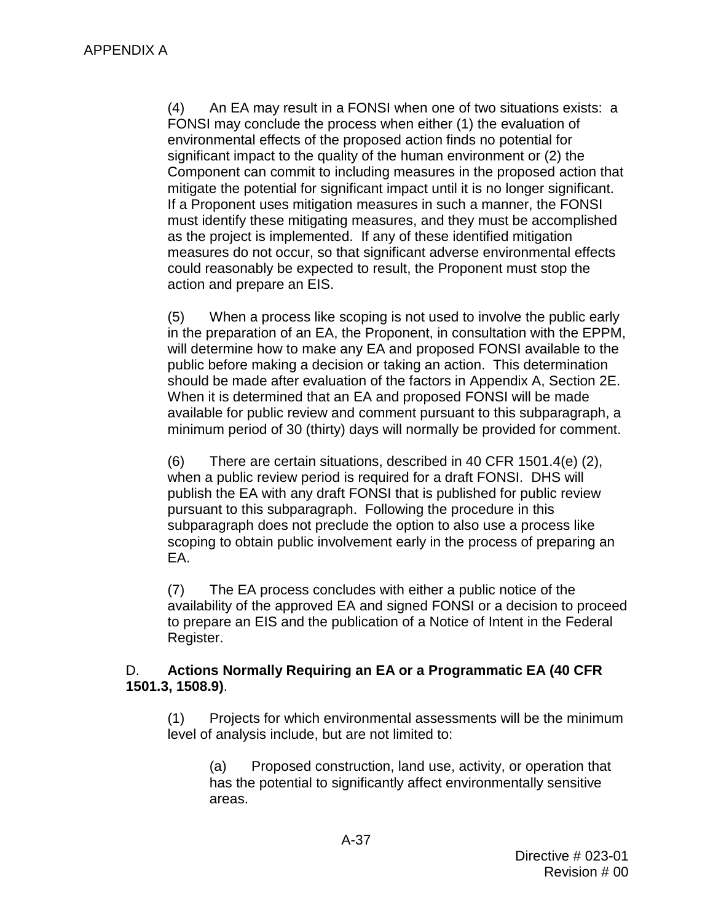(4) An EA may result in a FONSI when one of two situations exists: a environmental effects of the proposed action finds no potential for mitigate the potential for significant impact until it is no longer significant. FONSI may conclude the process when either (1) the evaluation of significant impact to the quality of the human environment or (2) the Component can commit to including measures in the proposed action that If a Proponent uses mitigation measures in such a manner, the FONSI must identify these mitigating measures, and they must be accomplished as the project is implemented. If any of these identified mitigation measures do not occur, so that significant adverse environmental effects could reasonably be expected to result, the Proponent must stop the action and prepare an EIS.

<span id="page-50-0"></span> in the preparation of an EA, the Proponent, in consultation with the EPPM, public before making a decision or taking an action. This determination should be made after evaluation of the factors in Appendix A, Section 2E. (5) When a process like scoping is not used to involve the public early will determine how to make any EA and proposed FONSI available to the When it is determined that an EA and proposed FONSI will be made available for public review and comment pursuant to this subparagraph, a minimum period of 30 (thirty) days will normally be provided for comment.

<span id="page-50-1"></span> publish the EA with any draft FONSI that is published for public review (6) There are certain situations, described in 40 CFR 1501.4(e) (2), when a public review period is required for a draft FONSI. DHS will pursuant to this subparagraph. Following the procedure in this subparagraph does not preclude the option to also use a process like scoping to obtain public involvement early in the process of preparing an EA.

 (7) The EA process concludes with either a public notice of the to prepare an EIS and the publication of a Notice of Intent in the Federal availability of the approved EA and signed FONSI or a decision to proceed Register.

## D. **Actions Normally Requiring an EA or a Programmatic EA (40 CFR 1501.3, 1508.9)**.

(1) Projects for which environmental assessments will be the minimum level of analysis include, but are not limited to:

(a) Proposed construction, land use, activity, or operation that has the potential to significantly affect environmentally sensitive areas.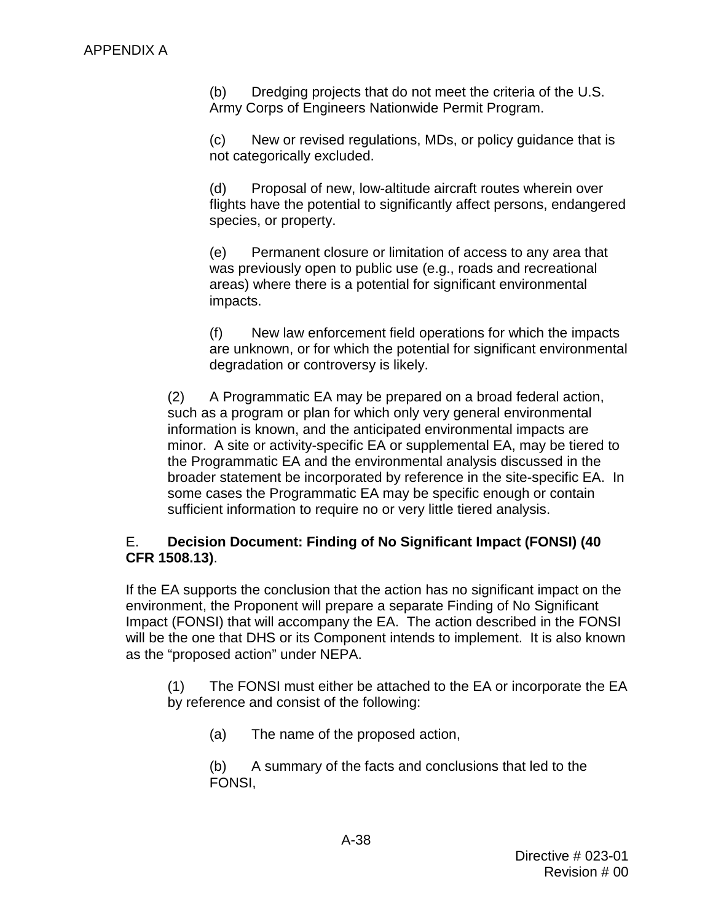(b) Dredging projects that do not meet the criteria of the U.S. Army Corps of Engineers Nationwide Permit Program.

 (c) New or revised regulations, MDs, or policy guidance that is not categorically excluded.

 (d) Proposal of new, low-altitude aircraft routes wherein over flights have the potential to significantly affect persons, endangered species, or property.

(e) Permanent closure or limitation of access to any area that was previously open to public use (e.g., roads and recreational areas) where there is a potential for significant environmental impacts.

(f) New law enforcement field operations for which the impacts are unknown, or for which the potential for significant environmental degradation or controversy is likely.

 (2) A Programmatic EA may be prepared on a broad federal action, information is known, and the anticipated environmental impacts are minor. A site or activity-specific EA or supplemental EA, may be tiered to such as a program or plan for which only very general environmental the Programmatic EA and the environmental analysis discussed in the broader statement be incorporated by reference in the site-specific EA. In some cases the Programmatic EA may be specific enough or contain sufficient information to require no or very little tiered analysis.

### E. **Decision Document: Finding of No Significant Impact (FONSI) (40 CFR 1508.13)**.

 Impact (FONSI) that will accompany the EA. The action described in the FONSI will be the one that DHS or its Component intends to implement. It is also known If the EA supports the conclusion that the action has no significant impact on the environment, the Proponent will prepare a separate Finding of No Significant as the "proposed action" under NEPA.

(1) The FONSI must either be attached to the EA or incorporate the EA by reference and consist of the following:

(a) The name of the proposed action,

(b) A summary of the facts and conclusions that led to the FONSI,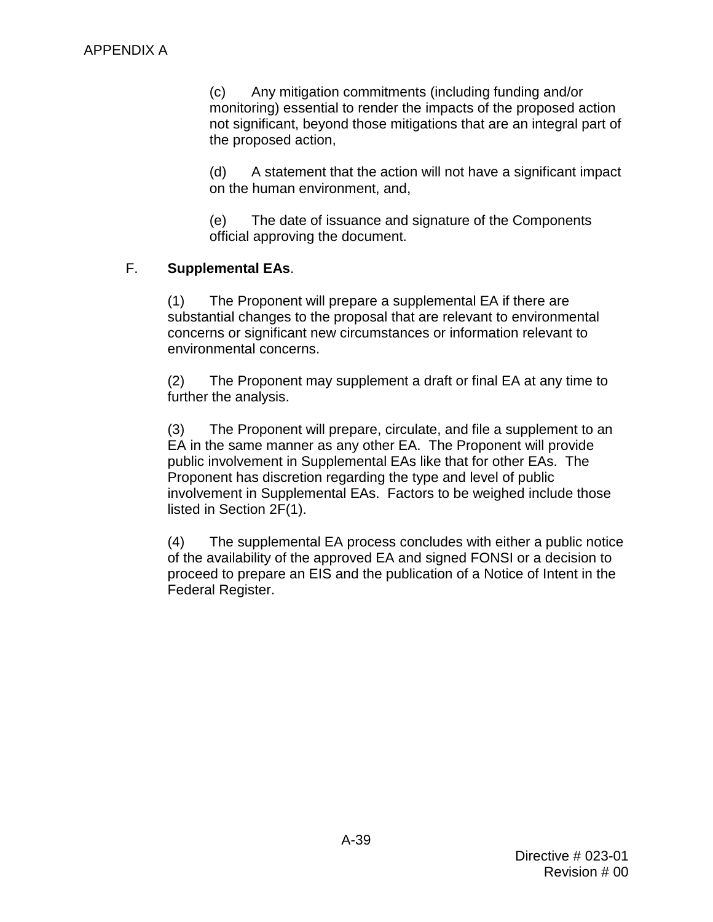(c) Any mitigation commitments (including funding and/or monitoring) essential to render the impacts of the proposed action not significant, beyond those mitigations that are an integral part of the proposed action,

(d) A statement that the action will not have a significant impact on the human environment, and,

(e) The date of issuance and signature of the Components official approving the document.

## F. **Supplemental EAs**.

(1) The Proponent will prepare a supplemental EA if there are substantial changes to the proposal that are relevant to environmental concerns or significant new circumstances or information relevant to environmental concerns.

 (2) The Proponent may supplement a draft or final EA at any time to further the analysis.

 (3) The Proponent will prepare, circulate, and file a supplement to an EA in the same manner as any other EA. The Proponent will provide public involvement in Supplemental EAs like that for other EAs. The Proponent has discretion regarding the type and level of public involvement in Supplemental EAs. Factors to be weighed include those listed in Section [2F](#page-21-0)[\(1\).](#page-25-1)

 (4) The supplemental EA process concludes with either a public notice of the availability of the approved EA and signed FONSI or a decision to proceed to prepare an EIS and the publication of a Notice of Intent in the Federal Register.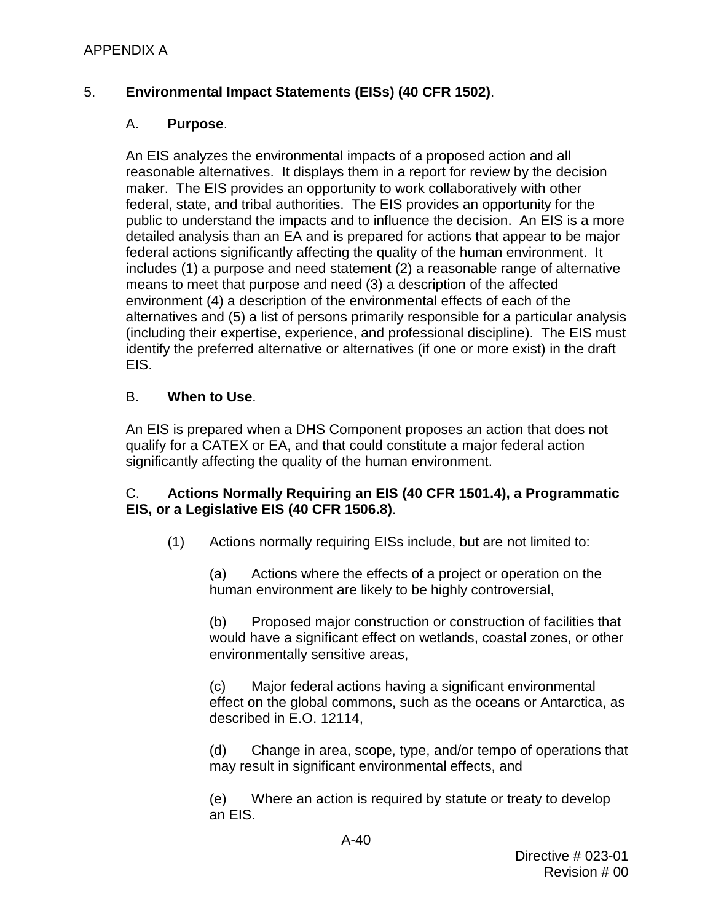## APPENDIX A

## 5. **Environmental Impact Statements (EISs) (40 CFR 1502)**.

### A. **Purpose**.

 reasonable alternatives. It displays them in a report for review by the decision maker. The EIS provides an opportunity to work collaboratively with other federal, state, and tribal authorities. The EIS provides an opportunity for the detailed analysis than an EA and is prepared for actions that appear to be major federal actions significantly affecting the quality of the human environment. It includes (1) a purpose and need statement (2) a reasonable range of alternative means to meet that purpose and need (3) a description of the affected alternatives and (5) a list of persons primarily responsible for a particular analysis (including their expertise, experience, and professional discipline). The EIS must identify the preferred alternative or alternatives (if one or more exist) in the draft An EIS analyzes the environmental impacts of a proposed action and all public to understand the impacts and to influence the decision. An EIS is a more environment (4) a description of the environmental effects of each of the EIS.

### B. **When to Use**.

 qualify for a CATEX or EA, and that could constitute a major federal action An EIS is prepared when a DHS Component proposes an action that does not significantly affecting the quality of the human environment.

### C. **Actions Normally Requiring an EIS (40 CFR 1501.4), a Programmatic EIS, or a Legislative EIS (40 CFR 1506.8)**.

(1) Actions normally requiring EISs include, but are not limited to:

 (a) Actions where the effects of a project or operation on the human environment are likely to be highly controversial,

 would have a significant effect on wetlands, coastal zones, or other (b) Proposed major construction or construction of facilities that environmentally sensitive areas,

 effect on the global commons, such as the oceans or Antarctica, as described in E.O. 12114, (c) Major federal actions having a significant environmental

 (d) Change in area, scope, type, and/or tempo of operations that may result in significant environmental effects, and

(e) Where an action is required by statute or treaty to develop an EIS.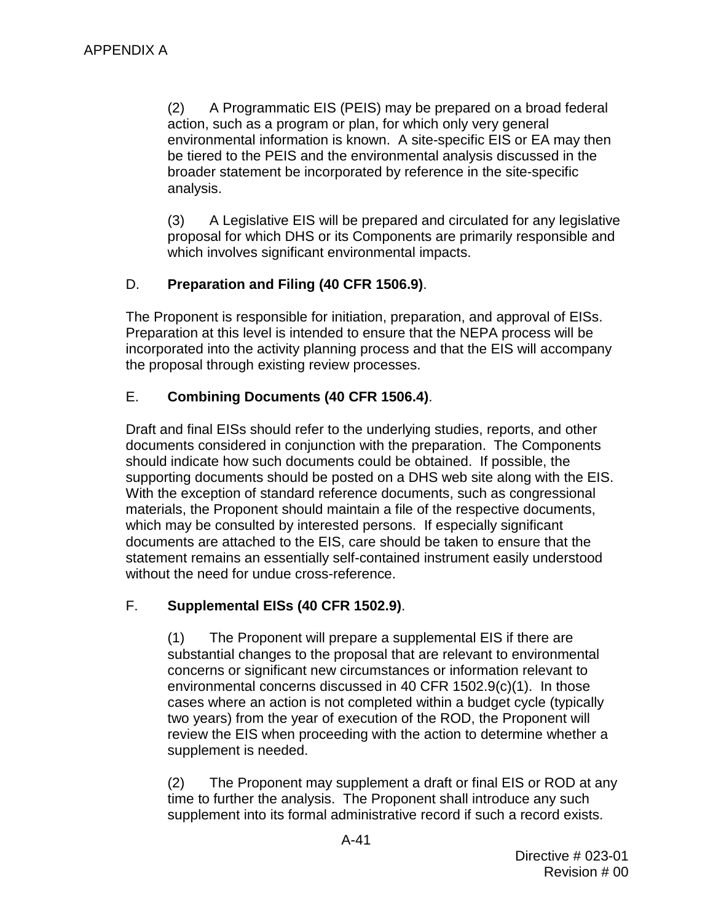action, such as a program or plan, for which only very general environmental information is known. A site-specific EIS or EA may then (2) A Programmatic EIS (PEIS) may be prepared on a broad federal be tiered to the PEIS and the environmental analysis discussed in the broader statement be incorporated by reference in the site-specific analysis.

 proposal for which DHS or its Components are primarily responsible and (3) A Legislative EIS will be prepared and circulated for any legislative which involves significant environmental impacts.

## D. **Preparation and Filing (40 CFR 1506.9)**.

 The Proponent is responsible for initiation, preparation, and approval of EISs. Preparation at this level is intended to ensure that the NEPA process will be incorporated into the activity planning process and that the EIS will accompany the proposal through existing review processes.

## E. **Combining Documents (40 CFR 1506.4)**.

 Draft and final EISs should refer to the underlying studies, reports, and other supporting documents should be posted on a DHS web site along with the EIS.<br>With the exception of standard reference documents, such as congressional documents considered in conjunction with the preparation. The Components should indicate how such documents could be obtained. If possible, the materials, the Proponent should maintain a file of the respective documents, which may be consulted by interested persons. If especially significant documents are attached to the EIS, care should be taken to ensure that the statement remains an essentially self-contained instrument easily understood without the need for undue cross-reference.

## F. **Supplemental EISs (40 CFR 1502.9)**.

 two years) from the year of execution of the ROD, the Proponent will (1) The Proponent will prepare a supplemental EIS if there are substantial changes to the proposal that are relevant to environmental concerns or significant new circumstances or information relevant to environmental concerns discussed in 40 CFR 1502.9(c)(1). In those cases where an action is not completed within a budget cycle (typically review the EIS when proceeding with the action to determine whether a supplement is needed.

 (2) The Proponent may supplement a draft or final EIS or ROD at any time to further the analysis. The Proponent shall introduce any such supplement into its formal administrative record if such a record exists.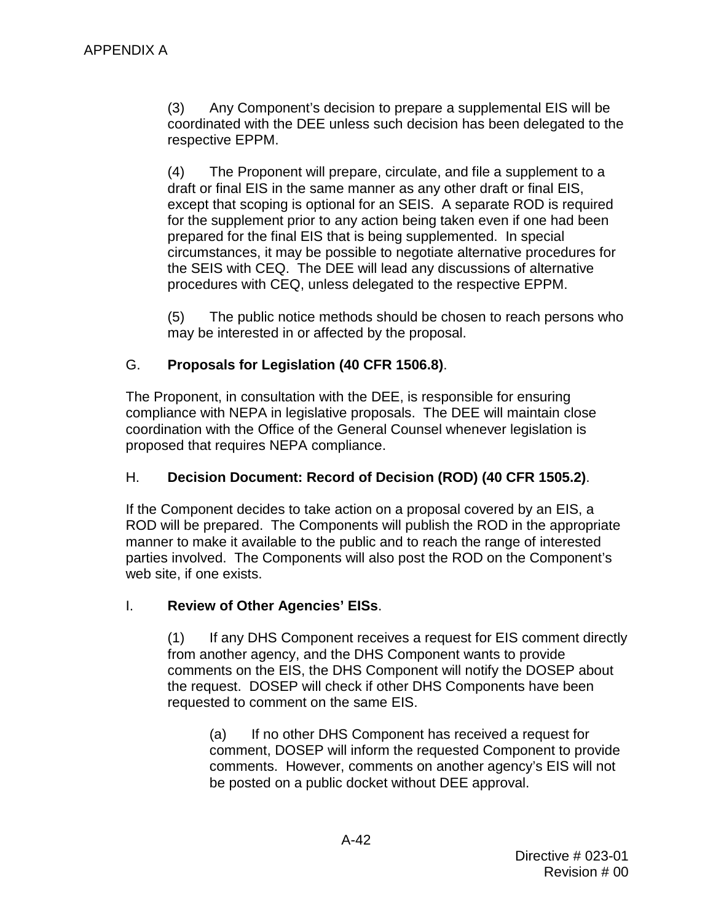(3) Any Component's decision to prepare a supplemental EIS will be coordinated with the DEE unless such decision has been delegated to the respective EPPM.

 (4) The Proponent will prepare, circulate, and file a supplement to a except that scoping is optional for an SEIS. A separate ROD is required prepared for the final EIS that is being supplemented. In special the SEIS with CEQ. The DEE will lead any discussions of alternative procedures with CEQ, unless delegated to the respective EPPM. draft or final EIS in the same manner as any other draft or final EIS, for the supplement prior to any action being taken even if one had been circumstances, it may be possible to negotiate alternative procedures for

(5) The public notice methods should be chosen to reach persons who may be interested in or affected by the proposal.

## G. **Proposals for Legislation (40 CFR 1506.8)**.

 compliance with NEPA in legislative proposals. The DEE will maintain close The Proponent, in consultation with the DEE, is responsible for ensuring coordination with the Office of the General Counsel whenever legislation is proposed that requires NEPA compliance.

## H. **Decision Document: Record of Decision (ROD) (40 CFR 1505.2)**.

 parties involved. The Components will also post the ROD on the Component's If the Component decides to take action on a proposal covered by an EIS, a ROD will be prepared. The Components will publish the ROD in the appropriate manner to make it available to the public and to reach the range of interested web site, if one exists.

## I. **Review of Other Agencies' EISs**.

 (1) If any DHS Component receives a request for EIS comment directly the request. DOSEP will check if other DHS Components have been from another agency, and the DHS Component wants to provide comments on the EIS, the DHS Component will notify the DOSEP about requested to comment on the same EIS.

 (a) If no other DHS Component has received a request for comment, DOSEP will inform the requested Component to provide comments. However, comments on another agency's EIS will not be posted on a public docket without DEE approval.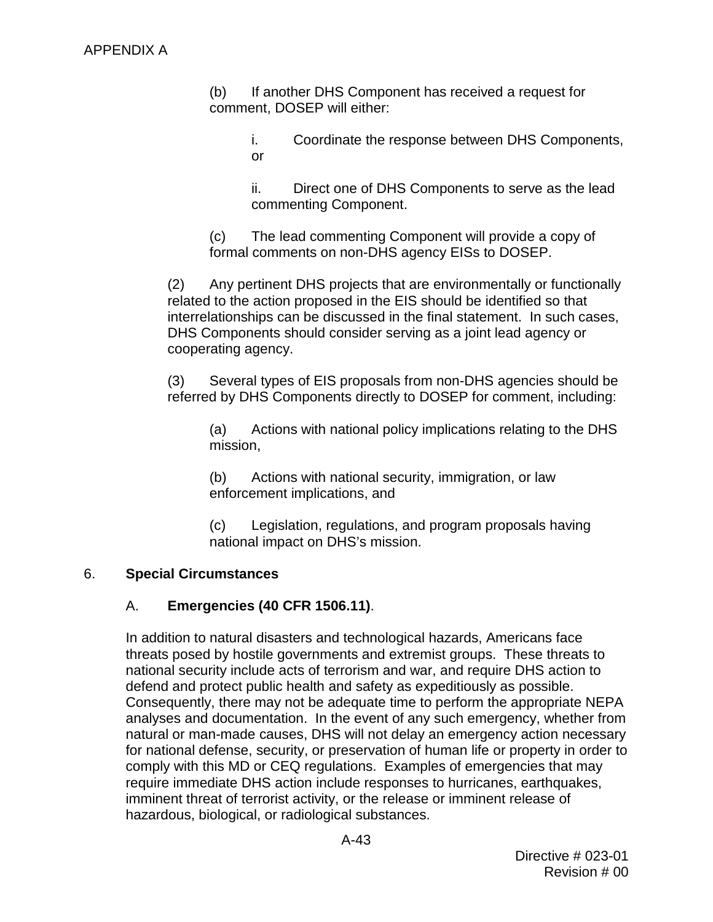(b) If another DHS Component has received a request for comment, DOSEP will either:

> i. Coordinate the response between DHS Components, or

 ii. Direct one of DHS Components to serve as the lead commenting Component.

(c) The lead commenting Component will provide a copy of formal comments on non-DHS agency EISs to DOSEP.

 (2) Any pertinent DHS projects that are environmentally or functionally related to the action proposed in the EIS should be identified so that interrelationships can be discussed in the final statement. In such cases, DHS Components should consider serving as a joint lead agency or cooperating agency.

 (3) Several types of EIS proposals from non-DHS agencies should be referred by DHS Components directly to DOSEP for comment, including:

(a) Actions with national policy implications relating to the DHS mission,

 (b) Actions with national security, immigration, or law enforcement implications, and

 national impact on DHS's mission. (c) Legislation, regulations, and program proposals having

### 6. **Special Circumstances**

## A. **Emergencies (40 CFR 1506.11)**.

 In addition to natural disasters and technological hazards, Americans face threats posed by hostile governments and extremist groups. These threats to defend and protect public health and safety as expeditiously as possible. analyses and documentation. In the event of any such emergency, whether from comply with this MD or CEQ regulations. Examples of emergencies that may national security include acts of terrorism and war, and require DHS action to Consequently, there may not be adequate time to perform the appropriate NEPA natural or man-made causes, DHS will not delay an emergency action necessary for national defense, security, or preservation of human life or property in order to require immediate DHS action include responses to hurricanes, earthquakes, imminent threat of terrorist activity, or the release or imminent release of hazardous, biological, or radiological substances.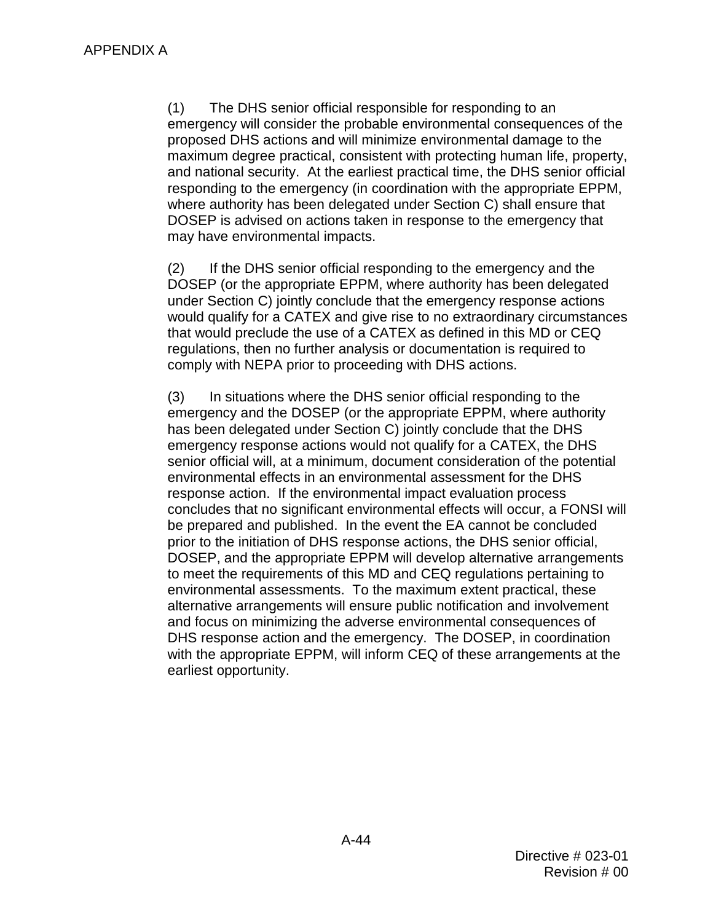where authority has been delegated under Section [C\)](#page-4-1) shall ensure that DOSEP is advised on actions taken in response to the emergency that (1) The DHS senior official responsible for responding to an emergency will consider the probable environmental consequences of the proposed DHS actions and will minimize environmental damage to the maximum degree practical, consistent with protecting human life, property, and national security. At the earliest practical time, the DHS senior official responding to the emergency (in coordination with the appropriate EPPM, may have environmental impacts.

(2) If the DHS senior official responding to the emergency and the DOSEP (or the appropriate EPPM, where authority has been delegated under Section [C\)](#page-4-1) jointly conclude that the emergency response actions would qualify for a CATEX and give rise to no extraordinary circumstances that would preclude the use of a CATEX as defined in this MD or CEQ regulations, then no further analysis or documentation is required to comply with NEPA prior to proceeding with DHS actions.

<span id="page-57-0"></span> has been delegated under Section [C\)](#page-4-1) jointly conclude that the DHS be prepared and published. In the event the EA cannot be concluded environmental assessments. To the maximum extent practical, these and focus on minimizing the adverse environmental consequences of (3) In situations where the DHS senior official responding to the emergency and the DOSEP (or the appropriate EPPM, where authority emergency response actions would not qualify for a CATEX, the DHS senior official will, at a minimum, document consideration of the potential environmental effects in an environmental assessment for the DHS response action. If the environmental impact evaluation process concludes that no significant environmental effects will occur, a FONSI will prior to the initiation of DHS response actions, the DHS senior official, DOSEP, and the appropriate EPPM will develop alternative arrangements to meet the requirements of this MD and CEQ regulations pertaining to alternative arrangements will ensure public notification and involvement DHS response action and the emergency. The DOSEP, in coordination with the appropriate EPPM, will inform CEQ of these arrangements at the earliest opportunity.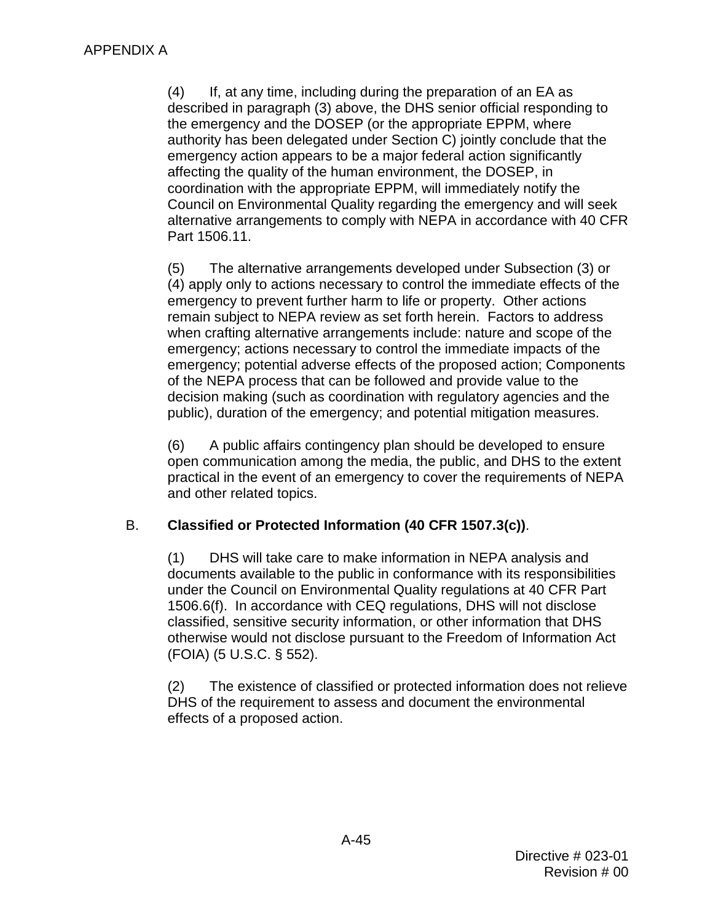<span id="page-58-0"></span> (4) If, at any time, including during the preparation of an EA as described in paragraph [\(3\)](#page-57-0) above, the DHS senior official responding to Council on Environmental Quality regarding the emergency and will seek the emergency and the DOSEP (or the appropriate EPPM, where authority has been delegated under Section [C\)](#page-4-1) jointly conclude that the emergency action appears to be a major federal action significantly affecting the quality of the human environment, the DOSEP, in coordination with the appropriate EPPM, will immediately notify the alternative arrangements to comply with NEPA in accordance with 40 CFR Part 1506.11.

 when crafting alternative arrangements include: nature and scope of the public), duration of the emergency; and potential mitigation measures. (5) The alternative arrangements developed under Subsection [\(3\)](#page-57-0) or [\(4\)](#page-58-0) apply only to actions necessary to control the immediate effects of the emergency to prevent further harm to life or property. Other actions remain subject to NEPA review as set forth herein. Factors to address emergency; actions necessary to control the immediate impacts of the emergency; potential adverse effects of the proposed action; Components of the NEPA process that can be followed and provide value to the decision making (such as coordination with regulatory agencies and the

 practical in the event of an emergency to cover the requirements of NEPA (6) A public affairs contingency plan should be developed to ensure open communication among the media, the public, and DHS to the extent and other related topics.

## B. **Classified or Protected Information (40 CFR 1507.3(c))**.

 under the Council on Environmental Quality regulations at 40 CFR Part (1) DHS will take care to make information in NEPA analysis and documents available to the public in conformance with its responsibilities 1506.6(f). In accordance with CEQ regulations, DHS will not disclose classified, sensitive security information, or other information that DHS otherwise would not disclose pursuant to the Freedom of Information Act (FOIA) (5 U.S.C. § 552).

(2) The existence of classified or protected information does not relieve DHS of the requirement to assess and document the environmental effects of a proposed action.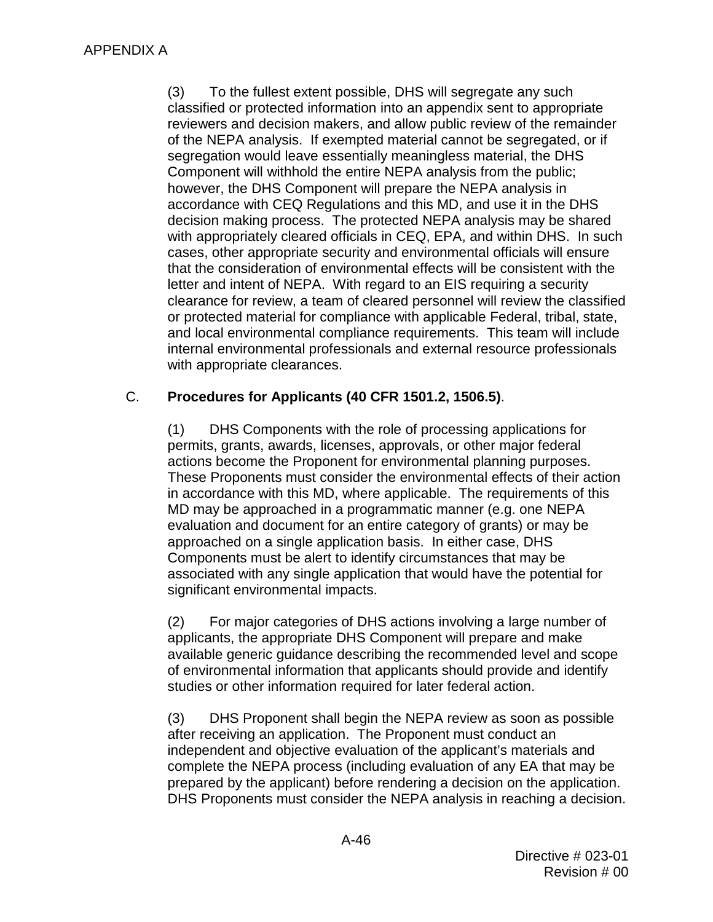(3) To the fullest extent possible, DHS will segregate any such of the NEPA analysis. If exempted material cannot be segregated, or if accordance with CEQ Regulations and this MD, and use it in the DHS decision making process. The protected NEPA analysis may be shared with appropriately cleared officials in CEQ, EPA, and within DHS. In such letter and intent of NEPA. With regard to an EIS requiring a security or protected material for compliance with applicable Federal, tribal, state, and local environmental compliance requirements. This team will include classified or protected information into an appendix sent to appropriate reviewers and decision makers, and allow public review of the remainder segregation would leave essentially meaningless material, the DHS Component will withhold the entire NEPA analysis from the public; however, the DHS Component will prepare the NEPA analysis in cases, other appropriate security and environmental officials will ensure that the consideration of environmental effects will be consistent with the clearance for review, a team of cleared personnel will review the classified internal environmental professionals and external resource professionals with appropriate clearances.

## C. **Procedures for Applicants (40 CFR 1501.2, 1506.5)**.

 permits, grants, awards, licenses, approvals, or other major federal actions become the Proponent for environmental planning purposes. These Proponents must consider the environmental effects of their action in accordance with this MD, where applicable. The requirements of this Components must be alert to identify circumstances that may be (1) DHS Components with the role of processing applications for MD may be approached in a programmatic manner (e.g. one NEPA evaluation and document for an entire category of grants) or may be approached on a single application basis. In either case, DHS associated with any single application that would have the potential for significant environmental impacts.

 (2) For major categories of DHS actions involving a large number of of environmental information that applicants should provide and identify studies or other information required for later federal action. applicants, the appropriate DHS Component will prepare and make available generic guidance describing the recommended level and scope

 $(3)$  after receiving an application. The Proponent must conduct an complete the NEPA process (including evaluation of any EA that may be prepared by the applicant) before rendering a decision on the application. prepared by the applicant) before rendering a decision on the application.<br>DHS Proponents must consider the NEPA analysis in reaching a decision. DHS Proponent shall begin the NEPA review as soon as possible independent and objective evaluation of the applicant's materials and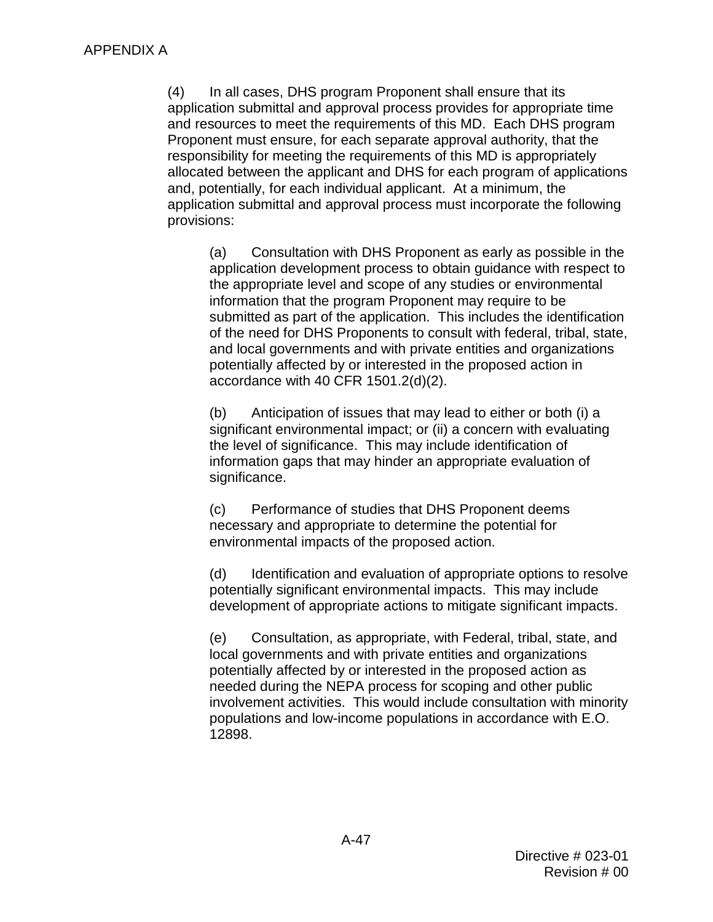and resources to meet the requirements of this MD. Each DHS program (4) In all cases, DHS program Proponent shall ensure that its application submittal and approval process provides for appropriate time Proponent must ensure, for each separate approval authority, that the responsibility for meeting the requirements of this MD is appropriately allocated between the applicant and DHS for each program of applications and, potentially, for each individual applicant. At a minimum, the application submittal and approval process must incorporate the following provisions:

 submitted as part of the application. This includes the identification (a) Consultation with DHS Proponent as early as possible in the application development process to obtain guidance with respect to the appropriate level and scope of any studies or environmental information that the program Proponent may require to be of the need for DHS Proponents to consult with federal, tribal, state, and local governments and with private entities and organizations potentially affected by or interested in the proposed action in accordance with 40 CFR 1501.2(d)(2).

 the level of significance. This may include identification of (b) Anticipation of issues that may lead to either or both (i) a significant environmental impact; or (ii) a concern with evaluating information gaps that may hinder an appropriate evaluation of significance.

 necessary and appropriate to determine the potential for (c) Performance of studies that DHS Proponent deems environmental impacts of the proposed action.

(d) Identification and evaluation of appropriate options to resolve potentially significant environmental impacts. This may include development of appropriate actions to mitigate significant impacts.

 needed during the NEPA process for scoping and other public involvement activities. This would include consultation with minority (e) Consultation, as appropriate, with Federal, tribal, state, and local governments and with private entities and organizations potentially affected by or interested in the proposed action as populations and low-income populations in accordance with E.O. 12898.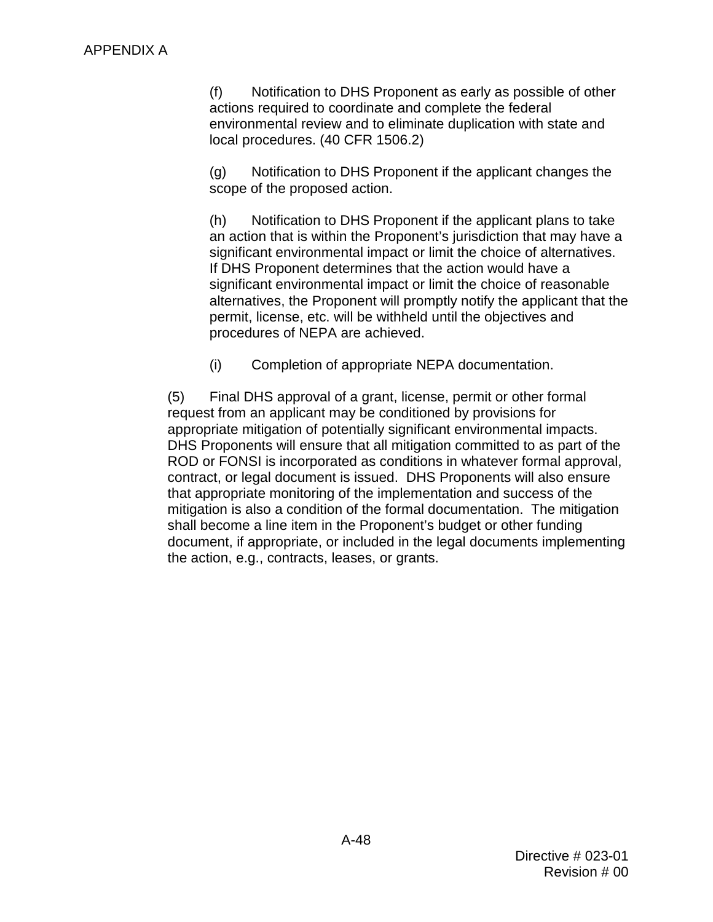(f) Notification to DHS Proponent as early as possible of other actions required to coordinate and complete the federal environmental review and to eliminate duplication with state and local procedures. (40 CFR 1506.2)

(g) Notification to DHS Proponent if the applicant changes the scope of the proposed action.

significant environmental impact or limit the choice of alternatives. alternatives, the Proponent will promptly notify the applicant that the (h) Notification to DHS Proponent if the applicant plans to take an action that is within the Proponent's jurisdiction that may have a If DHS Proponent determines that the action would have a significant environmental impact or limit the choice of reasonable permit, license, etc. will be withheld until the objectives and procedures of NEPA are achieved.

(i) Completion of appropriate NEPA documentation.

 (5) Final DHS approval of a grant, license, permit or other formal ROD or FONSI is incorporated as conditions in whatever formal approval, mitigation is also a condition of the formal documentation. The mitigation shall become a line item in the Proponent's budget or other funding request from an applicant may be conditioned by provisions for appropriate mitigation of potentially significant environmental impacts. DHS Proponents will ensure that all mitigation committed to as part of the contract, or legal document is issued. DHS Proponents will also ensure that appropriate monitoring of the implementation and success of the document, if appropriate, or included in the legal documents implementing the action, e.g., contracts, leases, or grants.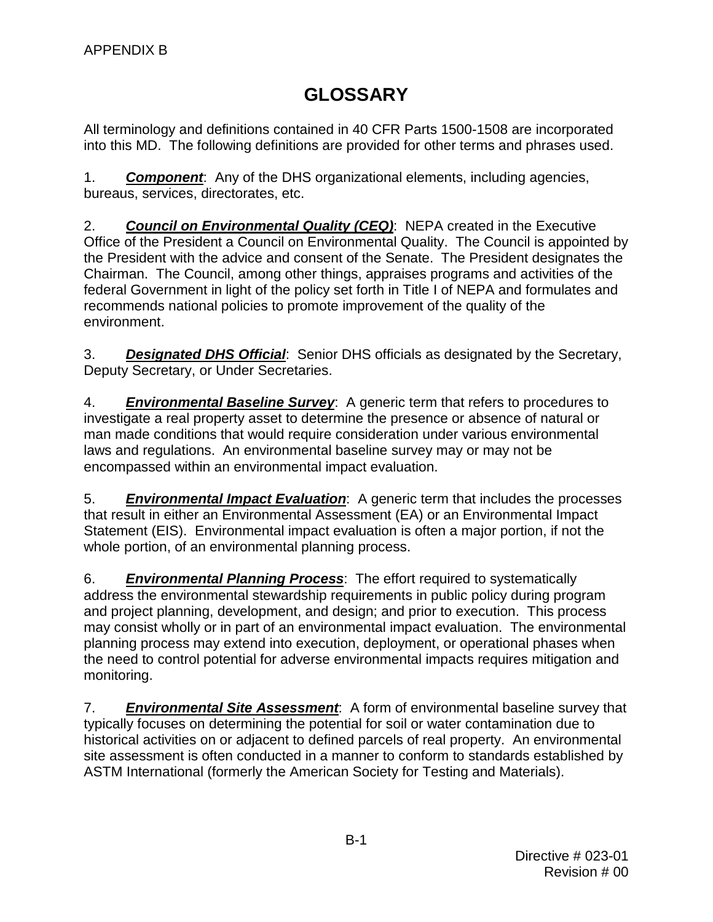## **GLOSSARY**

<span id="page-62-0"></span> into this MD. The following definitions are provided for other terms and phrases used. All terminology and definitions contained in 40 CFR Parts 1500-1508 are incorporated

1. *Component*: Any of the DHS organizational elements, including agencies, bureaus, services, directorates, etc.

 2. *Council on Environmental Quality (CEQ)*: NEPA created in the Executive Office of the President a Council on Environmental Quality. The Council is appointed by the President with the advice and consent of the Senate. The President designates the federal Government in light of the policy set forth in Title I of NEPA and formulates and recommends national policies to promote improvement of the quality of the Chairman. The Council, among other things, appraises programs and activities of the environment.

 3. *Designated DHS Official*: Senior DHS officials as designated by the Secretary, Deputy Secretary, or Under Secretaries.

 4. *Environmental Baseline Survey*: A generic term that refers to procedures to investigate a real property asset to determine the presence or absence of natural or laws and regulations. An environmental baseline survey may or may not be man made conditions that would require consideration under various environmental encompassed within an environmental impact evaluation.

 that result in either an Environmental Assessment (EA) or an Environmental Impact Statement (EIS). Environmental impact evaluation is often a major portion, if not the 5. *Environmental Impact Evaluation*: A generic term that includes the processes whole portion, of an environmental planning process.

 6. *Environmental Planning Process*: The effort required to systematically and project planning, development, and design; and prior to execution. This process may consist wholly or in part of an environmental impact evaluation. The environmental address the environmental stewardship requirements in public policy during program planning process may extend into execution, deployment, or operational phases when the need to control potential for adverse environmental impacts requires mitigation and monitoring.

 7. *Environmental Site Assessment*: A form of environmental baseline survey that typically focuses on determining the potential for soil or water contamination due to historical activities on or adjacent to defined parcels of real property. An environmental site assessment is often conducted in a manner to conform to standards established by ASTM International (formerly the American Society for Testing and Materials).